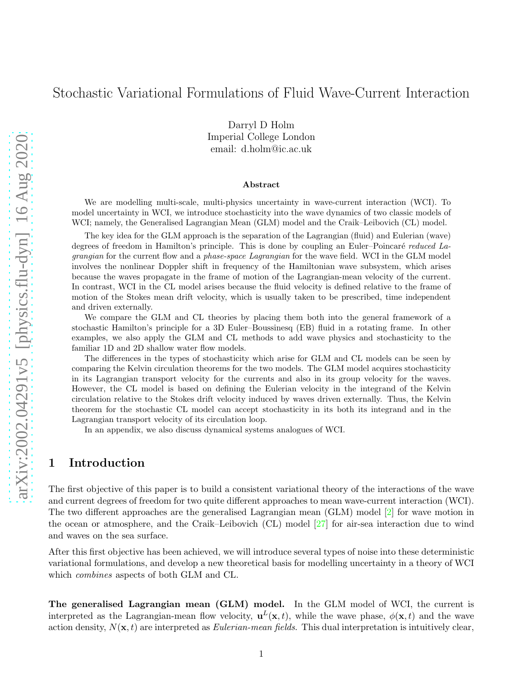# Stochastic Variational Formulations of Fluid Wave-Current Interaction

Darryl D Holm Imperial College London email: d.holm@ic.ac.uk

#### Abstract

We are modelling multi-scale, multi-physics uncertainty in wave-current interaction (WCI). To model uncertainty in WCI, we introduce stochasticity into the wave dynamics of two classic models of WCI; namely, the Generalised Lagrangian Mean (GLM) model and the Craik–Leibovich (CL) model.

The key idea for the GLM approach is the separation of the Lagrangian (fluid) and Eulerian (wave) degrees of freedom in Hamilton's principle. This is done by coupling an Euler–Poincaré reduced Lagrangian for the current flow and a phase-space Lagrangian for the wave field. WCI in the GLM model involves the nonlinear Doppler shift in frequency of the Hamiltonian wave subsystem, which arises because the waves propagate in the frame of motion of the Lagrangian-mean velocity of the current. In contrast, WCI in the CL model arises because the fluid velocity is defined relative to the frame of motion of the Stokes mean drift velocity, which is usually taken to be prescribed, time independent and driven externally.

We compare the GLM and CL theories by placing them both into the general framework of a stochastic Hamilton's principle for a 3D Euler–Boussinesq (EB) fluid in a rotating frame. In other examples, we also apply the GLM and CL methods to add wave physics and stochasticity to the familiar 1D and 2D shallow water flow models.

The differences in the types of stochasticity which arise for GLM and CL models can be seen by comparing the Kelvin circulation theorems for the two models. The GLM model acquires stochasticity in its Lagrangian transport velocity for the currents and also in its group velocity for the waves. However, the CL model is based on defining the Eulerian velocity in the integrand of the Kelvin circulation relative to the Stokes drift velocity induced by waves driven externally. Thus, the Kelvin theorem for the stochastic CL model can accept stochasticity in its both its integrand and in the Lagrangian transport velocity of its circulation loop.

In an appendix, we also discuss dynamical systems analogues of WCI.

## 1 Introduction

The first objective of this paper is to build a consistent variational theory of the interactions of the wave and current degrees of freedom for two quite different approaches to mean wave-current interaction (WCI). The two different approaches are the generalised Lagrangian mean (GLM) model [\[2\]](#page-41-0) for wave motion in the ocean or atmosphere, and the Craik–Leibovich (CL) model [\[27\]](#page-42-0) for air-sea interaction due to wind and waves on the sea surface.

After this first objective has been achieved, we will introduce several types of noise into these deterministic variational formulations, and develop a new theoretical basis for modelling uncertainty in a theory of WCI which *combines* aspects of both GLM and CL.

The generalised Lagrangian mean (GLM) model. In the GLM model of WCI, the current is interpreted as the Lagrangian-mean flow velocity,  $\mathbf{u}^{L}(\mathbf{x},t)$ , while the wave phase,  $\phi(\mathbf{x},t)$  and the wave action density,  $N(\mathbf{x}, t)$  are interpreted as *Eulerian-mean fields*. This dual interpretation is intuitively clear,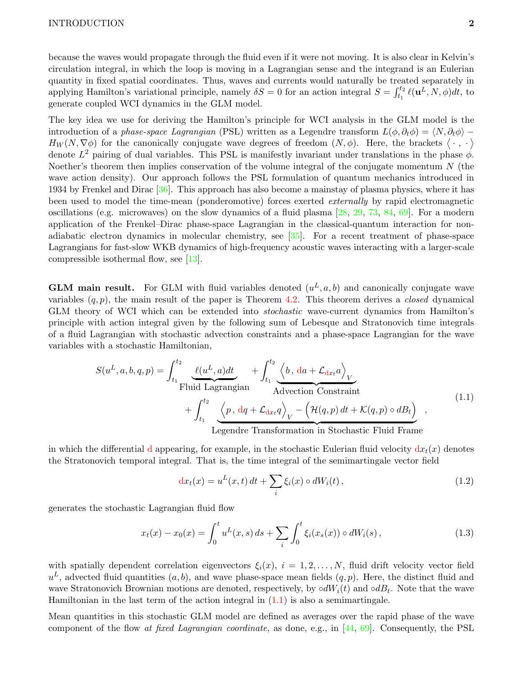because the waves would propagate through the fluid even if it were not moving. It is also clear in Kelvin's circulation integral, in which the loop is moving in a Lagrangian sense and the integrand is an Eulerian quantity in fixed spatial coordinates. Thus, waves and currents would naturally be treated separately in applying Hamilton's variational principle, namely  $\delta S = 0$  for an action integral  $S = \int_{t_1}^{t_2} \ell(\mathbf{u}^L, N, \phi) dt$ , to generate coupled WCI dynamics in the GLM model.

The key idea we use for deriving the Hamilton's principle for WCI analysis in the GLM model is the introduction of a phase-space Lagrangian (PSL) written as a Legendre transform  $L(\phi, \partial_t \phi) = \langle N, \partial_t \phi \rangle H_W(N, \nabla \phi)$  for the canonically conjugate wave degrees of freedom  $(N, \phi)$ . Here, the brackets  $\langle \cdot, \cdot \rangle$ denote  $L^2$  pairing of dual variables. This PSL is manifestly invariant under translations in the phase  $\phi$ . Noether's theorem then implies conservation of the volume integral of the conjugate momentum  $N$  (the wave action density). Our approach follows the PSL formulation of quantum mechanics introduced in 1934 by Frenkel and Dirac [\[36\]](#page-43-0). This approach has also become a mainstay of plasma physics, where it has been used to model the time-mean (ponderomotive) forces exerted *externally* by rapid electromagnetic oscillations (e.g. microwaves) on the slow dynamics of a fluid plasma [\[28,](#page-42-1) [29,](#page-42-2) [73,](#page-45-0) [84,](#page-45-1) [69\]](#page-45-2). For a modern application of the Frenkel–Dirac phase-space Lagrangian in the classical-quantum interaction for nonadiabatic electron dynamics in molecular chemistry, see [\[35\]](#page-43-1). For a recent treatment of phase-space Lagrangians for fast-slow WKB dynamics of high-frequency acoustic waves interacting with a larger-scale compressible isothermal flow, see [\[13\]](#page-41-1).

**GLM main result.** For GLM with fluid variables denoted  $(u^L, a, b)$  and canonically conjugate wave variables  $(q, p)$ , the main result of the paper is Theorem [4.2.](#page-18-0) This theorem derives a *closed* dynamical GLM theory of WCI which can be extended into stochastic wave-current dynamics from Hamilton's principle with action integral given by the following sum of Lebesque and Stratonovich time integrals of a fluid Lagrangian with stochastic advection constraints and a phase-space Lagrangian for the wave variables with a stochastic Hamiltonian,

$$
S(u^{L}, a, b, q, p) = \int_{t_1}^{t_2} \underbrace{\ell(u^{L}, a)dt}_{\text{Fluid Lagrangian}} + \int_{t_1}^{t_2} \underbrace{\left\langle b, da + \mathcal{L}_{dx_t} a \right\rangle_V}_{\text{Advection Constant}} + \int_{t_1}^{t_2} \underbrace{\left\langle p, dq + \mathcal{L}_{dx_t} q \right\rangle_V - \left( \mathcal{H}(q, p) dt + \mathcal{K}(q, p) \circ dB_t \right)}_{\text{Legendre Transformation in Stochastic Fluid Frame}} ,
$$
\n(1.1)

in which the differential d appearing, for example, in the stochastic Eulerian fluid velocity  $dx_t(x)$  denotes the Stratonovich temporal integral. That is, the time integral of the semimartingale vector field

<span id="page-1-0"></span>
$$
dx_t(x) = u^L(x, t) dt + \sum_i \xi_i(x) \circ dW_i(t), \qquad (1.2)
$$

generates the stochastic Lagrangian fluid flow

$$
x_t(x) - x_0(x) = \int_0^t u^L(x, s) \, ds + \sum_i \int_0^t \xi_i(x_s(x)) \circ dW_i(s) \,, \tag{1.3}
$$

with spatially dependent correlation eigenvectors  $\xi_i(x)$ ,  $i = 1, 2, ..., N$ , fluid drift velocity vector field  $u^L$ , advected fluid quantities  $(a, b)$ , and wave phase-space mean fields  $(q, p)$ . Here, the distinct fluid and wave Stratonovich Brownian motions are denoted, respectively, by  $\circ dW_i(t)$  and  $\circ dB_t$ . Note that the wave Hamiltonian in the last term of the action integral in  $(1.1)$  is also a semimartingale.

Mean quantities in this stochastic GLM model are defined as averages over the rapid phase of the wave component of the flow at fixed Lagrangian coordinate, as done, e.g., in  $[44, 69]$  $[44, 69]$ . Consequently, the PSL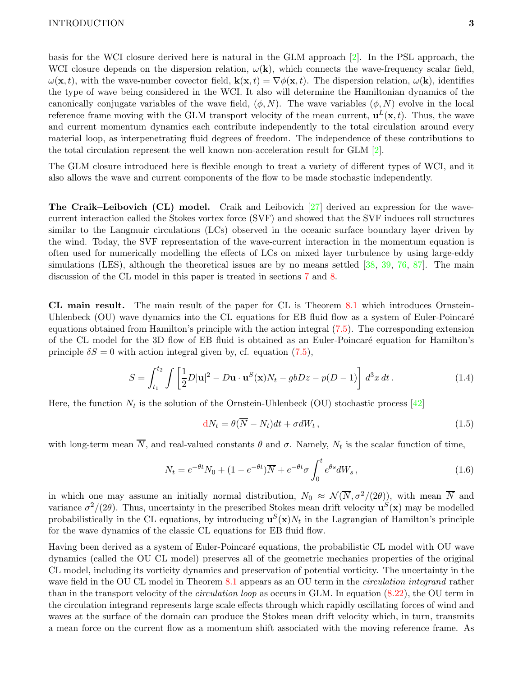basis for the WCI closure derived here is natural in the GLM approach [\[2\]](#page-41-0). In the PSL approach, the WCI closure depends on the dispersion relation,  $\omega(\mathbf{k})$ , which connects the wave-frequency scalar field,  $\omega(\mathbf{x}, t)$ , with the wave-number covector field,  $\mathbf{k}(\mathbf{x}, t) = \nabla \phi(\mathbf{x}, t)$ . The dispersion relation,  $\omega(\mathbf{k})$ , identifies the type of wave being considered in the WCI. It also will determine the Hamiltonian dynamics of the canonically conjugate variables of the wave field,  $(\phi, N)$ . The wave variables  $(\phi, N)$  evolve in the local reference frame moving with the GLM transport velocity of the mean current,  $\mathbf{u}^{L}(\mathbf{x},t)$ . Thus, the wave and current momentum dynamics each contribute independently to the total circulation around every material loop, as interpenetrating fluid degrees of freedom. The independence of these contributions to the total circulation represent the well known non-acceleration result for  $GLM \ 2$ .

The GLM closure introduced here is flexible enough to treat a variety of different types of WCI, and it also allows the wave and current components of the flow to be made stochastic independently.

The Craik–Leibovich (CL) model. Craik and Leibovich [\[27\]](#page-42-0) derived an expression for the wavecurrent interaction called the Stokes vortex force (SVF) and showed that the SVF induces roll structures similar to the Langmuir circulations (LCs) observed in the oceanic surface boundary layer driven by the wind. Today, the SVF representation of the wave-current interaction in the momentum equation is often used for numerically modelling the effects of LCs on mixed layer turbulence by using large-eddy simulations (LES), although the theoretical issues are by no means settled [\[38,](#page-43-3) [39,](#page-43-4) [76,](#page-45-3) [87\]](#page-46-0). The main discussion of the CL model in this paper is treated in sections [7](#page-28-0) and [8.](#page-31-0)

CL main result. The main result of the paper for CL is Theorem [8.1](#page-33-0) which introduces Ornstein-Uhlenbeck (OU) wave dynamics into the CL equations for EB fluid flow as a system of Euler-Poincaré equations obtained from Hamilton's principle with the action integral [\(7.5\)](#page-29-0). The corresponding extension of the CL model for the 3D flow of EB fluid is obtained as an Euler-Poincaré equation for Hamilton's principle  $\delta S = 0$  with action integral given by, cf. equation [\(7.5\)](#page-29-0),

$$
S = \int_{t_1}^{t_2} \int \left[ \frac{1}{2} D|\mathbf{u}|^2 - D\mathbf{u} \cdot \mathbf{u}^S(\mathbf{x}) N_t - gbDz - p(D-1) \right] d^3x dt.
$$
 (1.4)

Here, the function  $N_t$  is the solution of the Ornstein-Uhlenbeck (OU) stochastic process [\[42\]](#page-43-5)

$$
dN_t = \theta(\overline{N} - N_t)dt + \sigma dW_t, \qquad (1.5)
$$

with long-term mean N, and real-valued constants  $\theta$  and  $\sigma$ . Namely,  $N_t$  is the scalar function of time,

$$
N_t = e^{-\theta t} N_0 + (1 - e^{-\theta t}) \overline{N} + e^{-\theta t} \sigma \int_0^t e^{\theta s} dW_s, \qquad (1.6)
$$

in which one may assume an initially normal distribution,  $N_0 \approx \mathcal{N}(\overline{N}, \sigma^2/(2\theta))$ , with mean  $\overline{N}$  and variance  $\sigma^2/(2\theta)$ . Thus, uncertainty in the prescribed Stokes mean drift velocity  $\mathbf{u}^S(\mathbf{x})$  may be modelled probabilistically in the CL equations, by introducing  $\mathbf{u}^{S}(\mathbf{x})N_t$  in the Lagrangian of Hamilton's principle for the wave dynamics of the classic CL equations for EB fluid flow.

Having been derived as a system of Euler-Poincaré equations, the probabilistic CL model with OU wave dynamics (called the OU CL model) preserves all of the geometric mechanics properties of the original CL model, including its vorticity dynamics and preservation of potential vorticity. The uncertainty in the wave field in the OU CL model in Theorem [8.1](#page-33-0) appears as an OU term in the *circulation integrand* rather than in the transport velocity of the circulation loop as occurs in GLM. In equation [\(8.22\)](#page-34-0), the OU term in the circulation integrand represents large scale effects through which rapidly oscillating forces of wind and waves at the surface of the domain can produce the Stokes mean drift velocity which, in turn, transmits a mean force on the current flow as a momentum shift associated with the moving reference frame. As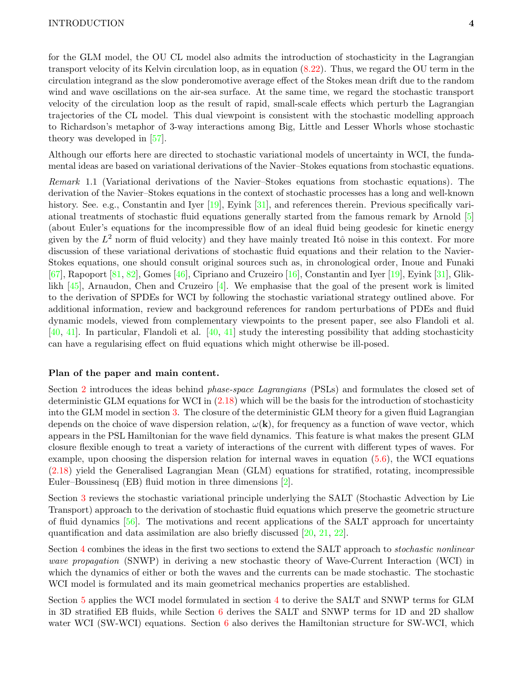for the GLM model, the OU CL model also admits the introduction of stochasticity in the Lagrangian transport velocity of its Kelvin circulation loop, as in equation [\(8.22\)](#page-34-0). Thus, we regard the OU term in the circulation integrand as the slow ponderomotive average effect of the Stokes mean drift due to the random wind and wave oscillations on the air-sea surface. At the same time, we regard the stochastic transport velocity of the circulation loop as the result of rapid, small-scale effects which perturb the Lagrangian trajectories of the CL model. This dual viewpoint is consistent with the stochastic modelling approach to Richardson's metaphor of 3-way interactions among Big, Little and Lesser Whorls whose stochastic theory was developed in [\[57\]](#page-44-0).

Although our efforts here are directed to stochastic variational models of uncertainty in WCI, the fundamental ideas are based on variational derivations of the Navier–Stokes equations from stochastic equations.

Remark 1.1 (Variational derivations of the Navier–Stokes equations from stochastic equations). The derivation of the Navier–Stokes equations in the context of stochastic processes has a long and well-known history. See. e.g., Constantin and Iyer [\[19\]](#page-42-3), Eyink [\[31\]](#page-42-4), and references therein. Previous specifically variational treatments of stochastic fluid equations generally started from the famous remark by Arnold [\[5\]](#page-41-2) (about Euler's equations for the incompressible flow of an ideal fluid being geodesic for kinetic energy given by the  $L^2$  norm of fluid velocity) and they have mainly treated Itô noise in this context. For more discussion of these variational derivations of stochastic fluid equations and their relation to the Navier-Stokes equations, one should consult original sources such as, in chronological order, Inoue and Funaki  $[67]$ , Rapoport  $[81, 82]$  $[81, 82]$ , Gomes  $[46]$ , Cipriano and Cruzeiro  $[16]$ , Constantin and Iyer  $[19]$ , Eyink  $[31]$ , Gliklikh [\[45\]](#page-43-7), Arnaudon, Chen and Cruzeiro [\[4\]](#page-41-4). We emphasise that the goal of the present work is limited to the derivation of SPDEs for WCI by following the stochastic variational strategy outlined above. For additional information, review and background references for random perturbations of PDEs and fluid dynamic models, viewed from complementary viewpoints to the present paper, see also Flandoli et al. [\[40,](#page-43-8) [41\]](#page-43-9). In particular, Flandoli et al.  $[40, 41]$  study the interesting possibility that adding stochasticity can have a regularising effect on fluid equations which might otherwise be ill-posed.

#### Plan of the paper and main content.

Section [2](#page-5-0) introduces the ideas behind *phase-space Lagrangians* (PSLs) and formulates the closed set of deterministic GLM equations for WCI in  $(2.18)$  which will be the basis for the introduction of stochasticity into the GLM model in section [3.](#page-14-0) The closure of the deterministic GLM theory for a given fluid Lagrangian depends on the choice of wave dispersion relation,  $\omega(\mathbf{k})$ , for frequency as a function of wave vector, which appears in the PSL Hamiltonian for the wave field dynamics. This feature is what makes the present GLM closure flexible enough to treat a variety of interactions of the current with different types of waves. For example, upon choosing the dispersion relation for internal waves in equation [\(5.6\)](#page-22-0), the WCI equations [\(2.18\)](#page-11-0) yield the Generalised Lagrangian Mean (GLM) equations for stratified, rotating, incompressible Euler–Boussinesq (EB) fluid motion in three dimensions [\[2\]](#page-41-0).

Section [3](#page-14-0) reviews the stochastic variational principle underlying the SALT (Stochastic Advection by Lie Transport) approach to the derivation of stochastic fluid equations which preserve the geometric structure of fluid dynamics [\[56\]](#page-44-2). The motivations and recent applications of the SALT approach for uncertainty quantification and data assimilation are also briefly discussed [\[20,](#page-42-5) [21,](#page-42-6) [22\]](#page-42-7).

Section [4](#page-16-0) combines the ideas in the first two sections to extend the SALT approach to stochastic nonlinear wave propagation (SNWP) in deriving a new stochastic theory of Wave-Current Interaction (WCI) in which the dynamics of either or both the waves and the currents can be made stochastic. The stochastic WCI model is formulated and its main geometrical mechanics properties are established.

Section [5](#page-21-0) applies the WCI model formulated in section [4](#page-16-0) to derive the SALT and SNWP terms for GLM in 3D stratified EB fluids, while Section [6](#page-24-0) derives the SALT and SNWP terms for 1D and 2D shallow water WCI (SW-WCI) equations. Section [6](#page-24-0) also derives the Hamiltonian structure for SW-WCI, which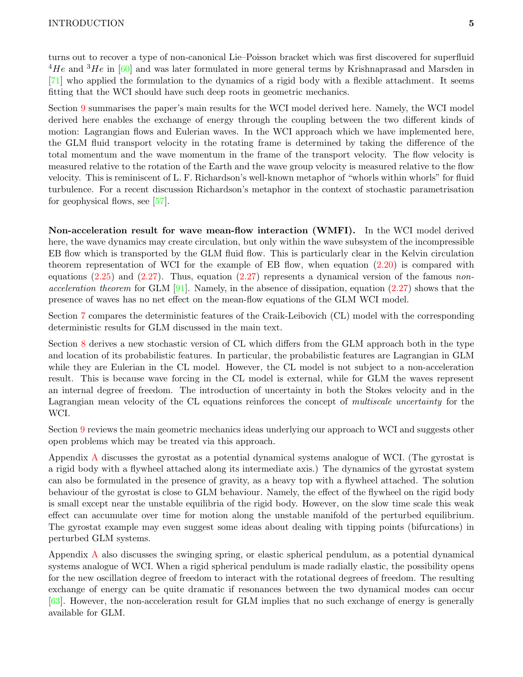turns out to recover a type of non-canonical Lie–Poisson bracket which was first discovered for superfluid  $^{4}He$  and  $^{3}He$  in [\[60\]](#page-44-3) and was later formulated in more general terms by Krishnaprasad and Marsden in [\[71\]](#page-45-6) who applied the formulation to the dynamics of a rigid body with a flexible attachment. It seems fitting that the WCI should have such deep roots in geometric mechanics.

Section [9](#page-36-0) summarises the paper's main results for the WCI model derived here. Namely, the WCI model derived here enables the exchange of energy through the coupling between the two different kinds of motion: Lagrangian flows and Eulerian waves. In the WCI approach which we have implemented here, the GLM fluid transport velocity in the rotating frame is determined by taking the difference of the total momentum and the wave momentum in the frame of the transport velocity. The flow velocity is measured relative to the rotation of the Earth and the wave group velocity is measured relative to the flow velocity. This is reminiscent of L. F. Richardson's well-known metaphor of "whorls within whorls" for fluid turbulence. For a recent discussion Richardson's metaphor in the context of stochastic parametrisation for geophysical flows, see [\[57\]](#page-44-0).

Non-acceleration result for wave mean-flow interaction (WMFI). In the WCI model derived here, the wave dynamics may create circulation, but only within the wave subsystem of the incompressible EB flow which is transported by the GLM fluid flow. This is particularly clear in the Kelvin circulation theorem representation of WCI for the example of EB flow, when equation  $(2.20)$  is compared with equations  $(2.25)$  and  $(2.27)$ . Thus, equation  $(2.27)$  represents a dynamical version of the famous nonacceleration theorem for GLM  $[91]$ . Namely, in the absence of dissipation, equation  $(2.27)$  shows that the presence of waves has no net effect on the mean-flow equations of the GLM WCI model.

Section [7](#page-28-0) compares the deterministic features of the Craik-Leibovich (CL) model with the corresponding deterministic results for GLM discussed in the main text.

Section [8](#page-31-0) derives a new stochastic version of CL which differs from the GLM approach both in the type and location of its probabilistic features. In particular, the probabilistic features are Lagrangian in GLM while they are Eulerian in the CL model. However, the CL model is not subject to a non-acceleration result. This is because wave forcing in the CL model is external, while for GLM the waves represent an internal degree of freedom. The introduction of uncertainty in both the Stokes velocity and in the Lagrangian mean velocity of the CL equations reinforces the concept of multiscale uncertainty for the WCI.

Section [9](#page-36-0) reviews the main geometric mechanics ideas underlying our approach to WCI and suggests other open problems which may be treated via this approach.

Appendix [A](#page-37-0) discusses the gyrostat as a potential dynamical systems analogue of WCI. (The gyrostat is a rigid body with a flywheel attached along its intermediate axis.) The dynamics of the gyrostat system can also be formulated in the presence of gravity, as a heavy top with a flywheel attached. The solution behaviour of the gyrostat is close to GLM behaviour. Namely, the effect of the flywheel on the rigid body is small except near the unstable equilibria of the rigid body. However, on the slow time scale this weak effect can accumulate over time for motion along the unstable manifold of the perturbed equilibrium. The gyrostat example may even suggest some ideas about dealing with tipping points (bifurcations) in perturbed GLM systems.

Appendix [A](#page-37-0) also discusses the swinging spring, or elastic spherical pendulum, as a potential dynamical systems analogue of WCI. When a rigid spherical pendulum is made radially elastic, the possibility opens for the new oscillation degree of freedom to interact with the rotational degrees of freedom. The resulting exchange of energy can be quite dramatic if resonances between the two dynamical modes can occur [\[63\]](#page-44-4). However, the non-acceleration result for GLM implies that no such exchange of energy is generally available for GLM.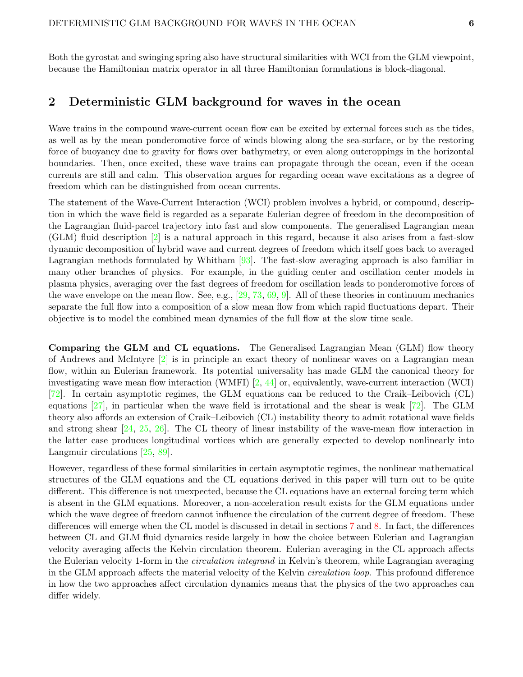Both the gyrostat and swinging spring also have structural similarities with WCI from the GLM viewpoint, because the Hamiltonian matrix operator in all three Hamiltonian formulations is block-diagonal.

## <span id="page-5-0"></span>2 Deterministic GLM background for waves in the ocean

Wave trains in the compound wave-current ocean flow can be excited by external forces such as the tides, as well as by the mean ponderomotive force of winds blowing along the sea-surface, or by the restoring force of buoyancy due to gravity for flows over bathymetry, or even along outcroppings in the horizontal boundaries. Then, once excited, these wave trains can propagate through the ocean, even if the ocean currents are still and calm. This observation argues for regarding ocean wave excitations as a degree of freedom which can be distinguished from ocean currents.

The statement of the Wave-Current Interaction (WCI) problem involves a hybrid, or compound, description in which the wave field is regarded as a separate Eulerian degree of freedom in the decomposition of the Lagrangian fluid-parcel trajectory into fast and slow components. The generalised Lagrangian mean (GLM) fluid description [\[2\]](#page-41-0) is a natural approach in this regard, because it also arises from a fast-slow dynamic decomposition of hybrid wave and current degrees of freedom which itself goes back to averaged Lagrangian methods formulated by Whitham [\[93\]](#page-46-2). The fast-slow averaging approach is also familiar in many other branches of physics. For example, in the guiding center and oscillation center models in plasma physics, averaging over the fast degrees of freedom for oscillation leads to ponderomotive forces of the wave envelope on the mean flow. See, e.g., [\[29,](#page-42-2) [73,](#page-45-0) [69,](#page-45-2) [9\]](#page-41-5). All of these theories in continuum mechanics separate the full flow into a composition of a slow mean flow from which rapid fluctuations depart. Their objective is to model the combined mean dynamics of the full flow at the slow time scale.

Comparing the GLM and CL equations. The Generalised Lagrangian Mean (GLM) flow theory of Andrews and McIntyre [\[2\]](#page-41-0) is in principle an exact theory of nonlinear waves on a Lagrangian mean flow, within an Eulerian framework. Its potential universality has made GLM the canonical theory for investigating wave mean flow interaction (WMFI) [\[2,](#page-41-0) [44\]](#page-43-2) or, equivalently, wave-current interaction (WCI) [\[72\]](#page-45-7). In certain asymptotic regimes, the GLM equations can be reduced to the Craik–Leibovich (CL) equations [\[27\]](#page-42-0), in particular when the wave field is irrotational and the shear is weak [\[72\]](#page-45-7). The GLM theory also affords an extension of Craik–Leibovich (CL) instability theory to admit rotational wave fields and strong shear [\[24,](#page-42-8) [25,](#page-42-9) [26\]](#page-42-10). The CL theory of linear instability of the wave-mean flow interaction in the latter case produces longitudinal vortices which are generally expected to develop nonlinearly into Langmuir circulations [\[25,](#page-42-9) [89\]](#page-46-3).

However, regardless of these formal similarities in certain asymptotic regimes, the nonlinear mathematical structures of the GLM equations and the CL equations derived in this paper will turn out to be quite different. This difference is not unexpected, because the CL equations have an external forcing term which is absent in the GLM equations. Moreover, a non-acceleration result exists for the GLM equations under which the wave degree of freedom cannot influence the circulation of the current degree of freedom. These differences will emerge when the CL model is discussed in detail in sections [7](#page-28-0) and [8.](#page-31-0) In fact, the differences between CL and GLM fluid dynamics reside largely in how the choice between Eulerian and Lagrangian velocity averaging affects the Kelvin circulation theorem. Eulerian averaging in the CL approach affects the Eulerian velocity 1-form in the *circulation integrand* in Kelvin's theorem, while Lagrangian averaging in the GLM approach affects the material velocity of the Kelvin circulation loop. This profound difference in how the two approaches affect circulation dynamics means that the physics of the two approaches can differ widely.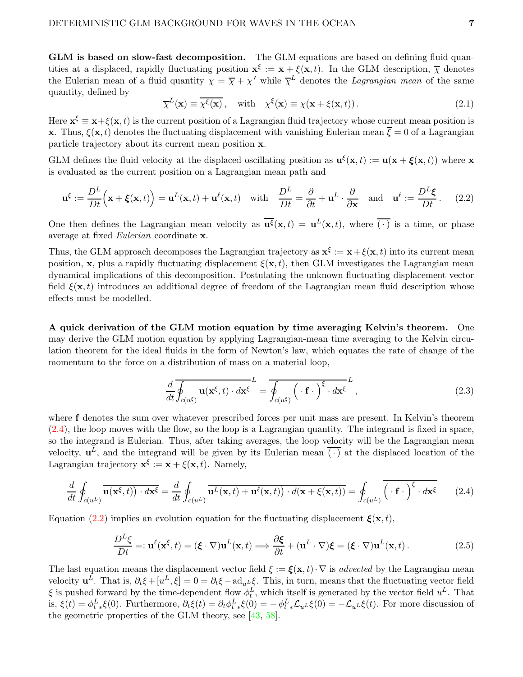GLM is based on slow-fast decomposition. The GLM equations are based on defining fluid quantities at a displaced, rapidly fluctuating position  $\mathbf{x}^{\xi} := \mathbf{x} + \xi(\mathbf{x}, t)$ . In the GLM description,  $\overline{\chi}$  denotes the Eulerian mean of a fluid quantity  $\chi = \overline{\chi} + \chi'$  while  $\overline{\chi}^L$  denotes the *Lagrangian mean* of the same quantity, defined by

<span id="page-6-2"></span>
$$
\overline{\chi}^{L}(\mathbf{x}) \equiv \overline{\chi^{\xi}(\mathbf{x})}, \quad \text{with} \quad \chi^{\xi}(\mathbf{x}) \equiv \chi(\mathbf{x} + \xi(\mathbf{x}, t)). \tag{2.1}
$$

Here  $\mathbf{x}^{\xi} \equiv \mathbf{x} + \xi(\mathbf{x}, t)$  is the current position of a Lagrangian fluid trajectory whose current mean position is **x**. Thus,  $\xi(\mathbf{x}, t)$  denotes the fluctuating displacement with vanishing Eulerian mean  $\overline{\xi} = 0$  of a Lagrangian particle trajectory about its current mean position x.

GLM defines the fluid velocity at the displaced oscillating position as  $\mathbf{u}^{\xi}(\mathbf{x},t) := \mathbf{u}(\mathbf{x} + \boldsymbol{\xi}(\mathbf{x},t))$  where x is evaluated as the current position on a Lagrangian mean path and

<span id="page-6-1"></span>
$$
\mathbf{u}^{\xi} := \frac{D^L}{Dt} \Big( \mathbf{x} + \boldsymbol{\xi}(\mathbf{x}, t) \Big) = \mathbf{u}^L(\mathbf{x}, t) + \mathbf{u}^{\ell}(\mathbf{x}, t) \quad \text{with} \quad \frac{D^L}{Dt} = \frac{\partial}{\partial t} + \mathbf{u}^L \cdot \frac{\partial}{\partial \mathbf{x}} \quad \text{and} \quad \mathbf{u}^{\ell} := \frac{D^L \boldsymbol{\xi}}{Dt}. \tag{2.2}
$$

One then defines the Lagrangian mean velocity as  $\overline{\mathbf{u}^{\xi}}(\mathbf{x},t) = \mathbf{u}^{L}(\mathbf{x},t)$ , where  $\overline{(\cdot)}$  is a time, or phase average at fixed Eulerian coordinate x.

Thus, the GLM approach decomposes the Lagrangian trajectory as  $\mathbf{x}^{\xi} := \mathbf{x} + \xi(\mathbf{x}, t)$  into its current mean position, x, plus a rapidly fluctuating displacement  $\xi(\mathbf{x}, t)$ , then GLM investigates the Lagrangian mean dynamical implications of this decomposition. Postulating the unknown fluctuating displacement vector field  $\xi(\mathbf{x}, t)$  introduces an additional degree of freedom of the Lagrangian mean fluid description whose effects must be modelled.

A quick derivation of the GLM motion equation by time averaging Kelvin's theorem. One may derive the GLM motion equation by applying Lagrangian-mean time averaging to the Kelvin circulation theorem for the ideal fluids in the form of Newton's law, which equates the rate of change of the momentum to the force on a distribution of mass on a material loop,

$$
\frac{d}{dt}\overline{\oint_{c(u^{\xi})}\mathbf{u}(\mathbf{x}^{\xi},t)\cdot d\mathbf{x}^{\xi}}^{L} = \overline{\oint_{c(u^{\xi})}\left(\cdot\mathbf{f}\cdot\right)^{\xi}\cdot d\mathbf{x}^{\xi}}^{L},
$$
\n(2.3)

where f denotes the sum over whatever prescribed forces per unit mass are present. In Kelvin's theorem [\(2.4\)](#page-6-0), the loop moves with the flow, so the loop is a Lagrangian quantity. The integrand is fixed in space, so the integrand is Eulerian. Thus, after taking averages, the loop velocity will be the Lagrangian mean velocity,  $\mathbf{u}^L$ , and the integrand will be given by its Eulerian mean  $\overline{(\cdot)}$  at the displaced location of the Lagrangian trajectory  $\mathbf{x}^{\xi} := \mathbf{x} + \xi(\mathbf{x}, t)$ . Namely,

<span id="page-6-0"></span>
$$
\frac{d}{dt} \oint_{c(u^L)} \overline{\mathbf{u}(\mathbf{x}^{\xi},t) \cdot d\mathbf{x}^{\xi}} = \frac{d}{dt} \oint_{c(u^L)} \overline{\mathbf{u}^L(\mathbf{x},t) + \mathbf{u}^{\ell}(\mathbf{x},t) \cdot d(\mathbf{x} + \xi(\mathbf{x},t))} = \oint_{c(u^L)} \overline{(\cdot \mathbf{f} \cdot)^{\xi} \cdot d\mathbf{x}^{\xi}} \qquad (2.4)
$$

Equation [\(2.2\)](#page-6-1) implies an evolution equation for the fluctuating displacement  $\boldsymbol{\xi}(\mathbf{x}, t)$ ,

$$
\frac{D^L \xi}{Dt} =: \mathbf{u}^{\ell}(\mathbf{x}^{\xi}, t) = (\xi \cdot \nabla) \mathbf{u}^L(\mathbf{x}, t) \Longrightarrow \frac{\partial \xi}{\partial t} + (\mathbf{u}^L \cdot \nabla) \xi = (\xi \cdot \nabla) \mathbf{u}^L(\mathbf{x}, t).
$$
\n(2.5)

The last equation means the displacement vector field  $\xi := \xi(\mathbf{x}, t) \cdot \nabla$  is advected by the Lagrangian mean velocity  $\mathbf{u}^L$ . That is,  $\partial_t \xi + [u^L, \xi] = 0 = \partial_t \xi - \text{ad}_{u^L} \xi$ . This, in turn, means that the fluctuating vector field  $\xi$  is pushed forward by the time-dependent flow  $\phi_t^L$ , which itself is generated by the vector field  $u^L$ . That is,  $\xi(t) = \phi_t^L \xi(0)$ . Furthermore,  $\partial_t \xi(t) = \partial_t \phi_t^L \xi(0) = -\phi_t^L \xi_{u^L} \xi(0) = -\mathcal{L}_{u^L} \xi(t)$ . For more discussion of the geometric properties of the GLM theory, see  $[43, 58]$  $[43, 58]$ .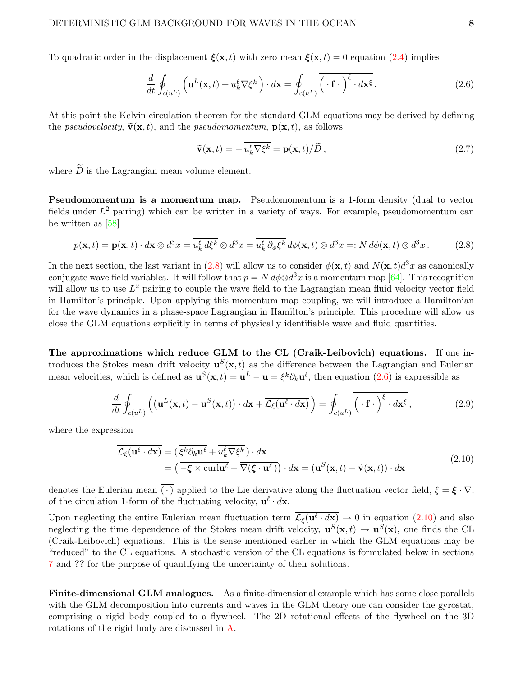To quadratic order in the displacement  $\mathbf{\xi}(\mathbf{x}, t)$  with zero mean  $\overline{\mathbf{\xi}(\mathbf{x}, t)} = 0$  equation [\(2.4\)](#page-6-0) implies

<span id="page-7-1"></span>
$$
\frac{d}{dt} \oint_{c(u^L)} \left( \mathbf{u}^L(\mathbf{x},t) + \overline{u_k^{\ell} \nabla \xi^k} \right) \cdot d\mathbf{x} = \oint_{c(u^L)} \overline{\left( \cdot \mathbf{f} \cdot \right)^{\xi} \cdot d\mathbf{x}^{\xi}}.
$$
\n(2.6)

At this point the Kelvin circulation theorem for the standard GLM equations may be derived by defining the *pseudovelocity*,  $\tilde{\mathbf{v}}(\mathbf{x}, t)$ , and the *pseudomomentum*,  $\mathbf{p}(\mathbf{x}, t)$ , as follows

$$
\widetilde{\mathbf{v}}(\mathbf{x},t) = -\overline{u_k^{\ell}\nabla\xi^k} = \mathbf{p}(\mathbf{x},t)/\widetilde{D},\qquad(2.7)
$$

where  $\widetilde{D}$  is the Lagrangian mean volume element.

Pseudomomentum is a momentum map. Pseudomomentum is a 1-form density (dual to vector fields under  $L^2$  pairing) which can be written in a variety of ways. For example, pseudomomentum can be written as [\[58\]](#page-44-5)

<span id="page-7-0"></span>
$$
p(\mathbf{x},t) = \mathbf{p}(\mathbf{x},t) \cdot d\mathbf{x} \otimes d^3x = \overline{u_k^{\ell} d\xi^k} \otimes d^3x = \overline{u_k^{\ell} \partial_{\phi} \xi^k} d\phi(\mathbf{x},t) \otimes d^3x =: N d\phi(\mathbf{x},t) \otimes d^3x. \tag{2.8}
$$

In the next section, the last variant in [\(2.8\)](#page-7-0) will allow us to consider  $\phi(\mathbf{x},t)$  and  $N(\mathbf{x},t)d^3x$  as canonically conjugate wave field variables. It will follow that  $p = N d\phi \otimes d^3x$  is a momentum map [\[64\]](#page-44-6). This recognition will allow us to use  $L^2$  pairing to couple the wave field to the Lagrangian mean fluid velocity vector field in Hamilton's principle. Upon applying this momentum map coupling, we will introduce a Hamiltonian for the wave dynamics in a phase-space Lagrangian in Hamilton's principle. This procedure will allow us close the GLM equations explicitly in terms of physically identifiable wave and fluid quantities.

The approximations which reduce GLM to the CL (Craik-Leibovich) equations. If one introduces the Stokes mean drift velocity  $\mathbf{u}^{S}(\mathbf{x},t)$  as the difference between the Lagrangian and Eulerian mean velocities, which is defined as  $\mathbf{u}^{S}(\mathbf{x},t) = \mathbf{u}^{L} - \mathbf{u} = \overline{\xi^{k} \partial_{k} \mathbf{u}^{l}}$ , then equation [\(2.6\)](#page-7-1) is expressible as

$$
\frac{d}{dt} \oint_{c(u^L)} \left( (\mathbf{u}^L(\mathbf{x},t) - \mathbf{u}^S(\mathbf{x},t)) \cdot d\mathbf{x} + \overline{\mathcal{L}_{\xi}(\mathbf{u}^{\ell} \cdot d\mathbf{x})} \right) = \oint_{c(u^L)} \overline{\left( \cdot \mathbf{f} \cdot \right)^{\xi} \cdot d\mathbf{x}^{\xi}},
$$
\n(2.9)

where the expression

<span id="page-7-2"></span>
$$
\overline{\mathcal{L}_{\xi}(\mathbf{u}^{\ell} \cdot d\mathbf{x})} = (\overline{\xi^k \partial_k \mathbf{u}^{\ell}} + \overline{u_k^{\ell} \nabla \xi^k}) \cdot d\mathbf{x} \n= (\overline{-\xi \times \text{curl} \mathbf{u}^{\ell}} + \overline{\nabla (\xi \cdot \mathbf{u}^{\ell})}) \cdot d\mathbf{x} = (\mathbf{u}^S(\mathbf{x}, t) - \widetilde{\mathbf{v}}(\mathbf{x}, t)) \cdot d\mathbf{x}
$$
\n(2.10)

denotes the Eulerian mean  $\overline{(\cdot)}$  applied to the Lie derivative along the fluctuation vector field,  $\xi = \xi \cdot \nabla$ , of the circulation 1-form of the fluctuating velocity,  $\mathbf{u}^{\ell} \cdot d\mathbf{x}$ .

Upon neglecting the entire Eulerian mean fluctuation term  $\mathcal{L}_{\xi}(\mathbf{u}^{\ell} \cdot d\mathbf{x}) \to 0$  in equation  $(2.10)$  and also neglecting the time dependence of the Stokes mean drift velocity,  $\mathbf{u}^{S}(\mathbf{x},t) \to \mathbf{u}^{S}(\mathbf{x})$ , one finds the CL (Craik-Leibovich) equations. This is the sense mentioned earlier in which the GLM equations may be "reduced" to the CL equations. A stochastic version of the CL equations is formulated below in sections [7](#page-28-0) and ?? for the purpose of quantifying the uncertainty of their solutions.

Finite-dimensional GLM analogues. As a finite-dimensional example which has some close parallels with the GLM decomposition into currents and waves in the GLM theory one can consider the gyrostat, comprising a rigid body coupled to a flywheel. The 2D rotational effects of the flywheel on the 3D rotations of the rigid body are discussed in [A.](#page-37-0)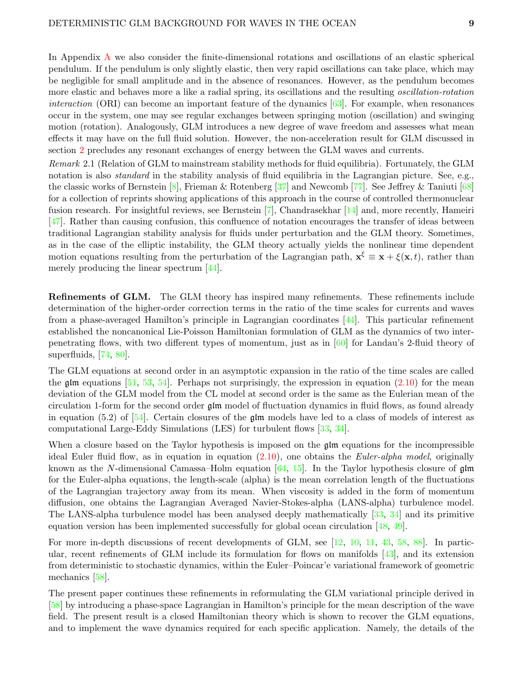In Appendix [A](#page-37-0) we also consider the finite-dimensional rotations and oscillations of an elastic spherical pendulum. If the pendulum is only slightly elastic, then very rapid oscillations can take place, which may be negligible for small amplitude and in the absence of resonances. However, as the pendulum becomes more elastic and behaves more a like a radial spring, its oscillations and the resulting oscillation-rotation *interaction* (ORI) can become an important feature of the dynamics  $[63]$ . For example, when resonances occur in the system, one may see regular exchanges between springing motion (oscillation) and swinging motion (rotation). Analogously, GLM introduces a new degree of wave freedom and assesses what mean effects it may have on the full fluid solution. However, the non-acceleration result for GLM discussed in section [2](#page-5-0) precludes any resonant exchanges of energy between the GLM waves and currents.

Remark 2.1 (Relation of GLM to mainstream stability methods for fluid equilibria). Fortunately, the GLM notation is also *standard* in the stability analysis of fluid equilibria in the Lagrangian picture. See, e.g., the classic works of Bernstein [\[8\]](#page-41-6), Frieman & Rotenberg [\[37\]](#page-43-11) and Newcomb [\[77\]](#page-45-8). See Jeffrey & Taniuti [\[68\]](#page-44-7) for a collection of reprints showing applications of this approach in the course of controlled thermonuclear fusion research. For insightful reviews, see Bernstein [\[7\]](#page-41-7), Chandrasekhar [\[14\]](#page-41-8) and, more recently, Hameiri [\[47\]](#page-43-12). Rather than causing confusion, this confluence of notation encourages the transfer of ideas between traditional Lagrangian stability analysis for fluids under perturbation and the GLM theory. Sometimes, as in the case of the elliptic instability, the GLM theory actually yields the nonlinear time dependent motion equations resulting from the perturbation of the Lagrangian path,  $\mathbf{x}^{\xi} \equiv \mathbf{x} + \xi(\mathbf{x}, t)$ , rather than merely producing the linear spectrum [\[44\]](#page-43-2).

Refinements of GLM. The GLM theory has inspired many refinements. These refinements include determination of the higher-order correction terms in the ratio of the time scales for currents and waves from a phase-averaged Hamilton's principle in Lagrangian coordinates [\[44\]](#page-43-2). This particular refinement established the noncanonical Lie-Poisson Hamiltonian formulation of GLM as the dynamics of two interpenetrating flows, with two different types of momentum, just as in [\[60\]](#page-44-3) for Landau's 2-fluid theory of superfluids, [\[74,](#page-45-9) [80\]](#page-45-10).

The GLM equations at second order in an asymptotic expansion in the ratio of the time scales are called the glm equations  $[51, 53, 54]$  $[51, 53, 54]$  $[51, 53, 54]$  $[51, 53, 54]$ . Perhaps not surprisingly, the expression in equation  $(2.10)$  for the mean deviation of the GLM model from the CL model at second order is the same as the Eulerian mean of the circulation 1-form for the second order glm model of fluctuation dynamics in fluid flows, as found already in equation (5.2) of [\[54\]](#page-44-9). Certain closures of the  $\mathfrak{g}$ lm models have led to a class of models of interest as computational Large-Eddy Simulations (LES) for turbulent flows [\[33,](#page-42-11) [34\]](#page-42-12).

When a closure based on the Taylor hypothesis is imposed on the  $\mathfrak{g/m}$  equations for the incompressible ideal Euler fluid flow, as in equation in equation [\(2.10\)](#page-7-2), one obtains the Euler-alpha model, originally known as the N-dimensional Camassa–Holm equation  $[64, 15]$  $[64, 15]$ . In the Taylor hypothesis closure of  $\mathfrak{g/m}$ for the Euler-alpha equations, the length-scale (alpha) is the mean correlation length of the fluctuations of the Lagrangian trajectory away from its mean. When viscosity is added in the form of momentum diffusion, one obtains the Lagrangian Averaged Navier-Stokes-alpha (LANS-alpha) turbulence model. The LANS-alpha turbulence model has been analysed deeply mathematically [\[33,](#page-42-11) [34\]](#page-42-12) and its primitive equation version has been implemented successfully for global ocean circulation [\[48,](#page-43-14) [49\]](#page-43-15).

For more in-depth discussions of recent developments of GLM, see [\[12,](#page-41-10) [10,](#page-41-11) [11,](#page-41-12) [43,](#page-43-10) [58,](#page-44-5) [88\]](#page-46-4). In particular, recent refinements of GLM include its formulation for flows on manifolds [\[43\]](#page-43-10), and its extension from deterministic to stochastic dynamics, within the Euler–Poincar'e variational framework of geometric mechanics [\[58\]](#page-44-5).

The present paper continues these refinements in reformulating the GLM variational principle derived in [\[58\]](#page-44-5) by introducing a phase-space Lagrangian in Hamilton's principle for the mean description of the wave field. The present result is a closed Hamiltonian theory which is shown to recover the GLM equations, and to implement the wave dynamics required for each specific application. Namely, the details of the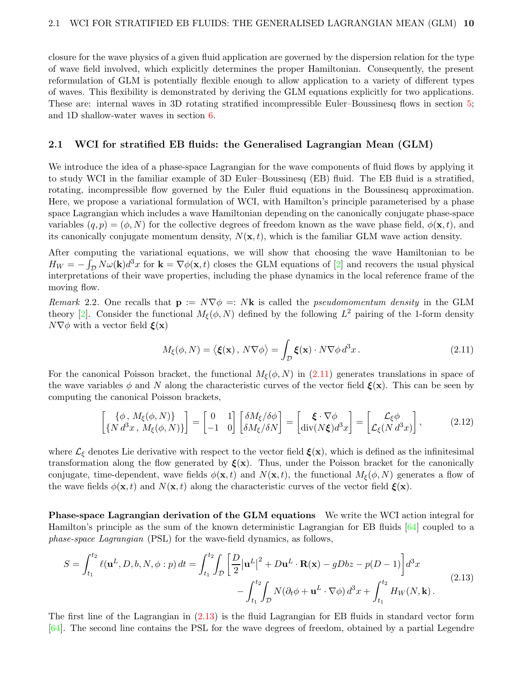closure for the wave physics of a given fluid application are governed by the dispersion relation for the type of wave field involved, which explicitly determines the proper Hamiltonian. Consequently, the present reformulation of GLM is potentially flexible enough to allow application to a variety of different types of waves. This flexibility is demonstrated by deriving the GLM equations explicitly for two applications. These are: internal waves in 3D rotating stratified incompressible Euler–Boussinesq flows in section [5;](#page-21-0) and 1D shallow-water waves in section [6.](#page-24-0)

#### 2.1 WCI for stratified EB fluids: the Generalised Lagrangian Mean (GLM)

We introduce the idea of a phase-space Lagrangian for the wave components of fluid flows by applying it to study WCI in the familiar example of 3D Euler–Boussinesq (EB) fluid. The EB fluid is a stratified, rotating, incompressible flow governed by the Euler fluid equations in the Boussinesq approximation. Here, we propose a variational formulation of WCI, with Hamilton's principle parameterised by a phase space Lagrangian which includes a wave Hamiltonian depending on the canonically conjugate phase-space variables  $(q, p) = (\phi, N)$  for the collective degrees of freedom known as the wave phase field,  $\phi(\mathbf{x}, t)$ , and its canonically conjugate momentum density,  $N(\mathbf{x}, t)$ , which is the familiar GLM wave action density.

After computing the variational equations, we will show that choosing the wave Hamiltonian to be  $H_W = -\int_{\mathcal{D}} N\omega(\mathbf{k})d^3x$  for  $\mathbf{k} = \nabla\phi(\mathbf{x},t)$  closes the GLM equations of [\[2\]](#page-41-0) and recovers the usual physical interpretations of their wave properties, including the phase dynamics in the local reference frame of the moving flow.

Remark 2.2. One recalls that  $\mathbf{p} := N \nabla \phi = N \mathbf{k}$  is called the *pseudomomentum density* in the GLM theory [\[2\]](#page-41-0). Consider the functional  $M_{\xi}(\phi, N)$  defined by the following  $L^2$  pairing of the 1-form density  $N\nabla\phi$  with a vector field  $\boldsymbol{\xi}(\mathbf{x})$ 

<span id="page-9-2"></span><span id="page-9-1"></span><span id="page-9-0"></span>
$$
M_{\xi}(\phi, N) = \langle \xi(\mathbf{x}), N \nabla \phi \rangle = \int_{\mathcal{D}} \xi(\mathbf{x}) \cdot N \nabla \phi \, d^3 x \,. \tag{2.11}
$$

For the canonical Poisson bracket, the functional  $M_f(\phi, N)$  in [\(2.11\)](#page-9-0) generates translations in space of the wave variables  $\phi$  and N along the characteristic curves of the vector field  $\xi(\mathbf{x})$ . This can be seen by computing the canonical Poisson brackets,

$$
\begin{bmatrix} {\phi, M_{\xi}(\phi, N)} \\ {\{N d^3x, M_{\xi}(\phi, N)\}} \end{bmatrix} = \begin{bmatrix} 0 & 1 \\ -1 & 0 \end{bmatrix} \begin{bmatrix} \delta M_{\xi}/\delta\phi \\ \delta M_{\xi}/\delta N \end{bmatrix} = \begin{bmatrix} \xi \cdot \nabla \phi \\ \text{div}(N\xi) d^3x \end{bmatrix} = \begin{bmatrix} \mathcal{L}_{\xi}\phi \\ \mathcal{L}_{\xi}(N d^3x) \end{bmatrix},
$$
(2.12)

where  $\mathcal{L}_{\xi}$  denotes Lie derivative with respect to the vector field  $\xi(\mathbf{x})$ , which is defined as the infinitesimal transformation along the flow generated by  $\xi(x)$ . Thus, under the Poisson bracket for the canonically conjugate, time-dependent, wave fields  $\phi(\mathbf{x}, t)$  and  $N(\mathbf{x}, t)$ , the functional  $M_{\xi}(\phi, N)$  generates a flow of the wave fields  $\phi(\mathbf{x}, t)$  and  $N(\mathbf{x}, t)$  along the characteristic curves of the vector field  $\boldsymbol{\xi}(\mathbf{x})$ .

Phase-space Lagrangian derivation of the GLM equations We write the WCI action integral for Hamilton's principle as the sum of the known deterministic Lagrangian for EB fluids [\[64\]](#page-44-6) coupled to a phase-space Lagrangian (PSL) for the wave-field dynamics, as follows,

$$
S = \int_{t_1}^{t_2} \ell(\mathbf{u}^L, D, b, N, \phi : p) dt = \int_{t_1}^{t_2} \int_{\mathcal{D}} \left[ \frac{D}{2} |\mathbf{u}^L|^2 + D\mathbf{u}^L \cdot \mathbf{R}(\mathbf{x}) - gDbz - p(D-1) \right] d^3x
$$
  
- 
$$
\int_{t_1}^{t_2} \int_{\mathcal{D}} N(\partial_t \phi + \mathbf{u}^L \cdot \nabla \phi) d^3x + \int_{t_1}^{t_2} H_W(N, \mathbf{k}).
$$
 (2.13)

The first line of the Lagrangian in [\(2.13\)](#page-9-1) is the fluid Lagrangian for EB fluids in standard vector form [\[64\]](#page-44-6). The second line contains the PSL for the wave degrees of freedom, obtained by a partial Legendre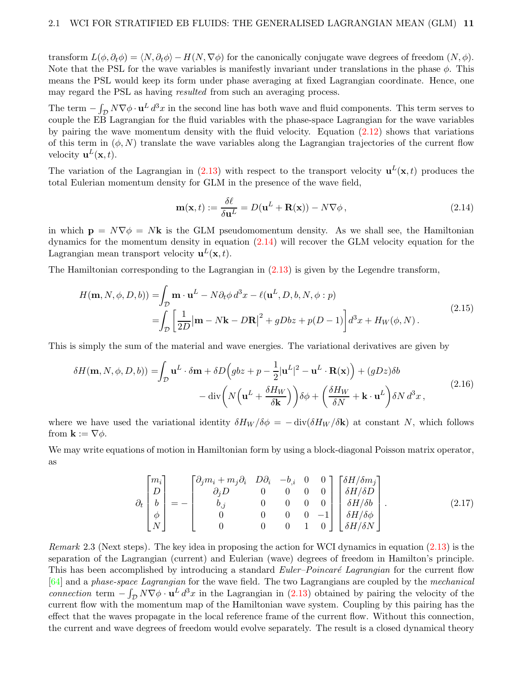transform  $L(\phi, \partial_t \phi) = \langle N, \partial_t \phi \rangle - H(N, \nabla \phi)$  for the canonically conjugate wave degrees of freedom  $(N, \phi)$ . Note that the PSL for the wave variables is manifestly invariant under translations in the phase  $\phi$ . This means the PSL would keep its form under phase averaging at fixed Lagrangian coordinate. Hence, one may regard the PSL as having resulted from such an averaging process.

The term  $-\int_{\mathcal{D}} N\nabla\phi \cdot \mathbf{u}^{L} d^{3}x$  in the second line has both wave and fluid components. This term serves to couple the EB Lagrangian for the fluid variables with the phase-space Lagrangian for the wave variables by pairing the wave momentum density with the fluid velocity. Equation [\(2.12\)](#page-9-2) shows that variations of this term in  $(\phi, N)$  translate the wave variables along the Lagrangian trajectories of the current flow velocity  $\mathbf{u}^{L}(\mathbf{x},t)$ .

The variation of the Lagrangian in  $(2.13)$  with respect to the transport velocity  $\mathbf{u}^{L}(\mathbf{x},t)$  produces the total Eulerian momentum density for GLM in the presence of the wave field,

<span id="page-10-2"></span><span id="page-10-0"></span>
$$
\mathbf{m}(\mathbf{x},t) := \frac{\delta \ell}{\delta \mathbf{u}^L} = D(\mathbf{u}^L + \mathbf{R}(\mathbf{x})) - N \nabla \phi, \qquad (2.14)
$$

in which  $\mathbf{p} = N\nabla\phi = N\mathbf{k}$  is the GLM pseudomomentum density. As we shall see, the Hamiltonian dynamics for the momentum density in equation [\(2.14\)](#page-10-0) will recover the GLM velocity equation for the Lagrangian mean transport velocity  $\mathbf{u}^{L}(\mathbf{x},t)$ .

The Hamiltonian corresponding to the Lagrangian in [\(2.13\)](#page-9-1) is given by the Legendre transform,

$$
H(\mathbf{m}, N, \phi, D, b)) = \int_{\mathcal{D}} \mathbf{m} \cdot \mathbf{u}^{L} - N \partial_{t} \phi \, d^{3} x - \ell(\mathbf{u}^{L}, D, b, N, \phi : p)
$$
\n
$$
= \int_{\mathcal{D}} \left[ \frac{1}{2D} |\mathbf{m} - N\mathbf{k} - D\mathbf{R}|^{2} + gDbz + p(D - 1) \right] d^{3} x + H_{W}(\phi, N) . \tag{2.15}
$$

This is simply the sum of the material and wave energies. The variational derivatives are given by

$$
\delta H(\mathbf{m}, N, \phi, D, b)) = \int_{\mathcal{D}} \mathbf{u}^{L} \cdot \delta \mathbf{m} + \delta D \Big( g b z + p - \frac{1}{2} |\mathbf{u}^{L}|^{2} - \mathbf{u}^{L} \cdot \mathbf{R}(\mathbf{x}) \Big) + (g D z) \delta b - \operatorname{div} \left( N \Big( \mathbf{u}^{L} + \frac{\delta H_{W}}{\delta \mathbf{k}} \Big) \right) \delta \phi + \left( \frac{\delta H_{W}}{\delta N} + \mathbf{k} \cdot \mathbf{u}^{L} \right) \delta N d^{3} x, \tag{2.16}
$$

where we have used the variational identity  $\delta H_W / \delta \phi = - \text{div}(\delta H_W / \delta \mathbf{k})$  at constant N, which follows from  $\mathbf{k} := \nabla \phi$ .

We may write equations of motion in Hamiltonian form by using a block-diagonal Poisson matrix operator, as

<span id="page-10-1"></span>
$$
\partial_t \begin{bmatrix} m_i \\ D \\ b \\ \phi \\ N \end{bmatrix} = - \begin{bmatrix} \partial_j m_i + m_j \partial_i & D\partial_i & -b_{,i} & 0 & 0 \\ 0 & 0 & 0 & 0 & 0 & 0 \\ b_{,j} & 0 & 0 & 0 & 0 & 0 \\ 0 & 0 & 0 & 0 & -1 & 0 \\ 0 & 0 & 0 & 1 & 0 & 0 \end{bmatrix} \begin{bmatrix} \delta H/\delta m_j \\ \delta H/\delta D \\ \delta H/\delta b \\ \delta H/\delta \phi \\ \delta H/\delta N \end{bmatrix} . \tag{2.17}
$$

*Remark* 2.3 (Next steps). The key idea in proposing the action for WCI dynamics in equation  $(2.13)$  is the separation of the Lagrangian (current) and Eulerian (wave) degrees of freedom in Hamilton's principle. This has been accomplished by introducing a standard *Euler–Poincaré Lagrangian* for the current flow [\[64\]](#page-44-6) and a phase-space Lagrangian for the wave field. The two Lagrangians are coupled by the mechanical connection term  $-\int_{\mathcal{D}} N\nabla\phi \cdot \mathbf{u}^L d^3x$  in the Lagrangian in [\(2.13\)](#page-9-1) obtained by pairing the velocity of the current flow with the momentum map of the Hamiltonian wave system. Coupling by this pairing has the effect that the waves propagate in the local reference frame of the current flow. Without this connection, the current and wave degrees of freedom would evolve separately. The result is a closed dynamical theory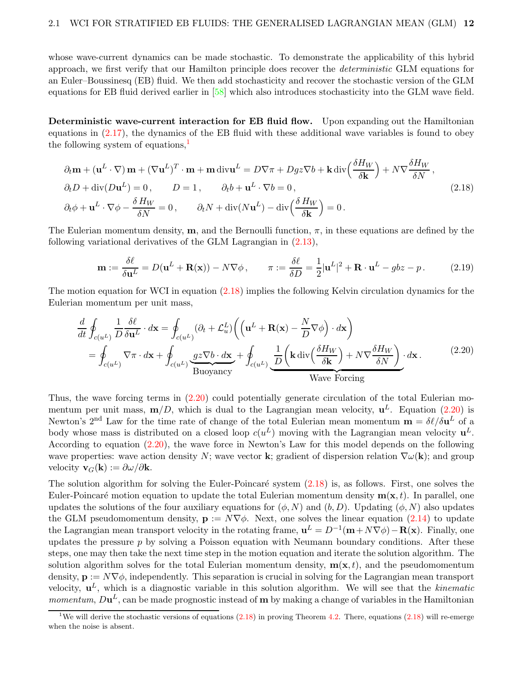whose wave-current dynamics can be made stochastic. To demonstrate the applicability of this hybrid approach, we first verify that our Hamilton principle does recover the deterministic GLM equations for an Euler–Boussinesq (EB) fluid. We then add stochasticity and recover the stochastic version of the GLM equations for EB fluid derived earlier in [\[58\]](#page-44-5) which also introduces stochasticity into the GLM wave field.

Deterministic wave-current interaction for EB fluid flow. Upon expanding out the Hamiltonian equations in [\(2.17\)](#page-10-1), the dynamics of the EB fluid with these additional wave variables is found to obey the following system of equations, $\frac{1}{2}$  $\frac{1}{2}$  $\frac{1}{2}$ 

$$
\partial_t \mathbf{m} + (\mathbf{u}^L \cdot \nabla) \mathbf{m} + (\nabla \mathbf{u}^L)^T \cdot \mathbf{m} + \mathbf{m} \operatorname{div} \mathbf{u}^L = D \nabla \pi + D g z \nabla b + \mathbf{k} \operatorname{div} \left( \frac{\delta H_W}{\delta \mathbf{k}} \right) + N \nabla \frac{\delta H_W}{\delta N},
$$
\n
$$
\partial_t D + \operatorname{div} (D \mathbf{u}^L) = 0, \qquad D = 1, \qquad \partial_t b + \mathbf{u}^L \cdot \nabla b = 0,
$$
\n
$$
\partial_t \phi + \mathbf{u}^L \cdot \nabla \phi - \frac{\delta H_W}{\delta N} = 0, \qquad \partial_t N + \operatorname{div} (N \mathbf{u}^L) - \operatorname{div} \left( \frac{\delta H_W}{\delta \mathbf{k}} \right) = 0.
$$
\n(2.18)

The Eulerian momentum density,  $\mathbf{m}$ , and the Bernoulli function,  $\pi$ , in these equations are defined by the following variational derivatives of the GLM Lagrangian in [\(2.13\)](#page-9-1),

<span id="page-11-3"></span><span id="page-11-1"></span><span id="page-11-0"></span>
$$
\mathbf{m} := \frac{\delta \ell}{\delta \mathbf{u}^L} = D(\mathbf{u}^L + \mathbf{R}(\mathbf{x})) - N \nabla \phi, \qquad \pi := \frac{\delta \ell}{\delta D} = \frac{1}{2} |\mathbf{u}^L|^2 + \mathbf{R} \cdot \mathbf{u}^L - g b z - p. \tag{2.19}
$$

The motion equation for WCI in equation [\(2.18\)](#page-11-0) implies the following Kelvin circulation dynamics for the Eulerian momentum per unit mass,

$$
\frac{d}{dt} \oint_{c(u^L)} \frac{1}{D} \frac{\delta \ell}{\delta \mathbf{u}^L} \cdot d\mathbf{x} = \oint_{c(u^L)} (\partial_t + \mathcal{L}_u^L) \left( \left( \mathbf{u}^L + \mathbf{R}(\mathbf{x}) - \frac{N}{D} \nabla \phi \right) \cdot d\mathbf{x} \right) \n= \oint_{c(u^L)} \nabla \pi \cdot d\mathbf{x} + \oint_{c(u^L)} \underbrace{gz \nabla b \cdot d\mathbf{x}}_{\text{Buoyancy}} + \oint_{c(u^L)} \underbrace{\frac{1}{D} \left( \mathbf{k} \operatorname{div} \left( \frac{\delta H_W}{\delta \mathbf{k}} \right) + N \nabla \frac{\delta H_W}{\delta N} \right)}_{\text{Wave Forcing}} \cdot d\mathbf{x}.
$$
\n(2.20)

Thus, the wave forcing terms in [\(2.20\)](#page-11-1) could potentially generate circulation of the total Eulerian momentum per unit mass,  $\mathbf{m}/D$ , which is dual to the Lagrangian mean velocity,  $\mathbf{u}^{L}$ . Equation [\(2.20\)](#page-11-1) is Newton's 2<sup>nd</sup> Law for the time rate of change of the total Eulerian mean momentum  $\mathbf{m} = \delta \ell / \delta \mathbf{u}^L$  of a body whose mass is distributed on a closed loop  $c(u^L)$  moving with the Lagrangian mean velocity  $u^L$ . According to equation  $(2.20)$ , the wave force in Newton's Law for this model depends on the following wave properties: wave action density N; wave vector k; gradient of dispersion relation  $\nabla\omega(\mathbf{k})$ ; and group velocity  $\mathbf{v}_G(\mathbf{k}) := \partial \omega / \partial \mathbf{k}$ .

The solution algorithm for solving the Euler-Poincaré system  $(2.18)$  is, as follows. First, one solves the Euler-Poincaré motion equation to update the total Eulerian momentum density  $m(x, t)$ . In parallel, one updates the solutions of the four auxiliary equations for  $(\phi, N)$  and  $(b, D)$ . Updating  $(\phi, N)$  also updates the GLM pseudomomentum density,  $\mathbf{p} := N \nabla \phi$ . Next, one solves the linear equation [\(2.14\)](#page-10-0) to update the Lagrangian mean transport velocity in the rotating frame,  $\mathbf{u}^L = D^{-1}(\mathbf{m} + N\bar{\nabla}\phi) - \mathbf{R}(\mathbf{x})$ . Finally, one updates the pressure  $p$  by solving a Poisson equation with Neumann boundary conditions. After these steps, one may then take the next time step in the motion equation and iterate the solution algorithm. The solution algorithm solves for the total Eulerian momentum density,  $\mathbf{m}(\mathbf{x}, t)$ , and the pseudomomentum density,  $\mathbf{p} := N \nabla \phi$ , independently. This separation is crucial in solving for the Lagrangian mean transport velocity,  $\mathbf{u}^{L}$ , which is a diagnostic variable in this solution algorithm. We will see that the kinematic *momentum*,  $D\mathbf{u}^L$ , can be made prognostic instead of **m** by making a change of variables in the Hamiltonian

<span id="page-11-2"></span><sup>&</sup>lt;sup>1</sup>We will derive the stochastic versions of equations  $(2.18)$  in proving Theorem [4.2.](#page-18-0) There, equations  $(2.18)$  will re-emerge when the noise is absent.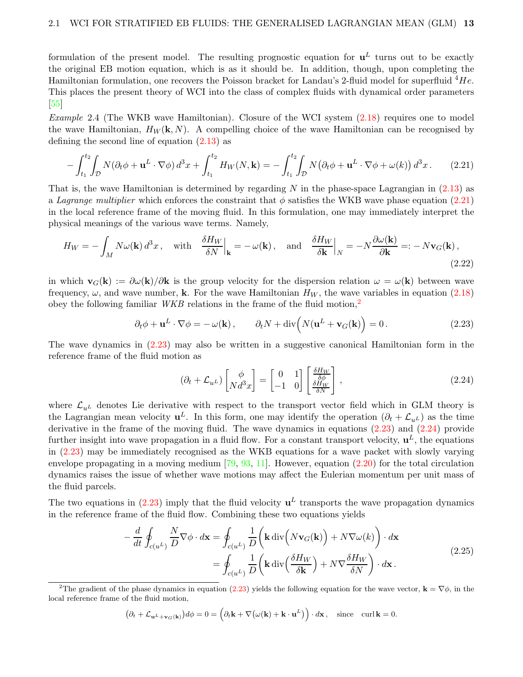formulation of the present model. The resulting prognostic equation for  $\mathbf{u}^L$  turns out to be exactly the original EB motion equation, which is as it should be. In addition, though, upon completing the Hamiltonian formulation, one recovers the Poisson bracket for Landau's 2-fluid model for superfluid  $^4He$ . This places the present theory of WCI into the class of complex fluids with dynamical order parameters [\[55\]](#page-44-10)

<span id="page-12-6"></span>*Example 2.4* (The WKB wave Hamiltonian). Closure of the WCI system  $(2.18)$  requires one to model the wave Hamiltonian,  $H_W(\mathbf{k}, N)$ . A compelling choice of the wave Hamiltonian can be recognised by defining the second line of equation  $(2.13)$  as

$$
-\int_{t_1}^{t_2} \int_{\mathcal{D}} N(\partial_t \phi + \mathbf{u}^L \cdot \nabla \phi) d^3 x + \int_{t_1}^{t_2} H_W(N, \mathbf{k}) = -\int_{t_1}^{t_2} \int_{\mathcal{D}} N(\partial_t \phi + \mathbf{u}^L \cdot \nabla \phi + \omega(k)) d^3 x. \tag{2.21}
$$

That is, the wave Hamiltonian is determined by regarding N in the phase-space Lagrangian in  $(2.13)$  as a Lagrange multiplier which enforces the constraint that  $\phi$  satisfies the WKB wave phase equation [\(2.21\)](#page-12-1) in the local reference frame of the moving fluid. In this formulation, one may immediately interpret the physical meanings of the various wave terms. Namely,

$$
H_W = -\int_M N\omega(\mathbf{k}) d^3x, \quad \text{with} \quad \frac{\delta H_W}{\delta N}\Big|_{\mathbf{k}} = -\omega(\mathbf{k}), \quad \text{and} \quad \frac{\delta H_W}{\delta \mathbf{k}}\Big|_N = -N\frac{\partial \omega(\mathbf{k})}{\partial \mathbf{k}} =: -N\mathbf{v}_G(\mathbf{k}),\tag{2.22}
$$

in which  $\mathbf{v}_G(\mathbf{k}) := \partial \omega(\mathbf{k})/\partial \mathbf{k}$  is the group velocity for the dispersion relation  $\omega = \omega(\mathbf{k})$  between wave frequency,  $\omega$ , and wave number, k. For the wave Hamiltonian  $H_W$ , the wave variables in equation [\(2.18\)](#page-11-0) obey the following familiar *WKB* relations in the frame of the fluid motion,<sup>[2](#page-12-2)</sup>

$$
\partial_t \phi + \mathbf{u}^L \cdot \nabla \phi = -\omega(\mathbf{k}), \qquad \partial_t N + \text{div}\left(N(\mathbf{u}^L + \mathbf{v}_G(\mathbf{k})\right) = 0. \tag{2.23}
$$

The wave dynamics in [\(2.23\)](#page-12-3) may also be written in a suggestive canonical Hamiltonian form in the reference frame of the fluid motion as

<span id="page-12-5"></span><span id="page-12-4"></span><span id="page-12-3"></span><span id="page-12-1"></span><span id="page-12-0"></span>
$$
(\partial_t + \mathcal{L}_{u^L}) \begin{bmatrix} \phi \\ N d^3 x \end{bmatrix} = \begin{bmatrix} 0 & 1 \\ -1 & 0 \end{bmatrix} \begin{bmatrix} \frac{\delta H_W}{\delta \phi} \\ \frac{\delta H_W}{\delta N} \end{bmatrix},
$$
\n(2.24)

where  $\mathcal{L}_{uL}$  denotes Lie derivative with respect to the transport vector field which in GLM theory is the Lagrangian mean velocity  $\mathbf{u}^L$ . In this form, one may identify the operation  $(\partial_t + \mathcal{L}_{u^L})$  as the time derivative in the frame of the moving fluid. The wave dynamics in equations [\(2.23\)](#page-12-3) and [\(2.24\)](#page-12-4) provide further insight into wave propagation in a fluid flow. For a constant transport velocity,  $\mathbf{u}^{L}$ , the equations in [\(2.23\)](#page-12-3) may be immediately recognised as the WKB equations for a wave packet with slowly varying envelope propagating in a moving medium [\[79,](#page-45-11) [93,](#page-46-2) [11\]](#page-41-12). However, equation [\(2.20\)](#page-11-1) for the total circulation dynamics raises the issue of whether wave motions may affect the Eulerian momentum per unit mass of the fluid parcels.

The two equations in  $(2.23)$  imply that the fluid velocity  $\mathbf{u}^L$  transports the wave propagation dynamics in the reference frame of the fluid flow. Combining these two equations yields

$$
-\frac{d}{dt}\oint_{c(u^L)}\frac{N}{D}\nabla\phi \cdot d\mathbf{x} = \oint_{c(u^L)}\frac{1}{D}\left(\mathbf{k}\operatorname{div}\left(N\mathbf{v}_G(\mathbf{k})\right) + N\nabla\omega(k)\right) \cdot d\mathbf{x}
$$
  

$$
= \oint_{c(u^L)}\frac{1}{D}\left(\mathbf{k}\operatorname{div}\left(\frac{\delta H_W}{\delta \mathbf{k}}\right) + N\nabla\frac{\delta H_W}{\delta N}\right) \cdot d\mathbf{x}.
$$
 (2.25)

$$
(\partial_t + \mathcal{L}_{\mathbf{u}^L + \mathbf{v}_G(\mathbf{k})})d\phi = 0 = \left(\partial_t \mathbf{k} + \nabla(\omega(\mathbf{k}) + \mathbf{k} \cdot \mathbf{u}^L)\right) \cdot d\mathbf{x}, \text{ since curl } \mathbf{k} = 0.
$$

<span id="page-12-2"></span><sup>&</sup>lt;sup>2</sup>The gradient of the phase dynamics in equation [\(2.23\)](#page-12-3) yields the following equation for the wave vector,  $\mathbf{k} = \nabla \phi$ , in the local reference frame of the fluid motion,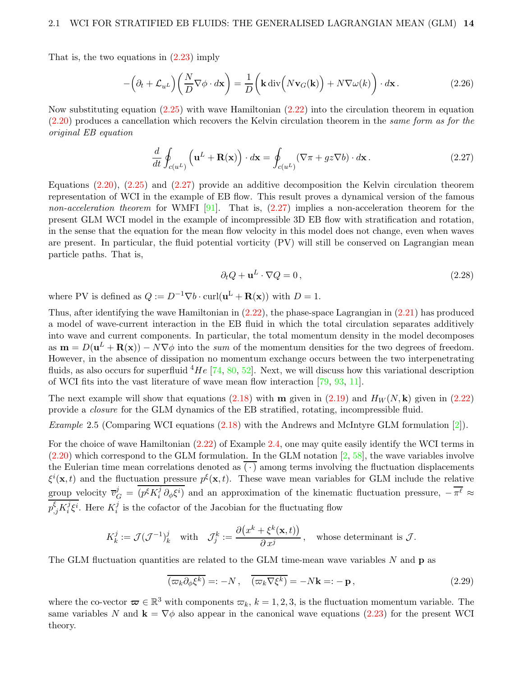That is, the two equations in [\(2.23\)](#page-12-3) imply

$$
-\left(\partial_t + \mathcal{L}_{u^L}\right)\left(\frac{N}{D}\nabla\phi \cdot d\mathbf{x}\right) = \frac{1}{D}\left(\mathbf{k}\operatorname{div}\left(N\mathbf{v}_G(\mathbf{k})\right) + N\nabla\omega(k)\right) \cdot d\mathbf{x}.
$$
 (2.26)

Now substituting equation  $(2.25)$  with wave Hamiltonian  $(2.22)$  into the circulation theorem in equation [\(2.20\)](#page-11-1) produces a cancellation which recovers the Kelvin circulation theorem in the same form as for the original EB equation

$$
\frac{d}{dt} \oint_{c(u^L)} \left( \mathbf{u}^L + \mathbf{R}(\mathbf{x}) \right) \cdot d\mathbf{x} = \oint_{c(u^L)} (\nabla \pi + gz \nabla b) \cdot d\mathbf{x} \,. \tag{2.27}
$$

Equations [\(2.20\)](#page-11-1), [\(2.25\)](#page-12-0) and [\(2.27\)](#page-13-0) provide an additive decomposition the Kelvin circulation theorem representation of WCI in the example of EB flow. This result proves a dynamical version of the famous non-acceleration theorem for WMFI [\[91\]](#page-46-1). That is,  $(2.27)$  implies a non-acceleration theorem for the present GLM WCI model in the example of incompressible 3D EB flow with stratification and rotation, in the sense that the equation for the mean flow velocity in this model does not change, even when waves are present. In particular, the fluid potential vorticity (PV) will still be conserved on Lagrangian mean particle paths. That is,

<span id="page-13-1"></span><span id="page-13-0"></span>
$$
\partial_t Q + \mathbf{u}^L \cdot \nabla Q = 0, \qquad (2.28)
$$

where PV is defined as  $Q := D^{-1} \nabla b \cdot \text{curl}(\mathbf{u}^{\text{L}} + \mathbf{R}(\mathbf{x}))$  with  $D = 1$ .

Thus, after identifying the wave Hamiltonian in [\(2.22\)](#page-12-5), the phase-space Lagrangian in [\(2.21\)](#page-12-1) has produced a model of wave-current interaction in the EB fluid in which the total circulation separates additively into wave and current components. In particular, the total momentum density in the model decomposes as  $\mathbf{m} = D(\mathbf{u}^L + \mathbf{R}(\mathbf{x})) - N \nabla \phi$  into the sum of the momentum densities for the two degrees of freedom. However, in the absence of dissipation no momentum exchange occurs between the two interpenetrating fluids, as also occurs for superfluid  ${}^{4}He$  [\[74,](#page-45-9) [80,](#page-45-10) [52\]](#page-44-11). Next, we will discuss how this variational description of WCI fits into the vast literature of wave mean flow interaction [\[79,](#page-45-11) [93,](#page-46-2) [11\]](#page-41-12).

The next example will show that equations [\(2.18\)](#page-11-0) with **m** given in [\(2.19\)](#page-11-3) and  $H_W(N, \mathbf{k})$  given in [\(2.22\)](#page-12-5) provide a closure for the GLM dynamics of the EB stratified, rotating, incompressible fluid.

Example 2.5 (Comparing WCI equations  $(2.18)$  with the Andrews and McIntyre GLM formulation [\[2\]](#page-41-0)).

For the choice of wave Hamiltonian [\(2.22\)](#page-12-5) of Example [2.4,](#page-12-6) one may quite easily identify the WCI terms in  $(2.20)$  which correspond to the GLM formulation. In the GLM notation  $[2, 58]$  $[2, 58]$ , the wave variables involve the Eulerian time mean correlations denoted as  $(\cdot)$  among terms involving the fluctuation displacements  $\xi^i(\mathbf{x},t)$  and the fluctuation pressure  $p^{\xi}(\mathbf{x},t)$ . These wave mean variables for GLM include the relative group velocity  $\overline{v}_G^j = (p^{\xi} K_i^j)$ <sup>*j*</sup>  $\partial_{\phi} \xi^{i}$  and an approximation of the kinematic fluctuation pressure,  $-\pi^{\ell} \approx$  $p_{,j}^{\xi}K_{i}^{j}$  $i \xi^i$ . Here  $K_i^j$  $i$  is the cofactor of the Jacobian for the fluctuating flow

$$
K^j_k := \mathcal{J}(\mathcal{J}^{-1})^j_k \quad \text{with} \quad \mathcal{J}^k_j := \frac{\partial \big(x^k + \xi^k(\mathbf{x},t)\big)}{\partial \, x^j}\,, \quad \text{whose determinant is $\mathcal{J}$.}
$$

The GLM fluctuation quantities are related to the GLM time-mean wave variables  $N$  and  $p$  as

$$
\overline{(\varpi_k \partial_\phi \xi^k)} =: -N \,, \quad \overline{(\varpi_k \nabla \xi^k)} = -N\mathbf{k} =: -\mathbf{p} \,, \tag{2.29}
$$

where the co-vector  $\boldsymbol{\varpi} \in \mathbb{R}^3$  with components  $\varpi_k$ ,  $k = 1, 2, 3$ , is the fluctuation momentum variable. The same variables N and  $\mathbf{k} = \nabla \phi$  also appear in the canonical wave equations [\(2.23\)](#page-12-3) for the present WCI theory.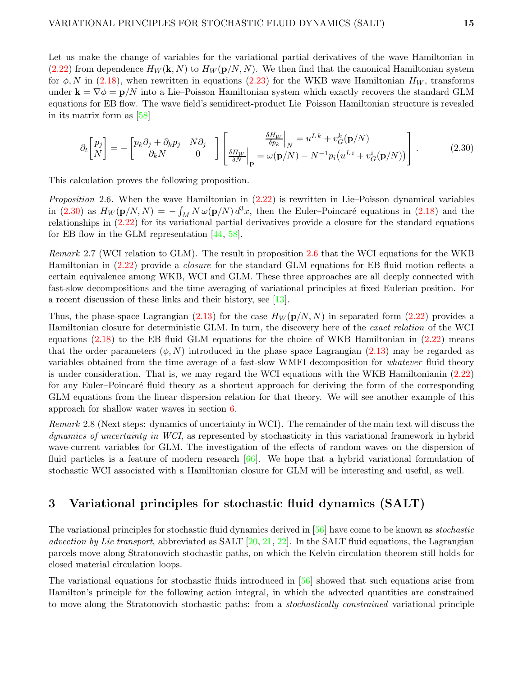Let us make the change of variables for the variational partial derivatives of the wave Hamiltonian in  $(2.22)$  from dependence  $H_W(\mathbf{k}, N)$  to  $H_W(\mathbf{p}/N, N)$ . We then find that the canonical Hamiltonian system for  $\phi$ , N in [\(2.18\)](#page-11-0), when rewritten in equations [\(2.23\)](#page-12-3) for the WKB wave Hamiltonian  $H_W$ , transforms under  $\mathbf{k} = \nabla \phi = \mathbf{p}/N$  into a Lie–Poisson Hamiltonian system which exactly recovers the standard GLM equations for EB flow. The wave field's semidirect-product Lie–Poisson Hamiltonian structure is revealed in its matrix form as [\[58\]](#page-44-5)

<span id="page-14-1"></span>
$$
\partial_t \begin{bmatrix} p_j \\ N \end{bmatrix} = - \begin{bmatrix} p_k \partial_j + \partial_k p_j & N \partial_j \\ \partial_k N & 0 \end{bmatrix} \begin{bmatrix} \frac{\delta H_W}{\delta p_k} \Big|_N = u^{Lk} + v_G^k(\mathbf{p}/N) \\ \frac{\delta H_W}{\delta N} \Big|_{\mathbf{p}} = \omega(\mathbf{p}/N) - N^{-1} p_i \left( u^{Li} + v_G^i(\mathbf{p}/N) \right) \end{bmatrix} . \tag{2.30}
$$

This calculation proves the following proposition.

<span id="page-14-2"></span>*Proposition* 2.6. When the wave Hamiltonian in  $(2.22)$  is rewritten in Lie–Poisson dynamical variables in [\(2.30\)](#page-14-1) as  $H_W(\mathbf{p}/N, N) = -\int_M N \omega(\mathbf{p}/N) d^3x$ , then the Euler–Poincaré equations in [\(2.18\)](#page-11-0) and the relationships in [\(2.22\)](#page-12-5) for its variational partial derivatives provide a closure for the standard equations for EB flow in the GLM representation [\[44,](#page-43-2) [58\]](#page-44-5).

Remark 2.7 (WCI relation to GLM). The result in proposition [2.6](#page-14-2) that the WCI equations for the WKB Hamiltonian in [\(2.22\)](#page-12-5) provide a closure for the standard GLM equations for EB fluid motion reflects a certain equivalence among WKB, WCI and GLM. These three approaches are all deeply connected with fast-slow decompositions and the time averaging of variational principles at fixed Eulerian position. For a recent discussion of these links and their history, see [\[13\]](#page-41-1).

Thus, the phase-space Lagrangian [\(2.13\)](#page-9-1) for the case  $H_W(p/N, N)$  in separated form [\(2.22\)](#page-12-5) provides a Hamiltonian closure for deterministic GLM. In turn, the discovery here of the exact relation of the WCI equations [\(2.18\)](#page-11-0) to the EB fluid GLM equations for the choice of WKB Hamiltonian in [\(2.22\)](#page-12-5) means that the order parameters  $(\phi, N)$  introduced in the phase space Lagrangian [\(2.13\)](#page-9-1) may be regarded as variables obtained from the time average of a fast-slow WMFI decomposition for whatever fluid theory is under consideration. That is, we may regard the WCI equations with the WKB Hamiltonianin [\(2.22\)](#page-12-5) for any Euler–Poincaré fluid theory as a shortcut approach for deriving the form of the corresponding GLM equations from the linear dispersion relation for that theory. We will see another example of this approach for shallow water waves in section [6.](#page-24-0)

Remark 2.8 (Next steps: dynamics of uncertainty in WCI). The remainder of the main text will discuss the dynamics of uncertainty in WCI, as represented by stochasticity in this variational framework in hybrid wave-current variables for GLM. The investigation of the effects of random waves on the dispersion of fluid particles is a feature of modern research [\[66\]](#page-44-12). We hope that a hybrid variational formulation of stochastic WCI associated with a Hamiltonian closure for GLM will be interesting and useful, as well.

### <span id="page-14-0"></span>3 Variational principles for stochastic fluid dynamics (SALT)

The variational principles for stochastic fluid dynamics derived in [\[56\]](#page-44-2) have come to be known as stochastic advection by Lie transport, abbreviated as SALT  $[20, 21, 22]$  $[20, 21, 22]$  $[20, 21, 22]$  $[20, 21, 22]$ . In the SALT fluid equations, the Lagrangian parcels move along Stratonovich stochastic paths, on which the Kelvin circulation theorem still holds for closed material circulation loops.

The variational equations for stochastic fluids introduced in [\[56\]](#page-44-2) showed that such equations arise from Hamilton's principle for the following action integral, in which the advected quantities are constrained to move along the Stratonovich stochastic paths: from a *stochastically constrained* variational principle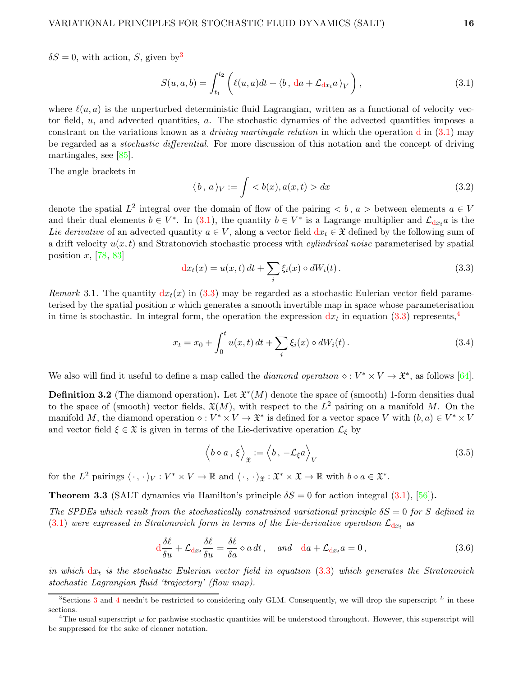$\delta S = 0$ , with action, S, given by<sup>[3](#page-15-0)</sup>

$$
S(u, a, b) = \int_{t_1}^{t_2} \left( \ell(u, a)dt + \langle b, da + \mathcal{L}_{dx_t} a \rangle_V \right), \tag{3.1}
$$

where  $\ell(u, a)$  is the unperturbed deterministic fluid Lagrangian, written as a functional of velocity vector field, u, and advected quantities, a. The stochastic dynamics of the advected quantities imposes a constrant on the variations known as a *driving martingale relation* in which the operation d in  $(3.1)$  may be regarded as a stochastic differential. For more discussion of this notation and the concept of driving martingales, see [\[85\]](#page-45-12).

The angle brackets in

<span id="page-15-1"></span>
$$
\langle b, a \rangle_V := \int \langle b(x), a(x, t) \rangle dx \tag{3.2}
$$

denote the spatial  $L^2$  integral over the domain of flow of the pairing  $\langle b, a \rangle$  between elements  $a \in V$ and their dual elements  $b \in V^*$ . In [\(3.1\)](#page-15-1), the quantity  $b \in V^*$  is a Lagrange multiplier and  $\mathcal{L}_{dx}$  is the Lie derivative of an advected quantity  $a \in V$ , along a vector field  $dx_t \in \mathfrak{X}$  defined by the following sum of a drift velocity  $u(x, t)$  and Stratonovich stochastic process with *cylindrical noise* parameterised by spatial position  $x$ , [\[78,](#page-45-13) [83\]](#page-45-14)

<span id="page-15-2"></span>
$$
dx_t(x) = u(x,t) dt + \sum_i \xi_i(x) \circ dW_i(t).
$$
\n(3.3)

Remark 3.1. The quantity  $dx_t(x)$  in [\(3.3\)](#page-15-2) may be regarded as a stochastic Eulerian vector field parameterised by the spatial position  $x$  which generates a smooth invertible map in space whose parameterisation in time is stochastic. In integral form, the operation the expression  $dx_t$  in equation [\(3.3\)](#page-15-2) represents,<sup>[4](#page-15-3)</sup>

$$
x_t = x_0 + \int_0^t u(x, t) dt + \sum_i \xi_i(x) \circ dW_i(t).
$$
 (3.4)

We also will find it useful to define a map called the *diamond operation*  $\diamond : V^* \times V \to \mathfrak{X}^*$ , as follows [\[64\]](#page-44-6).

**Definition 3.2** (The diamond operation). Let  $\mathfrak{X}^*(M)$  denote the space of (smooth) 1-form densities dual to the space of (smooth) vector fields,  $\mathfrak{X}(M)$ , with respect to the  $L^2$  pairing on a manifold M. On the manifold M, the diamond operation  $\diamond: V^* \times V \to \mathfrak{X}^*$  is defined for a vector space V with  $(b, a) \in V^* \times V$ and vector field  $\xi \in \mathfrak{X}$  is given in terms of the Lie-derivative operation  $\mathcal{L}_{\xi}$  by

<span id="page-15-5"></span><span id="page-15-4"></span>
$$
\langle b \diamond a, \xi \rangle_{\mathfrak{X}} := \langle b, -\mathcal{L}_{\xi} a \rangle_{V}
$$
\n(3.5)

for the L<sup>2</sup> pairings  $\langle \cdot, \cdot \rangle_V : V^* \times V \to \mathbb{R}$  and  $\langle \cdot, \cdot \rangle_{\mathfrak{X}} : \mathfrak{X}^* \times \mathfrak{X} \to \mathbb{R}$  with  $b \diamond a \in \mathfrak{X}^*$ .

**Theorem 3.3** (SALT dynamics via Hamilton's principle  $\delta S = 0$  for action integral [\(3.1\)](#page-15-1), [\[56\]](#page-44-2)).

The SPDEs which result from the stochastically constrained variational principle  $\delta S = 0$  for S defined in  $(3.1)$  were expressed in Stratonovich form in terms of the Lie-derivative operation  $\mathcal{L}_{dx}$  as

$$
\frac{d\delta\ell}{\delta u} + \mathcal{L}_{dx} \frac{\delta\ell}{\delta u} = \frac{\delta\ell}{\delta a} \diamond a \, dt \,, \quad \text{and} \quad da + \mathcal{L}_{dx} a = 0 \,, \tag{3.6}
$$

in which  $dx_t$  is the stochastic Eulerian vector field in equation  $(3.3)$  which generates the Stratonovich stochastic Lagrangian fluid 'trajectory' (flow map).

<sup>&</sup>lt;sup>[3](#page-14-0)</sup>Sections 3 and [4](#page-16-0) needn't be restricted to considering only GLM. Consequently, we will drop the superscript  $^L$  in these sections.

<span id="page-15-3"></span><span id="page-15-0"></span><sup>&</sup>lt;sup>4</sup>The usual superscript  $\omega$  for pathwise stochastic quantities will be understood throughout. However, this superscript will be suppressed for the sake of cleaner notation.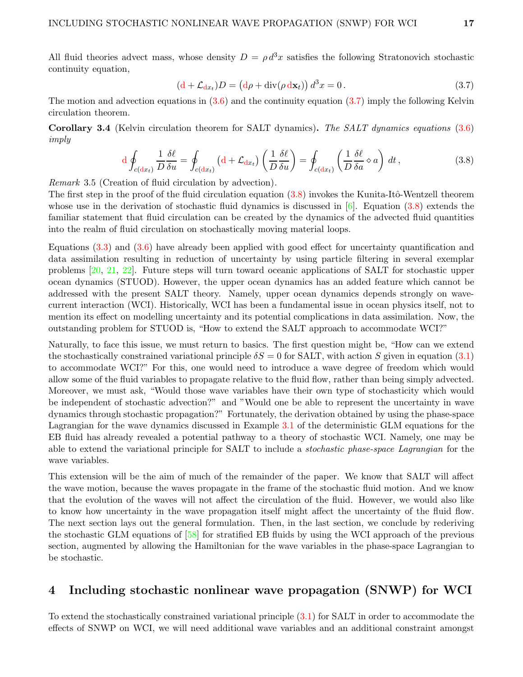<span id="page-16-2"></span><span id="page-16-1"></span>
$$
\left(\mathrm{d} + \mathcal{L}_{\mathrm{d}x} \right)D = \left(\mathrm{d}\rho + \mathrm{div}(\rho \,\mathrm{d}\mathbf{x}_t)\right) d^3 x = 0. \tag{3.7}
$$

The motion and advection equations in  $(3.6)$  and the continuity equation  $(3.7)$  imply the following Kelvin circulation theorem.

Corollary 3.4 (Kelvin circulation theorem for SALT dynamics). The SALT dynamics equations [\(3.6\)](#page-15-4) imply

$$
d \oint_{c(dx_t)} \frac{1}{D} \frac{\delta \ell}{\delta u} = \oint_{c(dx_t)} \left( d + \mathcal{L}_{dx_t} \right) \left( \frac{1}{D} \frac{\delta \ell}{\delta u} \right) = \oint_{c(dx_t)} \left( \frac{1}{D} \frac{\delta \ell}{\delta a} \diamond a \right) dt , \tag{3.8}
$$

Remark 3.5 (Creation of fluid circulation by advection).

The first step in the proof of the fluid circulation equation  $(3.8)$  invokes the Kunita-Itô-Wentzell theorem whose use in the derivation of stochastic fluid dynamics is discussed in  $[6]$ . Equation [\(3.8\)](#page-16-2) extends the familiar statement that fluid circulation can be created by the dynamics of the advected fluid quantities into the realm of fluid circulation on stochastically moving material loops.

Equations [\(3.3\)](#page-15-2) and [\(3.6\)](#page-15-4) have already been applied with good effect for uncertainty quantification and data assimilation resulting in reduction of uncertainty by using particle filtering in several exemplar problems [\[20,](#page-42-5) [21,](#page-42-6) [22\]](#page-42-7). Future steps will turn toward oceanic applications of SALT for stochastic upper ocean dynamics (STUOD). However, the upper ocean dynamics has an added feature which cannot be addressed with the present SALT theory. Namely, upper ocean dynamics depends strongly on wavecurrent interaction (WCI). Historically, WCI has been a fundamental issue in ocean physics itself, not to mention its effect on modelling uncertainty and its potential complications in data assimilation. Now, the outstanding problem for STUOD is, "How to extend the SALT approach to accommodate WCI?"

Naturally, to face this issue, we must return to basics. The first question might be, "How can we extend the stochastically constrained variational principle  $\delta S = 0$  for SALT, with action S given in equation [\(3.1\)](#page-15-1) to accommodate WCI?" For this, one would need to introduce a wave degree of freedom which would allow some of the fluid variables to propagate relative to the fluid flow, rather than being simply advected. Moreover, we must ask, "Would those wave variables have their own type of stochasticity which would be independent of stochastic advection?" and "Would one be able to represent the uncertainty in wave dynamics through stochastic propagation?" Fortunately, the derivation obtained by using the phase-space Lagrangian for the wave dynamics discussed in Example [3.1](#page-15-1) of the deterministic GLM equations for the EB fluid has already revealed a potential pathway to a theory of stochastic WCI. Namely, one may be able to extend the variational principle for SALT to include a stochastic phase-space Lagrangian for the wave variables.

This extension will be the aim of much of the remainder of the paper. We know that SALT will affect the wave motion, because the waves propagate in the frame of the stochastic fluid motion. And we know that the evolution of the waves will not affect the circulation of the fluid. However, we would also like to know how uncertainty in the wave propagation itself might affect the uncertainty of the fluid flow. The next section lays out the general formulation. Then, in the last section, we conclude by rederiving the stochastic GLM equations of [\[58\]](#page-44-5) for stratified EB fluids by using the WCI approach of the previous section, augmented by allowing the Hamiltonian for the wave variables in the phase-space Lagrangian to be stochastic.

## <span id="page-16-0"></span>4 Including stochastic nonlinear wave propagation (SNWP) for WCI

To extend the stochastically constrained variational principle [\(3.1\)](#page-15-1) for SALT in order to accommodate the effects of SNWP on WCI, we will need additional wave variables and an additional constraint amongst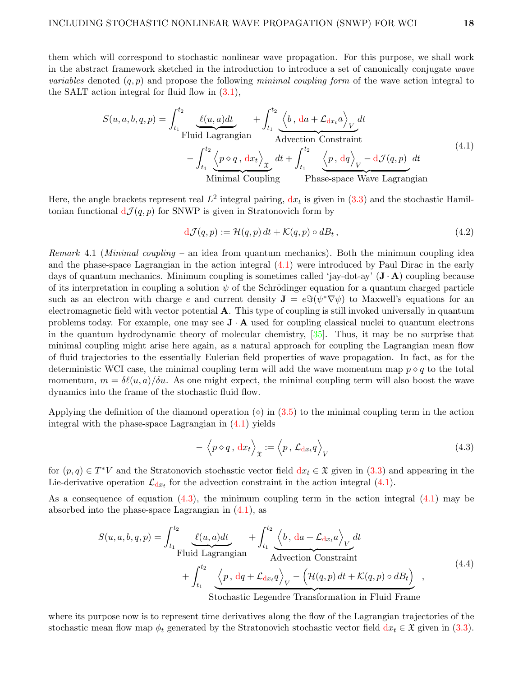them which will correspond to stochastic nonlinear wave propagation. For this purpose, we shall work in the abstract framework sketched in the introduction to introduce a set of canonically conjugate wave *variables* denoted  $(q, p)$  and propose the following minimal coupling form of the wave action integral to the SALT action integral for fluid flow in [\(3.1\)](#page-15-1),

$$
S(u, a, b, q, p) = \int_{t_1}^{t_2} \underbrace{\ell(u, a)dt}_{\text{Fluid Lagrangian}} + \int_{t_1}^{t_2} \underbrace{\langle b, da + \mathcal{L}_{dx_t} a \rangle}_{\text{Advection Constant}} dt
$$
\n
$$
- \int_{t_1}^{t_2} \underbrace{\langle p \diamond q, dx_t \rangle}_{\text{Minimal Coupling}} dt + \int_{t_1}^{t_2} \underbrace{\langle p, dq \rangle}_{V} - d\mathcal{J}(q, p) dt
$$
\n(4.1)

Here, the angle brackets represent real  $L^2$  integral pairing,  $dx_t$  is given in  $(3.3)$  and the stochastic Hamiltonian functional  $d\mathcal{J}(q, p)$  for SNWP is given in Stratonovich form by

<span id="page-17-3"></span><span id="page-17-0"></span>
$$
d\mathcal{J}(q,p) := \mathcal{H}(q,p) dt + \mathcal{K}(q,p) \circ dB_t, \qquad (4.2)
$$

*Remark* 4.1 (*Minimal coupling –* an idea from quantum mechanics). Both the minimum coupling idea and the phase-space Lagrangian in the action integral  $(4.1)$  were introduced by Paul Dirac in the early days of quantum mechanics. Minimum coupling is sometimes called 'jay-dot-ay'  $(\mathbf{J} \cdot \mathbf{A})$  coupling because of its interpretation in coupling a solution  $\psi$  of the Schrödinger equation for a quantum charged particle such as an electron with charge e and current density  $\mathbf{J} = e \Im(\psi^* \nabla \psi)$  to Maxwell's equations for an electromagnetic field with vector potential  $\bf{A}$ . This type of coupling is still invoked universally in quantum problems today. For example, one may see  $J \cdot A$  used for coupling classical nuclei to quantum electrons in the quantum hydrodynamic theory of molecular chemistry, [\[35\]](#page-43-1). Thus, it may be no surprise that minimal coupling might arise here again, as a natural approach for coupling the Lagrangian mean flow of fluid trajectories to the essentially Eulerian field properties of wave propagation. In fact, as for the deterministic WCI case, the minimal coupling term will add the wave momentum map  $p \diamond q$  to the total momentum,  $m = \delta\ell(u,a)/\delta u$ . As one might expect, the minimal coupling term will also boost the wave dynamics into the frame of the stochastic fluid flow.

Applying the definition of the diamond operation  $\circ$ ) in [\(3.5\)](#page-15-5) to the minimal coupling term in the action integral with the phase-space Lagrangian in  $(4.1)$  yields

<span id="page-17-2"></span><span id="page-17-1"></span>
$$
-\left\langle p \diamond q, \, \mathrm{d}x_t \right\rangle_{\mathfrak{X}} := \left\langle p, \, \mathcal{L}_{\mathrm{d}x_t} q \right\rangle_V \tag{4.3}
$$

for  $(p, q) \in T^*V$  and the Stratonovich stochastic vector field  $dx_t \in \mathfrak{X}$  given in [\(3.3\)](#page-15-2) and appearing in the Lie-derivative operation  $\mathcal{L}_{dx}$  for the advection constraint in the action integral [\(4.1\)](#page-17-0).

As a consequence of equation  $(4.3)$ , the minimum coupling term in the action integral  $(4.1)$  may be absorbed into the phase-space Lagrangian in [\(4.1\)](#page-17-0), as

$$
S(u, a, b, q, p) = \int_{t_1}^{t_2} \underbrace{\ell(u, a)dt}_{\text{Fluid Lagrangian}} + \int_{t_1}^{t_2} \underbrace{\langle b, da + \mathcal{L}_{dx_t} a \rangle}_{\text{Advection Constant}} dt + \int_{t_1}^{t_2} \underbrace{\langle p, dq + \mathcal{L}_{dx_t} q \rangle}_{\text{Stochastic Legendre Transformation in Fluid Frame}} (4.4)
$$

where its purpose now is to represent time derivatives along the flow of the Lagrangian trajectories of the stochastic mean flow map  $\phi_t$  generated by the Stratonovich stochastic vector field  $dx_t \in \mathfrak{X}$  given in [\(3.3\)](#page-15-2).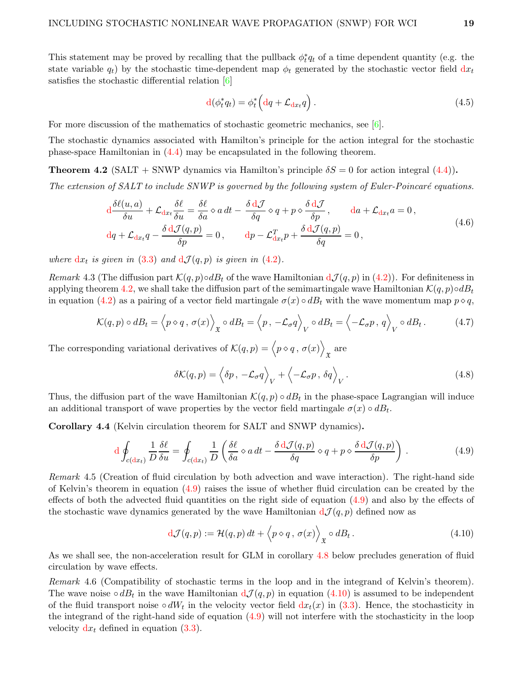This statement may be proved by recalling that the pullback  $\phi_t^*$  $_t^*q_t$  of a time dependent quantity (e.g. the state variable  $q_t$ ) by the stochastic time-dependent map  $\phi_t$  generated by the stochastic vector field  $dx_t$ satisfies the stochastic differential relation [\[6\]](#page-41-13)

$$
\mathbf{d}(\phi_t^* q_t) = \phi_t^* \left( \mathbf{d}q + \mathcal{L}_{\mathbf{d}x_t} q \right). \tag{4.5}
$$

For more discussion of the mathematics of stochastic geometric mechanics, see  $[6]$ .

The stochastic dynamics associated with Hamilton's principle for the action integral for the stochastic phase-space Hamiltonian in [\(4.4\)](#page-17-2) may be encapsulated in the following theorem.

<span id="page-18-0"></span>**Theorem 4.2** (SALT + SNWP dynamics via Hamilton's principle  $\delta S = 0$  for action integral [\(4.4\)](#page-17-2)).

The extension of SALT to include SNWP is governed by the following system of Euler-Poincaré equations.

$$
\frac{d\delta\ell(u,a)}{\delta u} + \mathcal{L}_{dx} \frac{\delta\ell}{\delta u} = \frac{\delta\ell}{\delta a} \diamond a dt - \frac{\delta d\mathcal{J}}{\delta q} \diamond q + p \diamond \frac{\delta d\mathcal{J}}{\delta p}, \quad da + \mathcal{L}_{dx} a = 0,
$$
  

$$
dq + \mathcal{L}_{dx} q - \frac{\delta d\mathcal{J}(q,p)}{\delta p} = 0, \quad dp - \mathcal{L}_{dx}^T p + \frac{\delta d\mathcal{J}(q,p)}{\delta q} = 0,
$$
 (4.6)

where  $dx_t$  is given in [\(3.3\)](#page-15-2) and  $dJ(q, p)$  is given in [\(4.2\)](#page-17-3).

Remark 4.3 (The diffusion part  $\mathcal{K}(q, p) \circ dB_t$  of the wave Hamiltonian  $d\mathcal{J}(q, p)$  in [\(4.2\)](#page-17-3)). For definiteness in applying theorem [4.2,](#page-18-0) we shall take the diffusion part of the semimartingale wave Hamiltonian  $\mathcal{K}(q, p) \circ dB_t$ in equation [\(4.2\)](#page-17-3) as a pairing of a vector field martingale  $\sigma(x) \circ dB_t$  with the wave momentum map  $p \circ q$ ,

$$
\mathcal{K}(q, p) \circ dB_t = \left\langle p \circ q, \sigma(x) \right\rangle_{\mathfrak{X}} \circ dB_t = \left\langle p, -\mathcal{L}_\sigma q \right\rangle_V \circ dB_t = \left\langle -\mathcal{L}_\sigma p, q \right\rangle_V \circ dB_t. \tag{4.7}
$$

The corresponding variational derivatives of  $\mathcal{K}(q, p) = \langle p \diamond q, \sigma(x) \rangle$ X are

<span id="page-18-3"></span><span id="page-18-1"></span>
$$
\delta \mathcal{K}(q, p) = \left\langle \delta p, -\mathcal{L}_{\sigma} q \right\rangle_{V} + \left\langle -\mathcal{L}_{\sigma} p, \delta q \right\rangle_{V}.
$$
\n(4.8)

Thus, the diffusion part of the wave Hamiltonian  $\mathcal{K}(q,p) \circ dB_t$  in the phase-space Lagrangian will induce an additional transport of wave properties by the vector field martingale  $\sigma(x) \circ dB_t$ .

<span id="page-18-4"></span>Corollary 4.4 (Kelvin circulation theorem for SALT and SNWP dynamics).

$$
d \oint_{c(dx_t)} \frac{1}{D} \frac{\delta \ell}{\delta u} = \oint_{c(dx_t)} \frac{1}{D} \left( \frac{\delta \ell}{\delta a} \diamond a dt - \frac{\delta d \mathcal{J}(q, p)}{\delta q} \diamond q + p \diamond \frac{\delta d \mathcal{J}(q, p)}{\delta p} \right) . \tag{4.9}
$$

Remark 4.5 (Creation of fluid circulation by both advection and wave interaction). The right-hand side of Kelvin's theorem in equation  $(4.9)$  raises the issue of whether fluid circulation can be created by the effects of both the advected fluid quantities on the right side of equation [\(4.9\)](#page-18-1) and also by the effects of the stochastic wave dynamics generated by the wave Hamiltonian  $d\mathcal{J}(q, p)$  defined now as

<span id="page-18-2"></span>
$$
d\mathcal{J}(q,p) := \mathcal{H}(q,p) dt + \langle p \diamond q, \sigma(x) \rangle_{\mathfrak{X}} \circ dB_t.
$$
 (4.10)

As we shall see, the non-acceleration result for GLM in corollary [4.8](#page-19-0) below precludes generation of fluid circulation by wave effects.

Remark 4.6 (Compatibility of stochastic terms in the loop and in the integrand of Kelvin's theorem). The wave noise ∘  $dB_t$  in the wave Hamiltonian  $d\mathcal{J}(q,p)$  in equation  $(4.10)$  is assumed to be independent of the fluid transport noise ∘  $dW_t$  in the velocity vector field  $dx_t(x)$  in [\(3.3\)](#page-15-2). Hence, the stochasticity in the integrand of the right-hand side of equation [\(4.9\)](#page-18-1) will not interfere with the stochasticity in the loop velocity  $dx_t$  defined in equation [\(3.3\)](#page-15-2).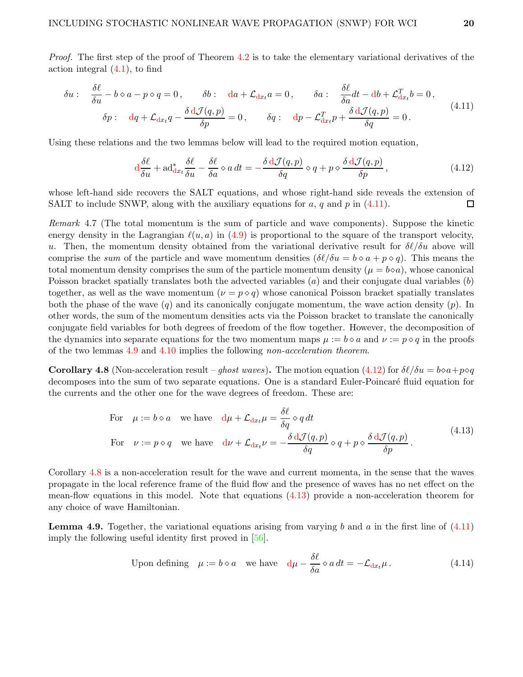Proof. The first step of the proof of Theorem [4.2](#page-18-0) is to take the elementary variational derivatives of the action integral  $(4.1)$ , to find

$$
\delta u: \quad \frac{\delta \ell}{\delta u} - b \diamond a - p \diamond q = 0, \qquad \delta b: \quad da + \mathcal{L}_{dx_t} a = 0, \qquad \delta a: \quad \frac{\delta \ell}{\delta a} dt - db + \mathcal{L}_{dx_t}^T b = 0, \n\delta p: \quad dq + \mathcal{L}_{dx_t} q - \frac{\delta d \mathcal{J}(q, p)}{\delta p} = 0, \qquad \delta q: \quad dp - \mathcal{L}_{dx_t}^T p + \frac{\delta d \mathcal{J}(q, p)}{\delta q} = 0.
$$
\n
$$
(4.11)
$$

Using these relations and the two lemmas below will lead to the required motion equation,

<span id="page-19-3"></span><span id="page-19-1"></span>
$$
\frac{d\delta\ell}{\delta u} + \mathrm{ad}^*_{\mathrm{d}x_t} \frac{\delta\ell}{\delta u} - \frac{\delta\ell}{\delta a} \diamond a \, dt = -\frac{\delta \, \mathrm{d}\mathcal{J}(q, p)}{\delta q} \diamond q + p \diamond \frac{\delta \, \mathrm{d}\mathcal{J}(q, p)}{\delta p},\tag{4.12}
$$

whose left-hand side recovers the SALT equations, and whose right-hand side reveals the extension of SALT to include SNWP, along with the auxiliary equations for a, q and p in  $(4.11)$ .  $\Box$ 

Remark 4.7 (The total momentum is the sum of particle and wave components). Suppose the kinetic energy density in the Lagrangian  $\ell(u, a)$  in [\(4.9\)](#page-18-1) is proportional to the square of the transport velocity, u. Then, the momentum density obtained from the variational derivative result for  $\delta\ell/\delta u$  above will comprise the sum of the particle and wave momentum densities  $(\delta\ell/\delta u = b \circ a + p \circ q)$ . This means the total momentum density comprises the sum of the particle momentum density ( $\mu = b \diamond a$ ), whose canonical Poisson bracket spatially translates both the advected variables  $(a)$  and their conjugate dual variables  $(b)$ together, as well as the wave momentum  $(\nu = p \circ q)$  whose canonical Poisson bracket spatially translates both the phase of the wave  $(q)$  and its canonically conjugate momentum, the wave action density  $(p)$ . In other words, the sum of the momentum densities acts via the Poisson bracket to translate the canonically conjugate field variables for both degrees of freedom of the flow together. However, the decomposition of the dynamics into separate equations for the two momentum maps  $\mu := b \diamond a$  and  $\nu := p \diamond q$  in the proofs of the two lemmas [4.9](#page-19-2) and [4.10](#page-20-0) implies the following non-acceleration theorem.

<span id="page-19-0"></span>**Corollary 4.8** (Non-acceleration result – ghost waves). The motion equation [\(4.12\)](#page-19-3) for  $\delta\ell/\delta u = b \circ a + p \circ q$ decomposes into the sum of two separate equations. One is a standard Euler-Poincaré fluid equation for the currents and the other one for the wave degrees of freedom. These are:

<span id="page-19-4"></span>For 
$$
\mu := b \diamond a
$$
 we have  $d\mu + \mathcal{L}_{dx_t}\mu = \frac{\delta \ell}{\delta q} \diamond q dt$   
For  $\nu := p \diamond q$  we have  $d\nu + \mathcal{L}_{dx_t}\nu = -\frac{\delta d\mathcal{J}(q, p)}{\delta q} \diamond q + p \diamond \frac{\delta d\mathcal{J}(q, p)}{\delta p}$ . (4.13)

Corollary [4.8](#page-19-0) is a non-acceleration result for the wave and current momenta, in the sense that the waves propagate in the local reference frame of the fluid flow and the presence of waves has no net effect on the mean-flow equations in this model. Note that equations [\(4.13\)](#page-19-4) provide a non-acceleration theorem for any choice of wave Hamiltonian.

<span id="page-19-2"></span>**Lemma 4.9.** Together, the variational equations arising from varying b and a in the first line of  $(4.11)$ imply the following useful identity first proved in [\[56\]](#page-44-2).

Upon defining 
$$
\mu := b \diamond a
$$
 we have  $d\mu - \frac{\delta \ell}{\delta a} \diamond a dt = -\mathcal{L}_{dx_t} \mu$ . (4.14)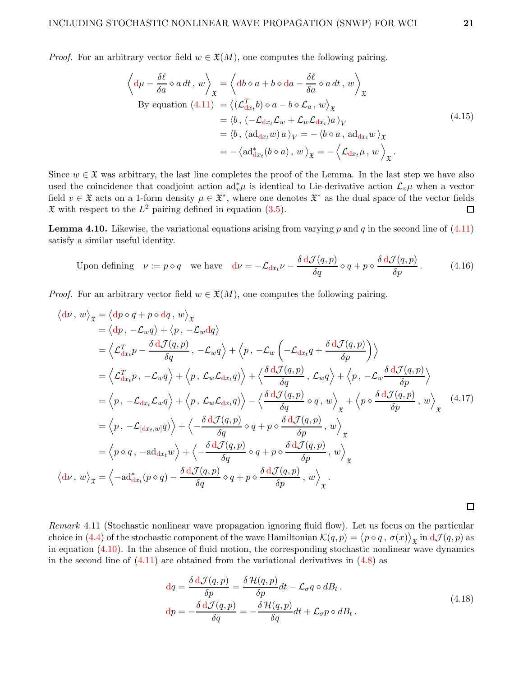*Proof.* For an arbitrary vector field  $w \in \mathfrak{X}(M)$ , one computes the following pairing.

$$
\left\langle d\mu - \frac{\delta \ell}{\delta a} \diamond a dt, w \right\rangle_{\mathfrak{X}} = \left\langle db \diamond a + b \diamond da - \frac{\delta \ell}{\delta a} \diamond a dt, w \right\rangle_{\mathfrak{X}}
$$
  
By equation (4.11) =  $\left\langle (\mathcal{L}_{dx}^T b) \diamond a - b \diamond \mathcal{L}_a, w \right\rangle_{\mathfrak{X}}$   
=  $\left\langle b, (-\mathcal{L}_{dx_t}\mathcal{L}_w + \mathcal{L}_w\mathcal{L}_{dx_t})a \right\rangle_V$   
=  $\left\langle b, (ad_{dx_t}w) a \right\rangle_V = - \left\langle b \diamond a, ad_{dx_t}w \right\rangle_{\mathfrak{X}}$   
=  $-\left\langle ad_{dx_t}^*(b \diamond a), w \right\rangle_{\mathfrak{X}} = - \left\langle \mathcal{L}_{dx_t}\mu, w \right\rangle_{\mathfrak{X}}.$  (4.15)

Since  $w \in \mathfrak{X}$  was arbitrary, the last line completes the proof of the Lemma. In the last step we have also used the coincidence that coadjoint action  $ad_v^*\mu$  is identical to Lie-derivative action  $\mathcal{L}_v\mu$  when a vector field  $v \in \mathfrak{X}$  acts on a 1-form density  $\mu \in \mathfrak{X}^*$ , where one denotes  $\mathfrak{X}^*$  as the dual space of the vector fields  $\mathfrak X$  with respect to the  $L^2$  pairing defined in equation [\(3.5\)](#page-15-5).  $\Box$ 

<span id="page-20-0"></span>**Lemma 4.10.** Likewise, the variational equations arising from varying p and q in the second line of  $(4.11)$ satisfy a similar useful identity.

Upon defining 
$$
\nu := p \diamond q
$$
 we have  $d\nu = -\mathcal{L}_{dx} \nu - \frac{\delta d\mathcal{J}(q, p)}{\delta q} \diamond q + p \diamond \frac{\delta d\mathcal{J}(q, p)}{\delta p}$ . (4.16)

*Proof.* For an arbitrary vector field  $w \in \mathfrak{X}(M)$ , one computes the following pairing.

$$
\langle d\nu, w \rangle_{\mathfrak{X}} = \langle dp \diamond q + p \diamond dq, w \rangle_{\mathfrak{X}}
$$
  
\n
$$
= \langle dp, -\mathcal{L}_w q \rangle + \langle p, -\mathcal{L}_w dq \rangle
$$
  
\n
$$
= \langle \mathcal{L}_{dx}^T p - \frac{\delta d \mathcal{J}(q, p)}{\delta q}, -\mathcal{L}_w q \rangle + \langle p, -\mathcal{L}_w \left( -\mathcal{L}_{dx} q + \frac{\delta d \mathcal{J}(q, p)}{\delta p} \right) \rangle
$$
  
\n
$$
= \langle \mathcal{L}_{dx}^T p, -\mathcal{L}_w q \rangle + \langle p, \mathcal{L}_w \mathcal{L}_{dx} q \rangle \rangle + \langle \frac{\delta d \mathcal{J}(q, p)}{\delta q}, \mathcal{L}_w q \rangle + \langle p, -\mathcal{L}_w \frac{\delta d \mathcal{J}(q, p)}{\delta p} \rangle
$$
  
\n
$$
= \langle p, -\mathcal{L}_{dx} \mathcal{L}_w q \rangle + \langle p, \mathcal{L}_w \mathcal{L}_{dx} q \rangle \rangle - \langle \frac{\delta d \mathcal{J}(q, p)}{\delta q} \diamond q, w \rangle_{\mathfrak{X}} + \langle p \diamond \frac{\delta d \mathcal{J}(q, p)}{\delta p}, w \rangle_{\mathfrak{X}}
$$
  
\n
$$
= \langle p, -\mathcal{L}_{[dx, w]} q \rangle \rangle + \langle -\frac{\delta d \mathcal{J}(q, p)}{\delta q} \diamond q + p \diamond \frac{\delta d \mathcal{J}(q, p)}{\delta p}, w \rangle_{\mathfrak{X}}
$$
  
\n
$$
= \langle p \diamond q, -\mathrm{ad}_{dx} w \rangle + \langle -\frac{\delta d \mathcal{J}(q, p)}{\delta q} \diamond q + p \diamond \frac{\delta d \mathcal{J}(q, p)}{\delta p}, w \rangle_{\mathfrak{X}}
$$
  
\n
$$
\langle d\nu, w \rangle_{\mathfrak{X}} = \langle -\mathrm{ad}_{dx}^*(p \diamond q) - \frac{\delta d \mathcal{J}(q, p)}{\delta q} \diamond q + p \diamond \frac{\delta d \mathcal{J}(q, p)}{\delta p}, w \rangle_{\mathfrak{X}}
$$

<span id="page-20-2"></span>Remark 4.11 (Stochastic nonlinear wave propagation ignoring fluid flow). Let us focus on the particular choice in [\(4.4\)](#page-17-2) of the stochastic component of the wave Hamiltonian  $\mathcal{K}(q,p) = (p \diamond q, \sigma(x))_{\mathfrak{X}}$  in  $d\mathcal{J}(q,p)$  as in equation [\(4.10\)](#page-18-2). In the absence of fluid motion, the corresponding stochastic nonlinear wave dynamics in the second line of  $(4.11)$  are obtained from the variational derivatives in  $(4.8)$  as

$$
dq = \frac{\delta dJ(q, p)}{\delta p} = \frac{\delta H(q, p)}{\delta p} dt - \mathcal{L}_{\sigma} q \circ dB_t,
$$
  
\n
$$
dp = -\frac{\delta dJ(q, p)}{\delta q} = -\frac{\delta H(q, p)}{\delta q} dt + \mathcal{L}_{\sigma} p \circ dB_t.
$$
\n(4.18)

<span id="page-20-1"></span> $\Box$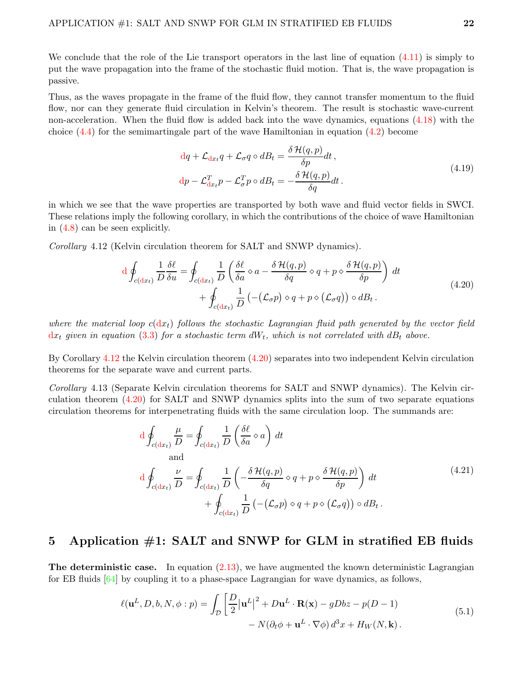We conclude that the role of the Lie transport operators in the last line of equation  $(4.11)$  is simply to put the wave propagation into the frame of the stochastic fluid motion. That is, the wave propagation is passive.

Thus, as the waves propagate in the frame of the fluid flow, they cannot transfer momentum to the fluid flow, nor can they generate fluid circulation in Kelvin's theorem. The result is stochastic wave-current non-acceleration. When the fluid flow is added back into the wave dynamics, equations [\(4.18\)](#page-20-1) with the choice  $(4.4)$  for the semimartingale part of the wave Hamiltonian in equation  $(4.2)$  become

<span id="page-21-2"></span>
$$
\begin{aligned}\ndq + \mathcal{L}_{dx_t} q + \mathcal{L}_{\sigma} q \circ dB_t &= \frac{\delta \mathcal{H}(q, p)}{\delta p} dt, \\
dp - \mathcal{L}_{dx_t}^T p - \mathcal{L}_{\sigma}^T p \circ dB_t &= -\frac{\delta \mathcal{H}(q, p)}{\delta q} dt.\n\end{aligned} \tag{4.19}
$$

in which we see that the wave properties are transported by both wave and fluid vector fields in SWCI. These relations imply the following corollary, in which the contributions of the choice of wave Hamiltonian in [\(4.8\)](#page-18-3) can be seen explicitly.

<span id="page-21-1"></span>Corollary 4.12 (Kelvin circulation theorem for SALT and SNWP dynamics).

$$
d \oint_{c(dx_t)} \frac{1}{D} \frac{\delta \ell}{\delta u} = \oint_{c(dx_t)} \frac{1}{D} \left( \frac{\delta \ell}{\delta a} \diamond a - \frac{\delta \mathcal{H}(q, p)}{\delta q} \diamond q + p \diamond \frac{\delta \mathcal{H}(q, p)}{\delta p} \right) dt + \oint_{c(dx_t)} \frac{1}{D} \left( -(\mathcal{L}_{\sigma} p) \diamond q + p \diamond (\mathcal{L}_{\sigma} q) \right) \circ dB_t.
$$
 (4.20)

where the material loop  $c(\mathrm{d}x_t)$  follows the stochastic Lagrangian fluid path generated by the vector field  $\mathrm{d} x_t$  given in equation [\(3.3\)](#page-15-2) for a stochastic term  $dW_t$ , which is not correlated with  $dB_t$  above.

By Corollary [4.12](#page-21-1) the Kelvin circulation theorem [\(4.20\)](#page-21-2) separates into two independent Kelvin circulation theorems for the separate wave and current parts.

Corollary 4.13 (Separate Kelvin circulation theorems for SALT and SNWP dynamics). The Kelvin circulation theorem [\(4.20\)](#page-21-2) for SALT and SNWP dynamics splits into the sum of two separate equations circulation theorems for interpenetrating fluids with the same circulation loop. The summands are:

$$
d \oint_{c(dx_t)} \frac{\mu}{D} = \oint_{c(dx_t)} \frac{1}{D} \left( \frac{\delta \ell}{\delta a} \diamond a \right) dt
$$
  
and  

$$
d \oint_{c(dx_t)} \frac{\nu}{D} = \oint_{c(dx_t)} \frac{1}{D} \left( -\frac{\delta \mathcal{H}(q, p)}{\delta q} \diamond q + p \diamond \frac{\delta \mathcal{H}(q, p)}{\delta p} \right) dt
$$

$$
+ \oint_{c(dx_t)} \frac{1}{D} \left( -(\mathcal{L}_{\sigma} p) \diamond q + p \diamond (\mathcal{L}_{\sigma} q) \right) \diamond dB_t.
$$
 (4.21)

## <span id="page-21-0"></span>5 Application #1: SALT and SNWP for GLM in stratified EB fluids

**The deterministic case.** In equation  $(2.13)$ , we have augmented the known deterministic Lagrangian for EB fluids [\[64\]](#page-44-6) by coupling it to a phase-space Lagrangian for wave dynamics, as follows,

<span id="page-21-3"></span>
$$
\ell(\mathbf{u}^{L}, D, b, N, \phi : p) = \int_{\mathcal{D}} \left[ \frac{D}{2} |\mathbf{u}^{L}|^{2} + D\mathbf{u}^{L} \cdot \mathbf{R}(\mathbf{x}) - gDbz - p(D-1) - N(\partial_{t}\phi + \mathbf{u}^{L} \cdot \nabla \phi) d^{3}x + H_{W}(N, \mathbf{k}) \right].
$$
\n(5.1)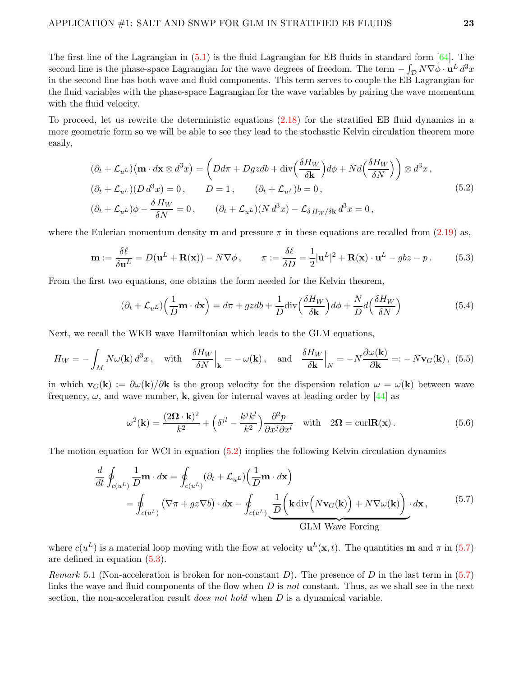The first line of the Lagrangian in  $(5.1)$  is the fluid Lagrangian for EB fluids in standard form  $[64]$ . The second line is the phase-space Lagrangian for the wave degrees of freedom. The term  $-\int_{\mathcal{D}} N\nabla\phi \cdot \mathbf{u}^L d^3x$ in the second line has both wave and fluid components. This term serves to couple the EB Lagrangian for the fluid variables with the phase-space Lagrangian for the wave variables by pairing the wave momentum with the fluid velocity.

To proceed, let us rewrite the deterministic equations [\(2.18\)](#page-11-0) for the stratified EB fluid dynamics in a more geometric form so we will be able to see they lead to the stochastic Kelvin circulation theorem more easily,

$$
(\partial_t + \mathcal{L}_{u^L}) (\mathbf{m} \cdot d\mathbf{x} \otimes d^3 x) = \left( Dd\pi + Dgzdb + \text{div}\left(\frac{\delta H_W}{\delta \mathbf{k}}\right) d\phi + Nd\left(\frac{\delta H_W}{\delta N}\right) \right) \otimes d^3 x,
$$
  
\n
$$
(\partial_t + \mathcal{L}_{u^L})(D d^3 x) = 0, \qquad D = 1, \qquad (\partial_t + \mathcal{L}_{u^L})b = 0,
$$
  
\n
$$
(\partial_t + \mathcal{L}_{u^L})\phi - \frac{\delta H_W}{\delta N} = 0, \qquad (\partial_t + \mathcal{L}_{u^L})(N d^3 x) - \mathcal{L}_{\delta H_W/\delta \mathbf{k}} d^3 x = 0,
$$
\n(5.2)

where the Eulerian momentum density **m** and pressure  $\pi$  in these equations are recalled from [\(2.19\)](#page-11-3) as,

$$
\mathbf{m} := \frac{\delta \ell}{\delta \mathbf{u}^L} = D(\mathbf{u}^L + \mathbf{R}(\mathbf{x})) - N \nabla \phi, \qquad \pi := \frac{\delta \ell}{\delta D} = \frac{1}{2} |\mathbf{u}^L|^2 + \mathbf{R}(\mathbf{x}) \cdot \mathbf{u}^L - g b z - p. \tag{5.3}
$$

From the first two equations, one obtains the form needed for the Kelvin theorem,

<span id="page-22-4"></span><span id="page-22-3"></span><span id="page-22-1"></span>
$$
(\partial_t + \mathcal{L}_{u^L}) \left(\frac{1}{D} \mathbf{m} \cdot d\mathbf{x}\right) = d\pi + gzdb + \frac{1}{D} \text{div} \left(\frac{\delta H_W}{\delta \mathbf{k}}\right) d\phi + \frac{N}{D} d \left(\frac{\delta H_W}{\delta N}\right)
$$
(5.4)

Next, we recall the WKB wave Hamiltonian which leads to the GLM equations,

$$
H_W = -\int_M N\omega(\mathbf{k}) \, d^3x \,, \quad \text{with} \quad \frac{\delta H_W}{\delta N} \Big|_{\mathbf{k}} = -\,\omega(\mathbf{k}) \,, \quad \text{and} \quad \frac{\delta H_W}{\delta \mathbf{k}} \Big|_N = -N \frac{\partial \omega(\mathbf{k})}{\partial \mathbf{k}} =: -\,N \mathbf{v}_G(\mathbf{k}) \,, \tag{5.5}
$$

in which  $\mathbf{v}_G(\mathbf{k}) := \partial \omega(\mathbf{k})/\partial \mathbf{k}$  is the group velocity for the dispersion relation  $\omega = \omega(\mathbf{k})$  between wave frequency,  $\omega$ , and wave number, **k**, given for internal waves at leading order by [\[44\]](#page-43-2) as

<span id="page-22-2"></span><span id="page-22-0"></span>
$$
\omega^2(\mathbf{k}) = \frac{(2\Omega \cdot \mathbf{k})^2}{k^2} + \left(\delta^{jl} - \frac{k^j k^l}{k^2}\right) \frac{\partial^2 p}{\partial x^j \partial x^l} \quad \text{with} \quad 2\Omega = \text{curl} \mathbf{R}(\mathbf{x}). \tag{5.6}
$$

The motion equation for WCI in equation [\(5.2\)](#page-22-1) implies the following Kelvin circulation dynamics

$$
\frac{d}{dt} \oint_{c(u^L)} \frac{1}{D} \mathbf{m} \cdot d\mathbf{x} = \oint_{c(u^L)} (\partial_t + \mathcal{L}_{u^L}) \left( \frac{1}{D} \mathbf{m} \cdot d\mathbf{x} \right)
$$
\n
$$
= \oint_{c(u^L)} \left( \nabla \pi + gz \nabla b \right) \cdot d\mathbf{x} - \oint_{c(u^L)} \underbrace{\frac{1}{D} \left( \mathbf{k} \operatorname{div} \left( N \mathbf{v}_G(\mathbf{k}) \right) + N \nabla \omega(\mathbf{k}) \right)}_{\text{GLM Wave Forcing}} \cdot d\mathbf{x}, \tag{5.7}
$$

where  $c(u^L)$  is a material loop moving with the flow at velocity  $u^L(\mathbf{x}, t)$ . The quantities **m** and  $\pi$  in [\(5.7\)](#page-22-2) are defined in equation [\(5.3\)](#page-22-3).

Remark 5.1 (Non-acceleration is broken for non-constant D). The presence of D in the last term in  $(5.7)$ links the wave and fluid components of the flow when  $D$  is not constant. Thus, as we shall see in the next section, the non-acceleration result *does not hold* when  $D$  is a dynamical variable.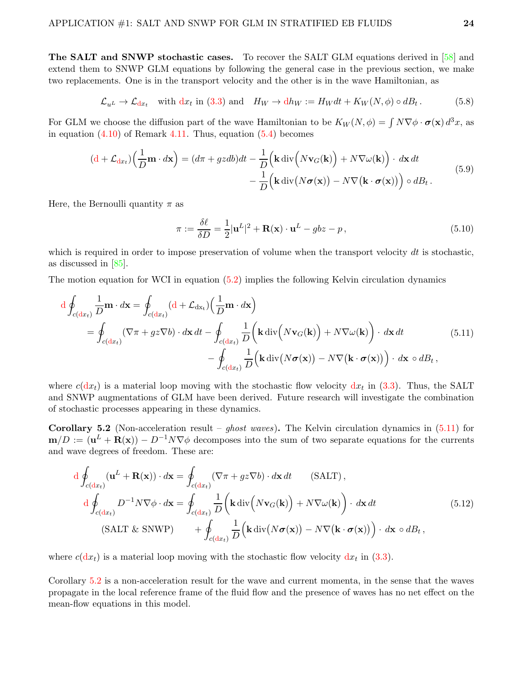The SALT and SNWP stochastic cases. To recover the SALT GLM equations derived in [\[58\]](#page-44-5) and extend them to SNWP GLM equations by following the general case in the previous section, we make two replacements. One is in the transport velocity and the other is in the wave Hamiltonian, as

$$
\mathcal{L}_{u^L} \to \mathcal{L}_{dx_t} \quad \text{with } dx_t \text{ in (3.3) and } H_W \to dh_W := H_W dt + K_W(N, \phi) \circ dB_t. \tag{5.8}
$$

For GLM we choose the diffusion part of the wave Hamiltonian to be  $K_W(N, \phi) = \int N \nabla \phi \cdot \sigma(\mathbf{x}) d^3x$ , as in equation  $(4.10)$  of Remark [4.11.](#page-20-2) Thus, equation  $(5.4)$  becomes

$$
(d + \mathcal{L}_{dx_t})\left(\frac{1}{D}\mathbf{m} \cdot d\mathbf{x}\right) = (d\pi + gzdb)dt - \frac{1}{D}\left(\mathbf{k} \operatorname{div}\left(N\mathbf{v}_G(\mathbf{k})\right) + N\nabla\omega(\mathbf{k})\right) \cdot d\mathbf{x} dt - \frac{1}{D}\left(\mathbf{k} \operatorname{div}\left(N\boldsymbol{\sigma}(\mathbf{x})\right) - N\nabla\left(\mathbf{k} \cdot \boldsymbol{\sigma}(\mathbf{x})\right)\right) \circ dB_t.
$$
\n(5.9)

Here, the Bernoulli quantity  $\pi$  as

<span id="page-23-0"></span>
$$
\pi := \frac{\delta \ell}{\delta D} = \frac{1}{2} |\mathbf{u}^L|^2 + \mathbf{R}(\mathbf{x}) \cdot \mathbf{u}^L - g b z - p,\tag{5.10}
$$

which is required in order to impose preservation of volume when the transport velocity  $dt$  is stochastic, as discussed in [\[85\]](#page-45-12).

The motion equation for WCI in equation [\(5.2\)](#page-22-1) implies the following Kelvin circulation dynamics

$$
d \oint_{c(dx_t)} \frac{1}{D} \mathbf{m} \cdot d\mathbf{x} = \oint_{c(dx_t)} (d + \mathcal{L}_{dx_t}) \left(\frac{1}{D} \mathbf{m} \cdot d\mathbf{x}\right)
$$
  
= 
$$
\oint_{c(dx_t)} (\nabla \pi + gz \nabla b) \cdot d\mathbf{x} dt - \oint_{c(dx_t)} \frac{1}{D} \left(\mathbf{k} \operatorname{div}\left(N \mathbf{v}_G(\mathbf{k})\right) + N \nabla \omega(\mathbf{k})\right) \cdot d\mathbf{x} dt
$$
(5.11)  
- 
$$
\oint_{c(dx_t)} \frac{1}{D} \left(\mathbf{k} \operatorname{div}\left(N \boldsymbol{\sigma}(\mathbf{x})\right) - N \nabla \left(\mathbf{k} \cdot \boldsymbol{\sigma}(\mathbf{x})\right)\right) \cdot d\mathbf{x} \circ dB_t,
$$

where  $c(dx_t)$  is a material loop moving with the stochastic flow velocity  $dx_t$  in [\(3.3\)](#page-15-2). Thus, the SALT and SNWP augmentations of GLM have been derived. Future research will investigate the combination of stochastic processes appearing in these dynamics.

<span id="page-23-1"></span>Corollary 5.2 (Non-acceleration result – *ghost waves*). The Kelvin circulation dynamics in  $(5.11)$  for  $\mathbf{m}/D := (\mathbf{u}^L + \mathbf{R}(\mathbf{x})) - D^{-1}N\nabla\phi$  decomposes into the sum of two separate equations for the currents and wave degrees of freedom. These are:

$$
d \oint_{c(dx_t)} (\mathbf{u}^L + \mathbf{R}(\mathbf{x})) \cdot d\mathbf{x} = \oint_{c(dx_t)} (\nabla \pi + gz \nabla b) \cdot d\mathbf{x} dt \qquad (SALT),
$$
  

$$
d \oint_{c(dx_t)} D^{-1} N \nabla \phi \cdot d\mathbf{x} = \oint_{c(dx_t)} \frac{1}{D} \left( \mathbf{k} \operatorname{div} \left( N \mathbf{v}_G(\mathbf{k}) \right) + N \nabla \omega(\mathbf{k}) \right) \cdot d\mathbf{x} dt \qquad (5.12)
$$
  

$$
(SALT \& SNWP) \qquad + \oint_{c(dx_t)} \frac{1}{D} \left( \mathbf{k} \operatorname{div} \left( N \sigma(\mathbf{x}) \right) - N \nabla (\mathbf{k} \cdot \sigma(\mathbf{x})) \right) \cdot d\mathbf{x} \circ dB_t,
$$

where  $c(dx_t)$  is a material loop moving with the stochastic flow velocity  $dx_t$  in [\(3.3\)](#page-15-2).

Corollary [5.2](#page-23-1) is a non-acceleration result for the wave and current momenta, in the sense that the waves propagate in the local reference frame of the fluid flow and the presence of waves has no net effect on the mean-flow equations in this model.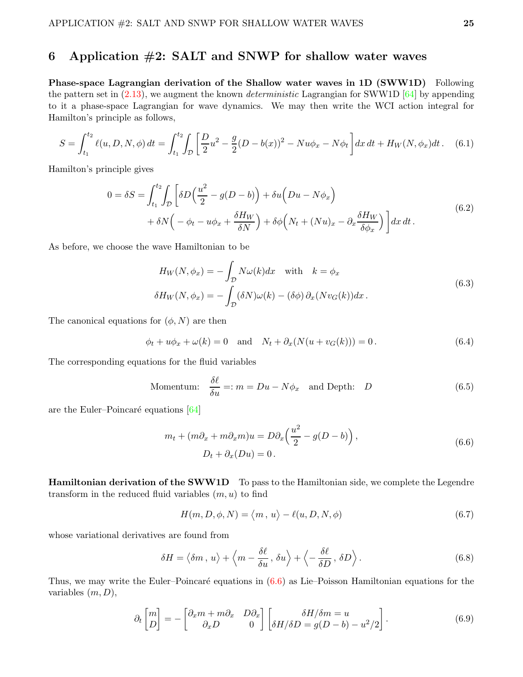# <span id="page-24-0"></span>6 Application  $\#2$ : SALT and SNWP for shallow water waves

Phase-space Lagrangian derivation of the Shallow water waves in 1D (SWW1D) Following the pattern set in  $(2.13)$ , we augment the known *deterministic* Lagrangian for SWW1D  $[64]$  by appending to it a phase-space Lagrangian for wave dynamics. We may then write the WCI action integral for Hamilton's principle as follows,

$$
S = \int_{t_1}^{t_2} \ell(u, D, N, \phi) dt = \int_{t_1}^{t_2} \int_{\mathcal{D}} \left[ \frac{D}{2} u^2 - \frac{g}{2} (D - b(x))^2 - N u \phi_x - N \phi_t \right] dx dt + H_W(N, \phi_x) dt. \tag{6.1}
$$

Hamilton's principle gives

$$
0 = \delta S = \int_{t_1}^{t_2} \int_{\mathcal{D}} \left[ \delta D \left( \frac{u^2}{2} - g(D - b) \right) + \delta u \left( Du - N \phi_x \right) \right. \\ \left. + \delta N \left( -\phi_t - u \phi_x + \frac{\delta H_W}{\delta N} \right) + \delta \phi \left( N_t + (Nu)_x - \partial_x \frac{\delta H_W}{\delta \phi_x} \right) \right] dx dt \,.
$$
 (6.2)

As before, we choose the wave Hamiltonian to be

<span id="page-24-4"></span>
$$
H_W(N, \phi_x) = -\int_{\mathcal{D}} N\omega(k)dx \quad \text{with} \quad k = \phi_x
$$
  

$$
\delta H_W(N, \phi_x) = -\int_{\mathcal{D}} (\delta N)\omega(k) - (\delta \phi) \partial_x (Nv_G(k))dx.
$$
 (6.3)

The canonical equations for  $(\phi, N)$  are then

$$
\phi_t + u\phi_x + \omega(k) = 0
$$
 and  $N_t + \partial_x(N(u + v_G(k))) = 0.$  (6.4)

The corresponding equations for the fluid variables

$$
\text{Momentum:} \quad \frac{\delta \ell}{\delta u} =: m = Du - N\phi_x \quad \text{and Depth:} \quad D \tag{6.5}
$$

are the Euler–Poincaré equations [\[64\]](#page-44-6)

<span id="page-24-3"></span>
$$
m_t + (m\partial_x + m\partial_x m)u = D\partial_x \left(\frac{u^2}{2} - g(D - b)\right),
$$
  

$$
D_t + \partial_x (Du) = 0.
$$
 (6.6)

Hamiltonian derivation of the SWW1D To pass to the Hamiltonian side, we complete the Legendre transform in the reduced fluid variables  $(m, u)$  to find

<span id="page-24-2"></span><span id="page-24-1"></span>
$$
H(m, D, \phi, N) = \langle m, u \rangle - \ell(u, D, N, \phi)
$$
\n(6.7)

whose variational derivatives are found from

$$
\delta H = \langle \delta m \, , \, u \rangle + \langle m - \frac{\delta \ell}{\delta u} \, , \, \delta u \rangle + \langle -\frac{\delta \ell}{\delta D} \, , \, \delta D \rangle \,. \tag{6.8}
$$

Thus, we may write the Euler–Poincaré equations in  $(6.6)$  as Lie–Poisson Hamiltonian equations for the variables  $(m, D)$ ,

$$
\partial_t \begin{bmatrix} m \\ D \end{bmatrix} = - \begin{bmatrix} \partial_x m + m \partial_x & D \partial_x \\ \partial_x D & 0 \end{bmatrix} \begin{bmatrix} \delta H / \delta m = u \\ \delta H / \delta D = g(D - b) - u^2 / 2 \end{bmatrix} . \tag{6.9}
$$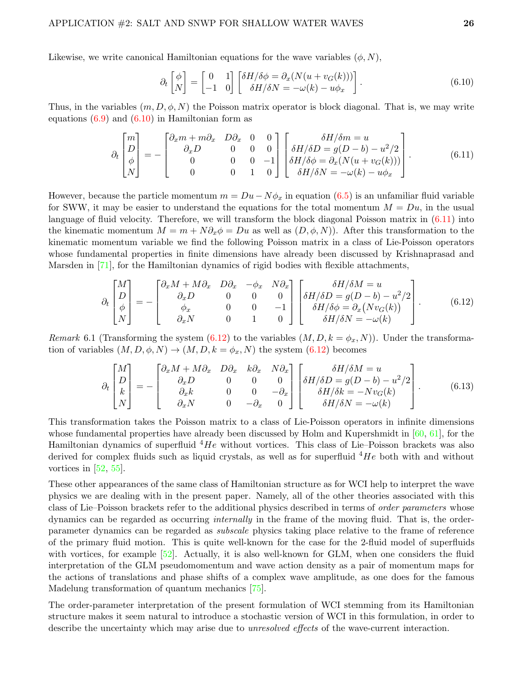Likewise, we write canonical Hamiltonian equations for the wave variables  $(\phi, N)$ ,

<span id="page-25-1"></span><span id="page-25-0"></span>
$$
\partial_t \begin{bmatrix} \phi \\ N \end{bmatrix} = \begin{bmatrix} 0 & 1 \\ -1 & 0 \end{bmatrix} \begin{bmatrix} \delta H / \delta \phi = \partial_x (N(u + v_G(k))) \\ \delta H / \delta N = -\omega(k) - u \phi_x \end{bmatrix} . \tag{6.10}
$$

Thus, in the variables  $(m, D, \phi, N)$  the Poisson matrix operator is block diagonal. That is, we may write equations  $(6.9)$  and  $(6.10)$  in Hamiltonian form as

$$
\partial_t \begin{bmatrix} m \\ D \\ \phi \\ N \end{bmatrix} = - \begin{bmatrix} \partial_x m + m \partial_x & D \partial_x & 0 & 0 \\ \partial_x D & 0 & 0 & 0 \\ 0 & 0 & 0 & -1 \\ 0 & 0 & 1 & 0 \end{bmatrix} \begin{bmatrix} \delta H/\delta n = u \\ \delta H/\delta D = g(D - b) - u^2/2 \\ \delta H/\delta \phi = \partial_x (N(u + v_G(k))) \\ \delta H/\delta N = -\omega(k) - u\phi_x \end{bmatrix} . \tag{6.11}
$$

However, because the particle momentum  $m = Du - N\phi_x$  in equation [\(6.5\)](#page-24-3) is an unfamiliar fluid variable for SWW, it may be easier to understand the equations for the total momentum  $M = Du$ , in the usual language of fluid velocity. Therefore, we will transform the block diagonal Poisson matrix in [\(6.11\)](#page-25-1) into the kinematic momentum  $M = m + N \partial_x \phi = D u$  as well as  $(D, \phi, N)$ . After this transformation to the kinematic momentum variable we find the following Poisson matrix in a class of Lie-Poisson operators whose fundamental properties in finite dimensions have already been discussed by Krishnaprasad and Marsden in [\[71\]](#page-45-6), for the Hamiltonian dynamics of rigid bodies with flexible attachments,

<span id="page-25-2"></span>
$$
\partial_t \begin{bmatrix} M \\ D \\ \phi \\ N \end{bmatrix} = - \begin{bmatrix} \partial_x M + M \partial_x & D \partial_x & -\phi_x & N \partial_x \\ \partial_x D & 0 & 0 & 0 \\ \phi_x & 0 & 0 & -1 \\ \partial_x N & 0 & 1 & 0 \end{bmatrix} \begin{bmatrix} \delta H / \delta M = u \\ \delta H / \delta D = g(D - b) - u^2 / 2 \\ \delta H / \delta \phi = \partial_x (N v_G(k)) \\ \delta H / \delta N = -\omega(k) \end{bmatrix} . \tag{6.12}
$$

Remark 6.1 (Transforming the system [\(6.12\)](#page-25-2) to the variables  $(M, D, k = \phi_x, N)$ ). Under the transformation of variables  $(M, D, \phi, N) \to (M, D, k = \phi_x, N)$  the system  $(6.12)$  becomes

<span id="page-25-3"></span>
$$
\partial_t \begin{bmatrix} M \\ D \\ k \\ N \end{bmatrix} = - \begin{bmatrix} \partial_x M + M \partial_x & D \partial_x & k \partial_x & N \partial_x \\ \partial_x D & 0 & 0 & 0 \\ \partial_x k & 0 & 0 & -\partial_x \\ \partial_x N & 0 & -\partial_x & 0 \end{bmatrix} \begin{bmatrix} \delta H/\delta M = u \\ \delta H/\delta D = g(D - b) - u^2/2 \\ \delta H/\delta k = -Nv_G(k) \\ \delta H/\delta N = -\omega(k) \end{bmatrix} . \tag{6.13}
$$

This transformation takes the Poisson matrix to a class of Lie-Poisson operators in infinite dimensions whose fundamental properties have already been discussed by Holm and Kupershmidt in  $[60, 61]$  $[60, 61]$ , for the Hamiltonian dynamics of superfluid  ${}^{4}He$  without vortices. This class of Lie–Poisson brackets was also derived for complex fluids such as liquid crystals, as well as for superfluid  $4He$  both with and without vortices in  $[52, 55]$  $[52, 55]$ .

These other appearances of the same class of Hamiltonian structure as for WCI help to interpret the wave physics we are dealing with in the present paper. Namely, all of the other theories associated with this class of Lie–Poisson brackets refer to the additional physics described in terms of *order parameters* whose dynamics can be regarded as occurring *internally* in the frame of the moving fluid. That is, the orderparameter dynamics can be regarded as subscale physics taking place relative to the frame of reference of the primary fluid motion. This is quite well-known for the case for the 2-fluid model of superfluids with vortices, for example [\[52\]](#page-44-11). Actually, it is also well-known for GLM, when one considers the fluid interpretation of the GLM pseudomomentum and wave action density as a pair of momentum maps for the actions of translations and phase shifts of a complex wave amplitude, as one does for the famous Madelung transformation of quantum mechanics [\[75\]](#page-45-15).

The order-parameter interpretation of the present formulation of WCI stemming from its Hamiltonian structure makes it seem natural to introduce a stochastic version of WCI in this formulation, in order to describe the uncertainty which may arise due to *unresolved effects* of the wave-current interaction.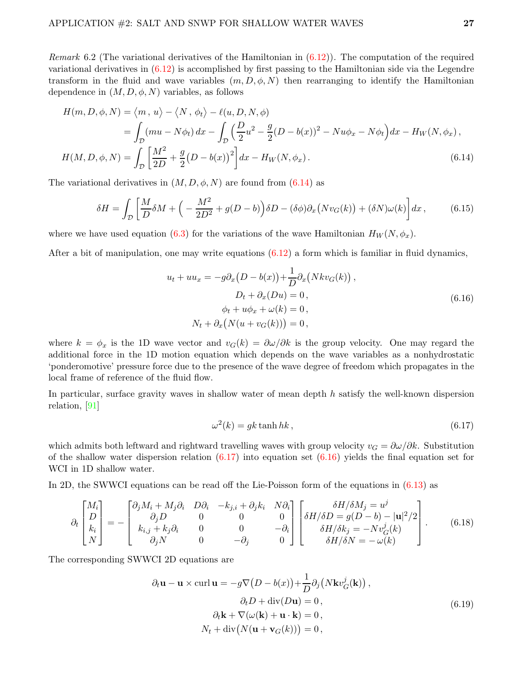Remark 6.2 (The variational derivatives of the Hamiltonian in  $(6.12)$ ). The computation of the required variational derivatives in [\(6.12\)](#page-25-2) is accomplished by first passing to the Hamiltonian side via the Legendre transform in the fluid and wave variables  $(m, D, \phi, N)$  then rearranging to identify the Hamiltonian dependence in  $(M, D, \phi, N)$  variables, as follows

$$
H(m, D, \phi, N) = \langle m, u \rangle - \langle N, \phi_t \rangle - \ell(u, D, N, \phi)
$$
  
= 
$$
\int_{D} (mu - N\phi_t) dx - \int_{D} \left(\frac{D}{2}u^2 - \frac{g}{2}(D - b(x))^2 - Nu\phi_x - N\phi_t\right) dx - H_W(N, \phi_x),
$$
  

$$
H(M, D, \phi, N) = \int_{D} \left[\frac{M^2}{2D} + \frac{g}{2}(D - b(x))^2\right] dx - H_W(N, \phi_x).
$$
 (6.14)

The variational derivatives in  $(M, D, \phi, N)$  are found from  $(6.14)$  as

$$
\delta H = \int_{\mathcal{D}} \left[ \frac{M}{D} \delta M + \left( -\frac{M^2}{2D^2} + g(D - b) \right) \delta D - (\delta \phi) \partial_x \left( N v_G(k) \right) + (\delta N) \omega(k) \right] dx, \tag{6.15}
$$

where we have used equation [\(6.3\)](#page-24-4) for the variations of the wave Hamiltonian  $H_W(N, \phi_x)$ .

After a bit of manipulation, one may write equations  $(6.12)$  a form which is familiar in fluid dynamics,

<span id="page-26-0"></span>
$$
u_t + uu_x = -g\partial_x(D - b(x)) + \frac{1}{D}\partial_x(Nkv_G(k)),
$$
  
\n
$$
D_t + \partial_x(Du) = 0,
$$
  
\n
$$
\phi_t + u\phi_x + \omega(k) = 0,
$$
  
\n
$$
N_t + \partial_x(N(u + v_G(k))) = 0,
$$
\n(6.16)

where  $k = \phi_x$  is the 1D wave vector and  $v_G(k) = \partial \omega / \partial k$  is the group velocity. One may regard the additional force in the 1D motion equation which depends on the wave variables as a nonhydrostatic 'ponderomotive' pressure force due to the presence of the wave degree of freedom which propagates in the local frame of reference of the fluid flow.

In particular, surface gravity waves in shallow water of mean depth  $h$  satisfy the well-known dispersion relation, [\[91\]](#page-46-1)

<span id="page-26-2"></span><span id="page-26-1"></span>
$$
\omega^2(k) = gk \tanh hk, \qquad (6.17)
$$

which admits both leftward and rightward travelling waves with group velocity  $v_G = \partial \omega / \partial k$ . Substitution of the shallow water dispersion relation  $(6.17)$  into equation set  $(6.16)$  yields the final equation set for WCI in 1D shallow water.

In 2D, the SWWCI equations can be read off the Lie-Poisson form of the equations in [\(6.13\)](#page-25-3) as

$$
\partial_t \begin{bmatrix} M_i \\ D \\ k_i \\ N \end{bmatrix} = - \begin{bmatrix} \partial_j M_i + M_j \partial_i & D\partial_i & -k_{j,i} + \partial_j k_i & N\partial_i \\ \partial_j D & 0 & 0 & 0 \\ k_{i,j} + k_j \partial_i & 0 & 0 & -\partial_i \\ \partial_j N & 0 & -\partial_j & 0 \end{bmatrix} \begin{bmatrix} \delta H/\delta M_j = u^j \\ \delta H/\delta D = g(D-b) - |\mathbf{u}|^2/2 \\ \delta H/\delta k_j = -Nv^j_G(k) \\ \delta H/\delta N = -\omega(k) \end{bmatrix} . \tag{6.18}
$$

The corresponding SWWCI 2D equations are

$$
\partial_t \mathbf{u} - \mathbf{u} \times \operatorname{curl} \mathbf{u} = -g \nabla (D - b(x)) + \frac{1}{D} \partial_j (N \mathbf{k} v_G^j(\mathbf{k})),
$$
  
\n
$$
\partial_t D + \operatorname{div}(D \mathbf{u}) = 0,
$$
  
\n
$$
\partial_t \mathbf{k} + \nabla (\omega(\mathbf{k}) + \mathbf{u} \cdot \mathbf{k}) = 0,
$$
  
\n
$$
N_t + \operatorname{div} (N(\mathbf{u} + \mathbf{v}_G(k))) = 0,
$$
\n(6.19)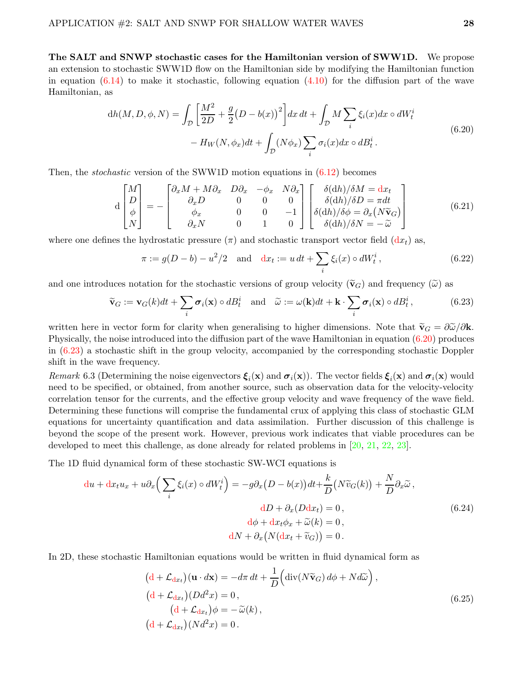The SALT and SNWP stochastic cases for the Hamiltonian version of SWW1D. We propose an extension to stochastic SWW1D flow on the Hamiltonian side by modifying the Hamiltonian function in equation  $(6.14)$  to make it stochastic, following equation  $(4.10)$  for the diffusion part of the wave Hamiltonian, as

$$
dh(M, D, \phi, N) = \int_{\mathcal{D}} \left[ \frac{M^2}{2D} + \frac{g}{2} (D - b(x))^2 \right] dx dt + \int_{\mathcal{D}} M \sum_{i} \xi_i(x) dx \circ dW_t^i
$$
  
-  $H_W(N, \phi_x) dt + \int_{\mathcal{D}} (N \phi_x) \sum_{i} \sigma_i(x) dx \circ dB_t^i.$  (6.20)

Then, the *stochastic* version of the SWW1D motion equations in  $(6.12)$  becomes

$$
\mathbf{d}\begin{bmatrix} M \\ D \\ \phi \\ N \end{bmatrix} = -\begin{bmatrix} \partial_x M + M \partial_x & D \partial_x & -\phi_x & N \partial_x \\ \partial_x D & 0 & 0 & 0 \\ \phi_x & 0 & 0 & -1 \\ \partial_x N & 0 & 1 & 0 \end{bmatrix} \begin{bmatrix} \delta(\mathrm{d}h)/\delta M = \mathrm{d}x_t \\ \delta(\mathrm{d}h)/\delta D = \pi dt \\ \delta(\mathrm{d}h)/\delta \phi = \partial_x (N \tilde{\mathbf{v}}_G) \\ \delta(\mathrm{d}h)/\delta N = -\tilde{\omega} \end{bmatrix}
$$
(6.21)

where one defines the hydrostatic pressure  $(\pi)$  and stochastic transport vector field  $(dx_t)$  as,

<span id="page-27-1"></span><span id="page-27-0"></span>
$$
\pi := g(D - b) - u^2/2
$$
 and  $dx_t := u dt + \sum_i \xi_i(x) \circ dW_t^i$ , (6.22)

and one introduces notation for the stochastic versions of group velocity ( $\tilde{\mathbf{v}}_G$ ) and frequency ( $\tilde{\omega}$ ) as

$$
\widetilde{\mathbf{v}}_G := \mathbf{v}_G(k)dt + \sum_i \boldsymbol{\sigma}_i(\mathbf{x}) \circ dB_t^i \quad \text{and} \quad \widetilde{\omega} := \omega(\mathbf{k})dt + \mathbf{k} \cdot \sum_i \boldsymbol{\sigma}_i(\mathbf{x}) \circ dB_t^i, \tag{6.23}
$$

written here in vector form for clarity when generalising to higher dimensions. Note that  $\tilde{\mathbf{v}}_G = \partial \tilde{\omega}/\partial \mathbf{k}$ . Physically, the noise introduced into the diffusion part of the wave Hamiltonian in equation [\(6.20\)](#page-27-0) produces in [\(6.23\)](#page-27-1) a stochastic shift in the group velocity, accompanied by the corresponding stochastic Doppler shift in the wave frequency.

Remark 6.3 (Determining the noise eigenvectors  $\xi_i(x)$  and  $\sigma_i(x)$ ). The vector fields  $\xi_i(x)$  and  $\sigma_i(x)$  would need to be specified, or obtained, from another source, such as observation data for the velocity-velocity correlation tensor for the currents, and the effective group velocity and wave frequency of the wave field. Determining these functions will comprise the fundamental crux of applying this class of stochastic GLM equations for uncertainty quantification and data assimilation. Further discussion of this challenge is beyond the scope of the present work. However, previous work indicates that viable procedures can be developed to meet this challenge, as done already for related problems in [\[20,](#page-42-5) [21,](#page-42-6) [22,](#page-42-7) [23\]](#page-42-13).

The 1D fluid dynamical form of these stochastic SW-WCI equations is

$$
du + dx_t u_x + u \partial_x \Big( \sum_i \xi_i(x) \circ dW_t^i \Big) = -g \partial_x \big( D - b(x) \big) dt + \frac{k}{D} \big( N \widetilde{v}_G(k) \big) + \frac{N}{D} \partial_x \widetilde{\omega} ,
$$
  
\n
$$
dD + \partial_x (Ddx_t) = 0 ,
$$
  
\n
$$
d\phi + dx_t \phi_x + \widetilde{\omega}(k) = 0 ,
$$
  
\n
$$
dN + \partial_x \big( N(dx_t + \widetilde{v}_G) \big) = 0 .
$$
\n(6.24)

In 2D, these stochastic Hamiltonian equations would be written in fluid dynamical form as

$$
(d + \mathcal{L}_{dx_t})(\mathbf{u} \cdot d\mathbf{x}) = -d\pi dt + \frac{1}{D} \Big( \text{div}(N\tilde{\mathbf{v}}_G) d\phi + N d\tilde{\omega} \Big),
$$
  
\n
$$
(d + \mathcal{L}_{dx_t})(Dd^2x) = 0,
$$
  
\n
$$
(d + \mathcal{L}_{dx_t}) \phi = -\tilde{\omega}(k),
$$
  
\n
$$
(d + \mathcal{L}_{dx_t})(Nd^2x) = 0.
$$
\n(6.25)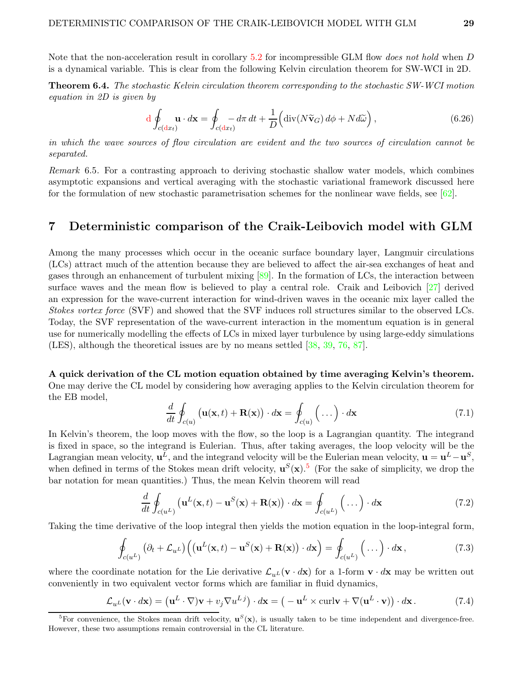Note that the non-acceleration result in corollary [5.2](#page-23-1) for incompressible GLM flow *does not hold* when D is a dynamical variable. This is clear from the following Kelvin circulation theorem for SW-WCI in 2D.

**Theorem 6.4.** The stochastic Kelvin circulation theorem corresponding to the stochastic SW-WCI motion equation in 2D is given by

$$
\mathrm{d}\oint_{c(\mathrm{d}x_t)} \mathbf{u} \cdot d\mathbf{x} = \oint_{c(\mathrm{d}x_t)} -d\pi \, dt + \frac{1}{D} \Big( \mathrm{div}(N\widetilde{\mathbf{v}}_G) \, d\phi + N d\widetilde{\omega} \Big) ,\tag{6.26}
$$

in which the wave sources of flow circulation are evident and the two sources of circulation cannot be separated.

Remark 6.5. For a contrasting approach to deriving stochastic shallow water models, which combines asymptotic expansions and vertical averaging with the stochastic variational framework discussed here for the formulation of new stochastic parametrisation schemes for the nonlinear wave fields, see [\[62\]](#page-44-14).

### <span id="page-28-0"></span>7 Deterministic comparison of the Craik-Leibovich model with GLM

Among the many processes which occur in the oceanic surface boundary layer, Langmuir circulations (LCs) attract much of the attention because they are believed to affect the air-sea exchanges of heat and gases through an enhancement of turbulent mixing [\[89\]](#page-46-3). In the formation of LCs, the interaction between surface waves and the mean flow is believed to play a central role. Craik and Leibovich [\[27\]](#page-42-0) derived an expression for the wave-current interaction for wind-driven waves in the oceanic mix layer called the Stokes vortex force (SVF) and showed that the SVF induces roll structures similar to the observed LCs. Today, the SVF representation of the wave-current interaction in the momentum equation is in general use for numerically modelling the effects of LCs in mixed layer turbulence by using large-eddy simulations (LES), although the theoretical issues are by no means settled [\[38,](#page-43-3) [39,](#page-43-4) [76,](#page-45-3) [87\]](#page-46-0).

A quick derivation of the CL motion equation obtained by time averaging Kelvin's theorem. One may derive the CL model by considering how averaging applies to the Kelvin circulation theorem for the EB model,

$$
\frac{d}{dt} \oint_{c(u)} \left( \mathbf{u}(\mathbf{x},t) + \mathbf{R}(\mathbf{x}) \right) \cdot d\mathbf{x} = \oint_{c(u)} \left( \dots \right) \cdot d\mathbf{x} \tag{7.1}
$$

In Kelvin's theorem, the loop moves with the flow, so the loop is a Lagrangian quantity. The integrand is fixed in space, so the integrand is Eulerian. Thus, after taking averages, the loop velocity will be the Lagrangian mean velocity,  $\mathbf{u}^L$ , and the integrand velocity will be the Eulerian mean velocity,  $\mathbf{u} = \mathbf{u}^L - \mathbf{u}^S$ , when defined in terms of the Stokes mean drift velocity,  $\mathbf{u}^{S}(\mathbf{x})$ .<sup>[5](#page-28-1)</sup> (For the sake of simplicity, we drop the bar notation for mean quantities.) Thus, the mean Kelvin theorem will read

$$
\frac{d}{dt} \oint_{c(u^L)} \left( \mathbf{u}^L(\mathbf{x},t) - \mathbf{u}^S(\mathbf{x}) + \mathbf{R}(\mathbf{x}) \right) \cdot d\mathbf{x} = \oint_{c(u^L)} \left( \dots \right) \cdot d\mathbf{x} \tag{7.2}
$$

Taking the time derivative of the loop integral then yields the motion equation in the loop-integral form,

$$
\oint_{c(u^L)} (\partial_t + \mathcal{L}_{u^L}) \Big( (\mathbf{u}^L(\mathbf{x}, t) - \mathbf{u}^S(\mathbf{x}) + \mathbf{R}(\mathbf{x})) \cdot d\mathbf{x} \Big) = \oint_{c(u^L)} (\dots) \cdot d\mathbf{x},
$$
\n(7.3)

where the coordinate notation for the Lie derivative  $\mathcal{L}_{u}$  (**v** · d**x**) for a 1-form **v** · d**x** may be written out conveniently in two equivalent vector forms which are familiar in fluid dynamics,

<span id="page-28-2"></span>
$$
\mathcal{L}_{u^L}(\mathbf{v} \cdot d\mathbf{x}) = (\mathbf{u}^L \cdot \nabla)\mathbf{v} + v_j \nabla u^{Lj}) \cdot d\mathbf{x} = (-\mathbf{u}^L \times \operatorname{curl} \mathbf{v} + \nabla (\mathbf{u}^L \cdot \mathbf{v})) \cdot d\mathbf{x}. \tag{7.4}
$$

<span id="page-28-1"></span><sup>&</sup>lt;sup>5</sup>For convenience, the Stokes mean drift velocity,  $\mathbf{u}^{S}(\mathbf{x})$ , is usually taken to be time independent and divergence-free. However, these two assumptions remain controversial in the CL literature.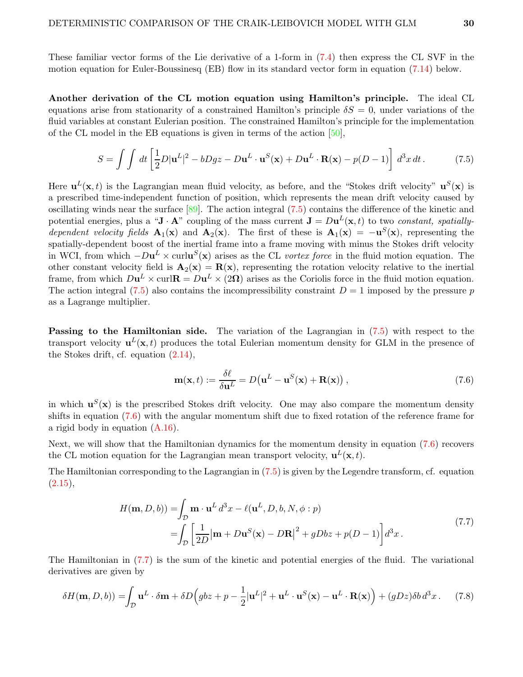These familiar vector forms of the Lie derivative of a 1-form in [\(7.4\)](#page-28-2) then express the CL SVF in the motion equation for Euler-Boussinesq (EB) flow in its standard vector form in equation [\(7.14\)](#page-30-0) below.

Another derivation of the CL motion equation using Hamilton's principle. The ideal CL equations arise from stationarity of a constrained Hamilton's principle  $\delta S = 0$ , under variations of the fluid variables at constant Eulerian position. The constrained Hamilton's principle for the implementation of the CL model in the EB equations is given in terms of the action [\[50\]](#page-43-16),

<span id="page-29-0"></span>
$$
S = \int \int dt \left[ \frac{1}{2} D |\mathbf{u}^{L}|^{2} - bDgz - Du^{L} \cdot \mathbf{u}^{S}(\mathbf{x}) + Du^{L} \cdot \mathbf{R}(\mathbf{x}) - p(D-1) \right] d^{3}x dt.
$$
 (7.5)

Here  $\mathbf{u}^{L}(\mathbf{x},t)$  is the Lagrangian mean fluid velocity, as before, and the "Stokes drift velocity"  $\mathbf{u}^{S}(\mathbf{x})$  is a prescribed time-independent function of position, which represents the mean drift velocity caused by oscillating winds near the surface [\[89\]](#page-46-3). The action integral [\(7.5\)](#page-29-0) contains the difference of the kinetic and potential energies, plus a " $\mathbf{J} \cdot \mathbf{A}$ " coupling of the mass current  $\mathbf{J} = D \mathbf{u}^L(\mathbf{x}, t)$  to two *constant, spatially*dependent velocity fields  $\mathbf{A}_1(\mathbf{x})$  and  $\mathbf{A}_2(\mathbf{x})$ . The first of these is  $\mathbf{A}_1(\mathbf{x}) = -\mathbf{u}^S(\mathbf{x})$ , representing the spatially-dependent boost of the inertial frame into a frame moving with minus the Stokes drift velocity in WCI, from which  $-Du^L \times \text{curl} \mathbf{u}^S(\mathbf{x})$  arises as the CL *vortex force* in the fluid motion equation. The other constant velocity field is  $\mathbf{A}_2(\mathbf{x}) = \mathbf{R}(\mathbf{x})$ , representing the rotation velocity relative to the inertial frame, from which  $D\mathbf{u}^L \times \text{curl} \mathbf{R} = D\mathbf{u}^L \times (2\mathbf{\Omega})$  arises as the Coriolis force in the fluid motion equation. The action integral [\(7.5\)](#page-29-0) also contains the incompressibility constraint  $D = 1$  imposed by the pressure p as a Lagrange multiplier.

Passing to the Hamiltonian side. The variation of the Lagrangian in [\(7.5\)](#page-29-0) with respect to the transport velocity  $\mathbf{u}^{L}(\mathbf{x},t)$  produces the total Eulerian momentum density for GLM in the presence of the Stokes drift, cf. equation [\(2.14\)](#page-10-0),

<span id="page-29-2"></span><span id="page-29-1"></span>
$$
\mathbf{m}(\mathbf{x},t) := \frac{\delta \ell}{\delta \mathbf{u}^L} = D(\mathbf{u}^L - \mathbf{u}^S(\mathbf{x}) + \mathbf{R}(\mathbf{x})),\tag{7.6}
$$

in which  $\mathbf{u}^{S}(\mathbf{x})$  is the prescribed Stokes drift velocity. One may also compare the momentum density shifts in equation [\(7.6\)](#page-29-1) with the angular momentum shift due to fixed rotation of the reference frame for a rigid body in equation [\(A.16\)](#page-40-0).

Next, we will show that the Hamiltonian dynamics for the momentum density in equation [\(7.6\)](#page-29-1) recovers the CL motion equation for the Lagrangian mean transport velocity,  $\mathbf{u}^{L}(\mathbf{x},t)$ .

The Hamiltonian corresponding to the Lagrangian in [\(7.5\)](#page-29-0) is given by the Legendre transform, cf. equation  $(2.15),$  $(2.15),$ 

$$
H(\mathbf{m}, D, b)) = \int_{\mathcal{D}} \mathbf{m} \cdot \mathbf{u}^{L} d^{3}x - \ell(\mathbf{u}^{L}, D, b, N, \phi : p)
$$
  
= 
$$
\int_{\mathcal{D}} \left[ \frac{1}{2D} |\mathbf{m} + D\mathbf{u}^{S}(\mathbf{x}) - D\mathbf{R}|^{2} + gDbz + p(D - 1) \right] d^{3}x.
$$
 (7.7)

The Hamiltonian in [\(7.7\)](#page-29-2) is the sum of the kinetic and potential energies of the fluid. The variational derivatives are given by

$$
\delta H(\mathbf{m}, D, b)) = \int_{\mathcal{D}} \mathbf{u}^L \cdot \delta \mathbf{m} + \delta D \Big( g b z + p - \frac{1}{2} |\mathbf{u}^L|^2 + \mathbf{u}^L \cdot \mathbf{u}^S(\mathbf{x}) - \mathbf{u}^L \cdot \mathbf{R}(\mathbf{x}) \Big) + (g D z) \delta b \, d^3 x \,. \tag{7.8}
$$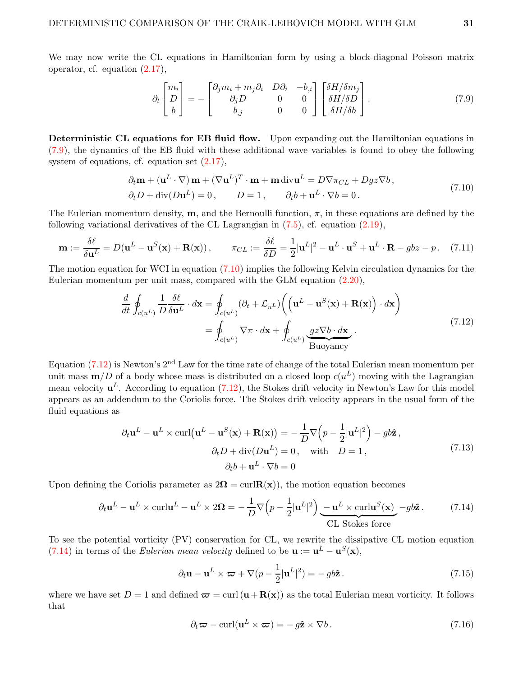We may now write the CL equations in Hamiltonian form by using a block-diagonal Poisson matrix operator, cf. equation [\(2.17\)](#page-10-1),

<span id="page-30-2"></span><span id="page-30-1"></span>
$$
\partial_t \begin{bmatrix} m_i \\ D \\ b \end{bmatrix} = - \begin{bmatrix} \partial_j m_i + m_j \partial_i & D\partial_i & -b_{,i} \\ \partial_j D & 0 & 0 \\ b_{,j} & 0 & 0 \end{bmatrix} \begin{bmatrix} \delta H/\delta m_j \\ \delta H/\delta D \\ \delta H/\delta b \end{bmatrix} . \tag{7.9}
$$

Deterministic CL equations for EB fluid flow. Upon expanding out the Hamiltonian equations in [\(7.9\)](#page-30-1), the dynamics of the EB fluid with these additional wave variables is found to obey the following system of equations, cf. equation set [\(2.17\)](#page-10-1),

$$
\partial_t \mathbf{m} + (\mathbf{u}^L \cdot \nabla) \mathbf{m} + (\nabla \mathbf{u}^L)^T \cdot \mathbf{m} + \mathbf{m} \operatorname{div} \mathbf{u}^L = D \nabla \pi_{CL} + Dg z \nabla b, \n\partial_t D + \operatorname{div}(D \mathbf{u}^L) = 0, \qquad D = 1, \qquad \partial_t b + \mathbf{u}^L \cdot \nabla b = 0.
$$
\n(7.10)

The Eulerian momentum density, **m**, and the Bernoulli function,  $\pi$ , in these equations are defined by the following variational derivatives of the CL Lagrangian in [\(7.5\)](#page-29-0), cf. equation [\(2.19\)](#page-11-3),

$$
\mathbf{m} := \frac{\delta \ell}{\delta \mathbf{u}^L} = D(\mathbf{u}^L - \mathbf{u}^S(\mathbf{x}) + \mathbf{R}(\mathbf{x})), \qquad \pi_{CL} := \frac{\delta \ell}{\delta D} = \frac{1}{2} |\mathbf{u}^L|^2 - \mathbf{u}^L \cdot \mathbf{u}^S + \mathbf{u}^L \cdot \mathbf{R} - g b z - p. \tag{7.11}
$$

The motion equation for WCI in equation [\(7.10\)](#page-30-2) implies the following Kelvin circulation dynamics for the Eulerian momentum per unit mass, compared with the GLM equation [\(2.20\)](#page-11-1),

<span id="page-30-3"></span>
$$
\frac{d}{dt} \oint_{c(u^L)} \frac{1}{D} \frac{\delta \ell}{\delta \mathbf{u}^L} \cdot d\mathbf{x} = \oint_{c(u^L)} (\partial_t + \mathcal{L}_{u^L}) \left( \left( \mathbf{u}^L - \mathbf{u}^S(\mathbf{x}) + \mathbf{R}(\mathbf{x}) \right) \cdot d\mathbf{x} \right)
$$
\n
$$
= \oint_{c(u^L)} \nabla \pi \cdot d\mathbf{x} + \oint_{c(u^L)} \underbrace{gz \nabla b \cdot d\mathbf{x}}_{\text{Buoyancy}} . \tag{7.12}
$$

Equation [\(7.12\)](#page-30-3) is Newton's 2nd Law for the time rate of change of the total Eulerian mean momentum per unit mass  $\mathbf{m}/D$  of a body whose mass is distributed on a closed loop  $c(u^L)$  moving with the Lagrangian mean velocity  $\mathbf{u}^L$ . According to equation [\(7.12\)](#page-30-3), the Stokes drift velocity in Newton's Law for this model appears as an addendum to the Coriolis force. The Stokes drift velocity appears in the usual form of the fluid equations as

$$
\partial_t \mathbf{u}^L - \mathbf{u}^L \times \operatorname{curl}(\mathbf{u}^L - \mathbf{u}^S(\mathbf{x}) + \mathbf{R}(\mathbf{x})) = -\frac{1}{D} \nabla \left( p - \frac{1}{2} |\mathbf{u}^L|^2 \right) - g b \hat{\mathbf{z}},
$$
  
\n
$$
\partial_t D + \operatorname{div}(D \mathbf{u}^L) = 0, \quad \text{with} \quad D = 1,
$$
  
\n
$$
\partial_t b + \mathbf{u}^L \cdot \nabla b = 0
$$
\n(7.13)

Upon defining the Coriolis parameter as  $2\Omega = \text{curl}$ **R**(**x**)), the motion equation becomes

$$
\partial_t \mathbf{u}^L - \mathbf{u}^L \times \text{curl} \mathbf{u}^L - \mathbf{u}^L \times 2\Omega = -\frac{1}{D} \nabla \left( p - \frac{1}{2} |\mathbf{u}^L|^2 \right) \underbrace{-\mathbf{u}^L \times \text{curl} \mathbf{u}^S(\mathbf{x})}_{\text{CL Stokes force}} - g b \hat{\mathbf{z}} \,. \tag{7.14}
$$

To see the potential vorticity (PV) conservation for CL, we rewrite the dissipative CL motion equation [\(7.14\)](#page-30-0) in terms of the *Eulerian mean velocity* defined to be  $\mathbf{u} := \mathbf{u}^L - \mathbf{u}^S(\mathbf{x}),$ 

<span id="page-30-0"></span>
$$
\partial_t \mathbf{u} - \mathbf{u}^L \times \boldsymbol{\varpi} + \nabla (p - \frac{1}{2} |\mathbf{u}^L|^2) = -gb\hat{\mathbf{z}}.
$$
 (7.15)

where we have set  $D = 1$  and defined  $\varpi = \text{curl}(\mathbf{u} + \mathbf{R}(\mathbf{x}))$  as the total Eulerian mean vorticity. It follows that

$$
\partial_t \boldsymbol{\varpi} - \operatorname{curl}(\mathbf{u}^L \times \boldsymbol{\varpi}) = -g \hat{\mathbf{z}} \times \nabla b. \tag{7.16}
$$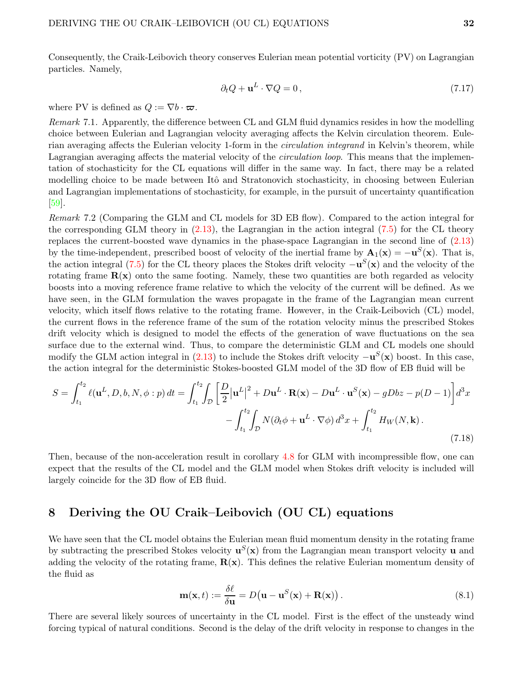Consequently, the Craik-Leibovich theory conserves Eulerian mean potential vorticity (PV) on Lagrangian particles. Namely,

$$
\partial_t Q + \mathbf{u}^L \cdot \nabla Q = 0, \qquad (7.17)
$$

where PV is defined as  $Q := \nabla b \cdot \boldsymbol{\varpi}$ .

Remark 7.1. Apparently, the difference between CL and GLM fluid dynamics resides in how the modelling choice between Eulerian and Lagrangian velocity averaging affects the Kelvin circulation theorem. Eulerian averaging affects the Eulerian velocity 1-form in the *circulation integrand* in Kelvin's theorem, while Lagrangian averaging affects the material velocity of the *circulation loop*. This means that the implementation of stochasticity for the CL equations will differ in the same way. In fact, there may be a related modelling choice to be made between Itô and Stratonovich stochasticity, in choosing between Eulerian and Lagrangian implementations of stochasticity, for example, in the pursuit of uncertainty quantification [\[59\]](#page-44-15).

Remark 7.2 (Comparing the GLM and CL models for 3D EB flow). Compared to the action integral for the corresponding GLM theory in [\(2.13\)](#page-9-1), the Lagrangian in the action integral [\(7.5\)](#page-29-0) for the CL theory replaces the current-boosted wave dynamics in the phase-space Lagrangian in the second line of [\(2.13\)](#page-9-1) by the time-independent, prescribed boost of velocity of the inertial frame by  $\mathbf{A}_1(\mathbf{x}) = -\mathbf{u}^S(\mathbf{x})$ . That is, the action integral [\(7.5\)](#page-29-0) for the CL theory places the Stokes drift velocity  $-\mathbf{u}^{S}(\mathbf{x})$  and the velocity of the rotating frame  $\mathbf{R}(\mathbf{x})$  onto the same footing. Namely, these two quantities are both regarded as velocity boosts into a moving reference frame relative to which the velocity of the current will be defined. As we have seen, in the GLM formulation the waves propagate in the frame of the Lagrangian mean current velocity, which itself flows relative to the rotating frame. However, in the Craik-Leibovich (CL) model, the current flows in the reference frame of the sum of the rotation velocity minus the prescribed Stokes drift velocity which is designed to model the effects of the generation of wave fluctuations on the sea surface due to the external wind. Thus, to compare the deterministic GLM and CL models one should modify the GLM action integral in [\(2.13\)](#page-9-1) to include the Stokes drift velocity  $-\mathbf{u}^{S}(\mathbf{x})$  boost. In this case, the action integral for the deterministic Stokes-boosted GLM model of the 3D flow of EB fluid will be

$$
S = \int_{t_1}^{t_2} \ell(\mathbf{u}^L, D, b, N, \phi : p) dt = \int_{t_1}^{t_2} \int_{\mathcal{D}} \left[ \frac{D}{2} |\mathbf{u}^L|^2 + D\mathbf{u}^L \cdot \mathbf{R}(\mathbf{x}) - D\mathbf{u}^L \cdot \mathbf{u}^S(\mathbf{x}) - gDbz - p(D-1) \right] d^3x
$$

$$
- \int_{t_1}^{t_2} \int_{\mathcal{D}} N(\partial_t \phi + \mathbf{u}^L \cdot \nabla \phi) d^3x + \int_{t_1}^{t_2} H_W(N, \mathbf{k}). \tag{7.18}
$$

Then, because of the non-acceleration result in corollary [4.8](#page-19-0) for GLM with incompressible flow, one can expect that the results of the CL model and the GLM model when Stokes drift velocity is included will largely coincide for the 3D flow of EB fluid.

# <span id="page-31-0"></span>8 Deriving the OU Craik–Leibovich (OU CL) equations

We have seen that the CL model obtains the Eulerian mean fluid momentum density in the rotating frame by subtracting the prescribed Stokes velocity  $\mathbf{u}^{S}(\mathbf{x})$  from the Lagrangian mean transport velocity  $\mathbf{u}$  and adding the velocity of the rotating frame,  $\mathbf{R}(\mathbf{x})$ . This defines the relative Eulerian momentum density of the fluid as

$$
\mathbf{m}(\mathbf{x},t) := \frac{\delta \ell}{\delta \mathbf{u}} = D(\mathbf{u} - \mathbf{u}^S(\mathbf{x}) + \mathbf{R}(\mathbf{x})).
$$
\n(8.1)

There are several likely sources of uncertainty in the CL model. First is the effect of the unsteady wind forcing typical of natural conditions. Second is the delay of the drift velocity in response to changes in the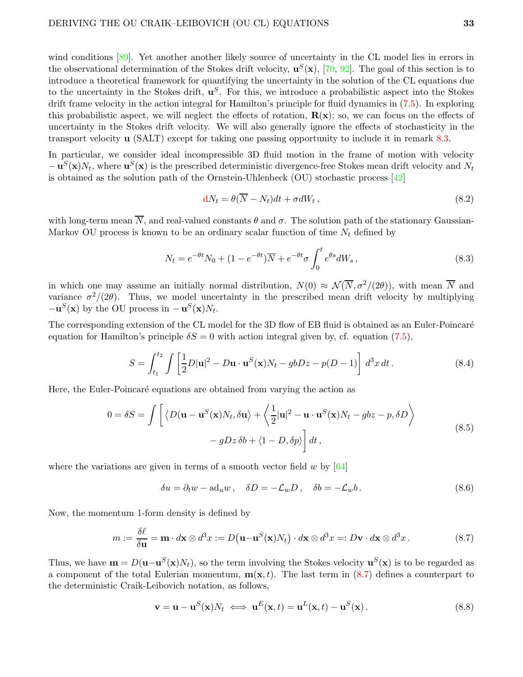wind conditions [\[89\]](#page-46-3). Yet another another likely source of uncertainty in the CL model lies in errors in the observational determination of the Stokes drift velocity,  $\mathbf{u}^{S}(\mathbf{x})$ , [\[70,](#page-45-16) [92\]](#page-46-5). The goal of this section is to introduce a theoretical framework for quantifying the uncertainty in the solution of the CL equations due to the uncertainty in the Stokes drift,  $\mathbf{u}^S$ . For this, we introduce a probabilistic aspect into the Stokes drift frame velocity in the action integral for Hamilton's principle for fluid dynamics in [\(7.5\)](#page-29-0). In exploring this probabilistic aspect, we will neglect the effects of rotation,  $\mathbf{R}(\mathbf{x})$ ; so, we can focus on the effects of uncertainty in the Stokes drift velocity. We will also generally ignore the effects of stochasticity in the transport velocity u (SALT) except for taking one passing opportunity to include it in remark [8.3.](#page-34-1)

In particular, we consider ideal incompressible 3D fluid motion in the frame of motion with velocity  $-\mathbf{u}^{S}(\mathbf{x})N_t$ , where  $\mathbf{u}^{S}(\mathbf{x})$  is the prescribed deterministic divergence-free Stokes mean drift velocity and  $N_t$ is obtained as the solution path of the Ornstein-Uhlenbeck (OU) stochastic process  $[42]$ 

<span id="page-32-3"></span>
$$
dN_t = \theta(\overline{N} - N_t)dt + \sigma dW_t, \qquad (8.2)
$$

with long-term mean  $\overline{N}$ , and real-valued constants  $\theta$  and  $\sigma$ . The solution path of the stationary Gaussian-Markov OU process is known to be an ordinary scalar function of time  $N_t$  defined by

<span id="page-32-5"></span>
$$
N_t = e^{-\theta t} N_0 + (1 - e^{-\theta t}) \overline{N} + e^{-\theta t} \sigma \int_0^t e^{\theta s} dW_s,
$$
\n(8.3)

in which one may assume an initially normal distribution,  $N(0) \approx \mathcal{N}(\overline{N}, \sigma^2/(2\theta))$ , with mean  $\overline{N}$  and variance  $\sigma^2/(2\theta)$ . Thus, we model uncertainty in the prescribed mean drift velocity by multiplying  $-\mathbf{u}^{S}(\mathbf{x})$  by the OU process in  $-\mathbf{u}^{S}(\mathbf{x})N_t$ .

The corresponding extension of the CL model for the 3D flow of EB fluid is obtained as an Euler-Poincaré equation for Hamilton's principle  $\delta S = 0$  with action integral given by, cf. equation [\(7.5\)](#page-29-0),

$$
S = \int_{t_1}^{t_2} \int \left[ \frac{1}{2} D|\mathbf{u}|^2 - D\mathbf{u} \cdot \mathbf{u}^S(\mathbf{x}) N_t - gbDz - p(D-1) \right] d^3x dt.
$$
 (8.4)

Here, the Euler-Poincaré equations are obtained from varying the action as

$$
0 = \delta S = \int \left[ \langle D(\mathbf{u} - \mathbf{u}^{S}(\mathbf{x})N_{t}, \delta \mathbf{u} \rangle + \langle \frac{1}{2} |\mathbf{u}|^{2} - \mathbf{u} \cdot \mathbf{u}^{S}(\mathbf{x})N_{t} - gbz - p, \delta D \rangle - gDz \delta b + \langle 1 - D, \delta p \rangle \right] dt,
$$
\n(8.5)

where the variations are given in terms of a smooth vector field  $w$  by  $[64]$ 

<span id="page-32-2"></span><span id="page-32-1"></span><span id="page-32-0"></span>
$$
\delta u = \partial_t w - \mathrm{ad}_u w \,, \quad \delta D = -\mathcal{L}_w D \,, \quad \delta b = -\mathcal{L}_w b \,. \tag{8.6}
$$

Now, the momentum 1-form density is defined by

$$
m := \frac{\delta \ell}{\delta \mathbf{u}} = \mathbf{m} \cdot d\mathbf{x} \otimes d^3 x := D(\mathbf{u} - \mathbf{u}^S(\mathbf{x})N_t) \cdot d\mathbf{x} \otimes d^3 x =: D\mathbf{v} \cdot d\mathbf{x} \otimes d^3 x. \tag{8.7}
$$

Thus, we have  $\mathbf{m} = D(\mathbf{u} - \mathbf{u}^S(\mathbf{x})N_t)$ , so the term involving the Stokes velocity  $\mathbf{u}^S(\mathbf{x})$  is to be regarded as a component of the total Eulerian momentum,  $\mathbf{m}(\mathbf{x}, t)$ . The last term in [\(8.7\)](#page-32-0) defines a counterpart to the deterministic Craik-Leibovich notation, as follows,

<span id="page-32-4"></span>
$$
\mathbf{v} = \mathbf{u} - \mathbf{u}^{S}(\mathbf{x})N_t \iff \mathbf{u}^{E}(\mathbf{x}, t) = \mathbf{u}^{L}(\mathbf{x}, t) - \mathbf{u}^{S}(\mathbf{x}). \tag{8.8}
$$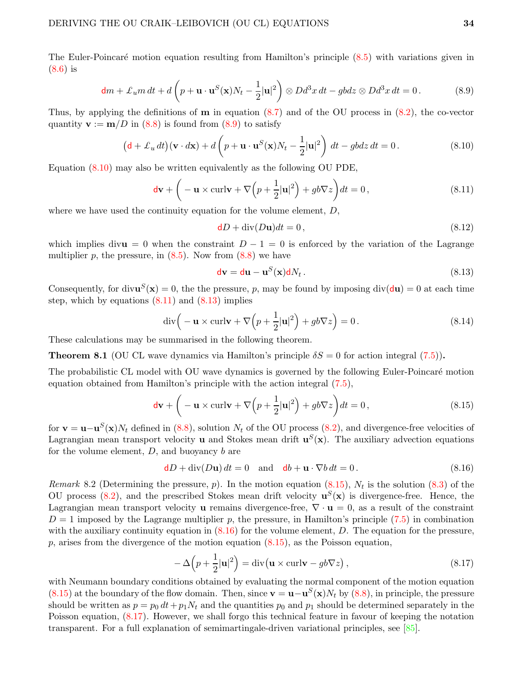The Euler-Poincaré motion equation resulting from Hamilton's principle  $(8.5)$  with variations given in [\(8.6\)](#page-32-2) is

$$
\mathbf{d}m + \pounds_u m \, dt + d \left( p + \mathbf{u} \cdot \mathbf{u}^S(\mathbf{x}) N_t - \frac{1}{2} |\mathbf{u}|^2 \right) \otimes D d^3 x \, dt - g b dz \otimes D d^3 x \, dt = 0. \tag{8.9}
$$

Thus, by applying the definitions of  **in equation [\(8.7\)](#page-32-0) and of the OU process in [\(8.2\)](#page-32-3), the co-vector** quantity  $\mathbf{v} := \mathbf{m}/D$  in [\(8.8\)](#page-32-4) is found from [\(8.9\)](#page-33-1) to satisfy

$$
(\mathbf{d} + \pounds_u dt)(\mathbf{v} \cdot d\mathbf{x}) + d\left(p + \mathbf{u} \cdot \mathbf{u}^S(\mathbf{x})N_t - \frac{1}{2}|\mathbf{u}|^2\right) dt - g b dz dt = 0.
$$
 (8.10)

Equation [\(8.10\)](#page-33-2) may also be written equivalently as the following OU PDE,

$$
\mathbf{dv} + \left( -\mathbf{u} \times \text{curl}\mathbf{v} + \nabla \left( p + \frac{1}{2} |\mathbf{u}|^2 \right) + gb \nabla z \right) dt = 0, \qquad (8.11)
$$

where we have used the continuity equation for the volume element,  $D$ ,

<span id="page-33-3"></span><span id="page-33-2"></span><span id="page-33-1"></span>
$$
dD + \operatorname{div}(D\mathbf{u})dt = 0, \qquad (8.12)
$$

which implies divu = 0 when the constraint  $D-1=0$  is enforced by the variation of the Lagrange multiplier p, the pressure, in  $(8.5)$ . Now from  $(8.8)$  we have

<span id="page-33-5"></span><span id="page-33-4"></span>
$$
dv = du - uS(x)dNt.
$$
 (8.13)

Consequently, for div $\mathbf{u}^{S}(\mathbf{x}) = 0$ , the the pressure, p, may be found by imposing div $(\mathbf{du}) = 0$  at each time step, which by equations  $(8.11)$  and  $(8.13)$  implies

$$
\operatorname{div}\left(-\mathbf{u} \times \operatorname{curl}\mathbf{v} + \nabla\left(p + \frac{1}{2}|\mathbf{u}|^2\right) + gb\nabla z\right) = 0. \tag{8.14}
$$

These calculations may be summarised in the following theorem.

<span id="page-33-0"></span>**Theorem 8.1** (OU CL wave dynamics via Hamilton's principle  $\delta S = 0$  for action integral [\(7.5\)](#page-29-0)).

The probabilistic CL model with OU wave dynamics is governed by the following Euler-Poincaré motion equation obtained from Hamilton's principle with the action integral [\(7.5\)](#page-29-0),

$$
\mathbf{dv} + \left( -\mathbf{u} \times \text{curl}\mathbf{v} + \nabla \left( p + \frac{1}{2} |\mathbf{u}|^2 \right) + gb \nabla z \right) dt = 0, \qquad (8.15)
$$

for  $\mathbf{v} = \mathbf{u} - \mathbf{u}^S(\mathbf{x})N_t$  defined in [\(8.8\)](#page-32-4), solution  $N_t$  of the OU process [\(8.2\)](#page-32-3), and divergence-free velocities of Lagrangian mean transport velocity **u** and Stokes mean drift  $\mathbf{u}^{S}(\mathbf{x})$ . The auxiliary advection equations for the volume element,  $D$ , and buoyancy  $b$  are

<span id="page-33-6"></span>
$$
\mathbf{d}D + \text{div}(D\mathbf{u}) dt = 0 \quad \text{and} \quad \mathbf{d}b + \mathbf{u} \cdot \nabla b dt = 0. \tag{8.16}
$$

Remark 8.2 (Determining the pressure, p). In the motion equation  $(8.15)$ ,  $N_t$  is the solution  $(8.3)$  of the OU process  $(8.2)$ , and the prescribed Stokes mean drift velocity  $\mathbf{u}^{S}(\mathbf{x})$  is divergence-free. Hence, the Lagrangian mean transport velocity **u** remains divergence-free,  $\nabla \cdot \mathbf{u} = 0$ , as a result of the constraint  $D = 1$  imposed by the Lagrange multiplier p, the pressure, in Hamilton's principle [\(7.5\)](#page-29-0) in combination with the auxiliary continuity equation in  $(8.16)$  for the volume element, D. The equation for the pressure,  $p$ , arises from the divergence of the motion equation [\(8.15\)](#page-33-5), as the Poisson equation,

<span id="page-33-7"></span>
$$
-\Delta\left(p+\frac{1}{2}|\mathbf{u}|^2\right) = \text{div}\left(\mathbf{u} \times \text{curl}\mathbf{v} - gb\nabla z\right),\tag{8.17}
$$

with Neumann boundary conditions obtained by evaluating the normal component of the motion equation [\(8.15\)](#page-33-5) at the boundary of the flow domain. Then, since  $\mathbf{v} = \mathbf{u} - \mathbf{u}^S(\mathbf{x})N_t$  by [\(8.8\)](#page-32-4), in principle, the pressure should be written as  $p = p_0 dt + p_1 N_t$  and the quantities  $p_0$  and  $p_1$  should be determined separately in the Poisson equation, [\(8.17\)](#page-33-7). However, we shall forgo this technical feature in favour of keeping the notation transparent. For a full explanation of semimartingale-driven variational principles, see [\[85\]](#page-45-12).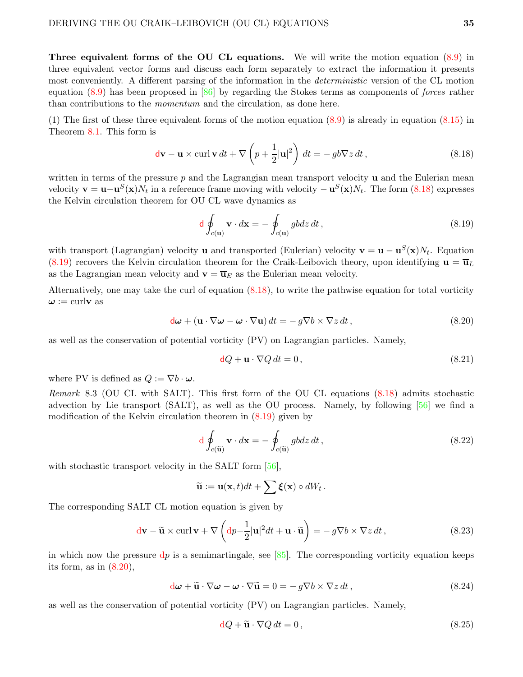Three equivalent forms of the OU CL equations. We will write the motion equation [\(8.9\)](#page-33-1) in three equivalent vector forms and discuss each form separately to extract the information it presents most conveniently. A different parsing of the information in the deterministic version of the CL motion equation [\(8.9\)](#page-33-1) has been proposed in [\[86\]](#page-45-17) by regarding the Stokes terms as components of forces rather than contributions to the momentum and the circulation, as done here.

(1) The first of these three equivalent forms of the motion equation [\(8.9\)](#page-33-1) is already in equation [\(8.15\)](#page-33-5) in Theorem [8.1.](#page-33-0) This form is

$$
\mathbf{dv} - \mathbf{u} \times \operatorname{curl} \mathbf{v} \, dt + \nabla \left( p + \frac{1}{2} |\mathbf{u}|^2 \right) \, dt = -g b \nabla z \, dt \,, \tag{8.18}
$$

written in terms of the pressure  $p$  and the Lagrangian mean transport velocity  $\bf{u}$  and the Eulerian mean velocity  $\mathbf{v} = \mathbf{u} - \mathbf{u}^S(\mathbf{x})N_t$  in a reference frame moving with velocity  $-\mathbf{u}^S(\mathbf{x})N_t$ . The form [\(8.18\)](#page-34-2) expresses the Kelvin circulation theorem for OU CL wave dynamics as

<span id="page-34-3"></span><span id="page-34-2"></span>
$$
\mathbf{d} \oint_{c(\mathbf{u})} \mathbf{v} \cdot d\mathbf{x} = -\oint_{c(\mathbf{u})} g b dz dt , \qquad (8.19)
$$

with transport (Lagrangian) velocity **u** and transported (Eulerian) velocity  $\mathbf{v} = \mathbf{u} - \mathbf{u}^{S}(\mathbf{x})N_t$ . Equation  $(8.19)$  recovers the Kelvin circulation theorem for the Craik-Leibovich theory, upon identifying  $\mathbf{u} = \overline{\mathbf{u}}_L$ as the Lagrangian mean velocity and  $\mathbf{v} = \overline{\mathbf{u}}_E$  as the Eulerian mean velocity.

Alternatively, one may take the curl of equation  $(8.18)$ , to write the pathwise equation for total vorticity  $\omega := \text{curlv as}$ 

$$
\mathbf{d}\boldsymbol{\omega} + (\mathbf{u} \cdot \nabla \boldsymbol{\omega} - \boldsymbol{\omega} \cdot \nabla \mathbf{u}) dt = -g \nabla b \times \nabla z dt, \qquad (8.20)
$$

as well as the conservation of potential vorticity (PV) on Lagrangian particles. Namely,

<span id="page-34-4"></span><span id="page-34-0"></span>
$$
dQ + \mathbf{u} \cdot \nabla Q dt = 0, \qquad (8.21)
$$

where PV is defined as  $Q := \nabla b \cdot \boldsymbol{\omega}$ .

<span id="page-34-1"></span>Remark 8.3 (OU CL with SALT). This first form of the OU CL equations [\(8.18\)](#page-34-2) admits stochastic advection by Lie transport (SALT), as well as the OU process. Namely, by following [\[56\]](#page-44-2) we find a modification of the Kelvin circulation theorem in [\(8.19\)](#page-34-3) given by

$$
d \oint_{c(\widetilde{\mathbf{u}})} \mathbf{v} \cdot d\mathbf{x} = - \oint_{c(\widetilde{\mathbf{u}})} g b dz dt , \qquad (8.22)
$$

with stochastic transport velocity in the SALT form [\[56\]](#page-44-2),

$$
\widetilde{\mathbf{u}} := \mathbf{u}(\mathbf{x},t)dt + \sum \xi(\mathbf{x}) \circ dW_t.
$$

The corresponding SALT CL motion equation is given by

$$
\mathbf{dv} - \widetilde{\mathbf{u}} \times \operatorname{curl} \mathbf{v} + \nabla \left( \mathrm{d}p - \frac{1}{2} |\mathbf{u}|^2 dt + \mathbf{u} \cdot \widetilde{\mathbf{u}} \right) = -g \nabla b \times \nabla z dt , \qquad (8.23)
$$

in which now the pressure  $dp$  is a semimartingale, see [\[85\]](#page-45-12). The corresponding vorticity equation keeps its form, as in  $(8.20)$ ,

$$
\mathbf{d}\boldsymbol{\omega} + \widetilde{\mathbf{u}} \cdot \nabla \boldsymbol{\omega} - \boldsymbol{\omega} \cdot \nabla \widetilde{\mathbf{u}} = 0 = -g \nabla b \times \nabla z dt, \qquad (8.24)
$$

as well as the conservation of potential vorticity (PV) on Lagrangian particles. Namely,

<span id="page-34-5"></span>
$$
dQ + \tilde{u} \cdot \nabla Q dt = 0, \qquad (8.25)
$$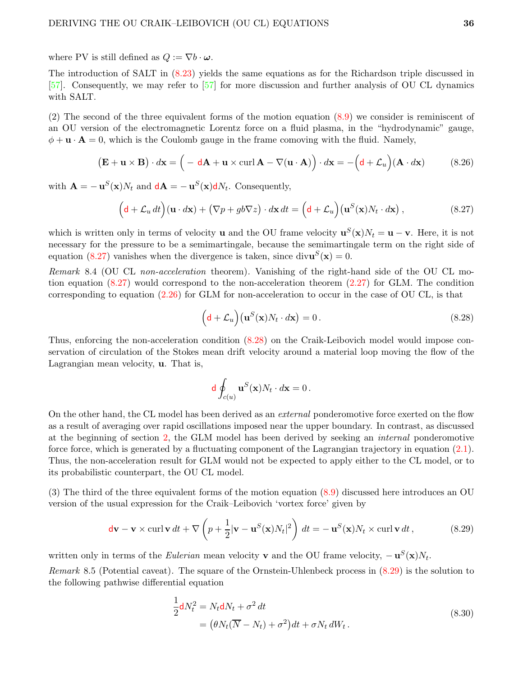where PV is still defined as  $Q := \nabla b \cdot \boldsymbol{\omega}$ .

The introduction of SALT in [\(8.23\)](#page-34-5) yields the same equations as for the Richardson triple discussed in [\[57\]](#page-44-0). Consequently, we may refer to [\[57\]](#page-44-0) for more discussion and further analysis of OU CL dynamics with SALT.

(2) The second of the three equivalent forms of the motion equation [\(8.9\)](#page-33-1) we consider is reminiscent of an OU version of the electromagnetic Lorentz force on a fluid plasma, in the "hydrodynamic" gauge,  $\phi + \mathbf{u} \cdot \mathbf{A} = 0$ , which is the Coulomb gauge in the frame comoving with the fluid. Namely,

$$
(\mathbf{E} + \mathbf{u} \times \mathbf{B}) \cdot d\mathbf{x} = \left( -\mathbf{d}\mathbf{A} + \mathbf{u} \times \operatorname{curl} \mathbf{A} - \nabla(\mathbf{u} \cdot \mathbf{A}) \right) \cdot d\mathbf{x} = -\left( \mathbf{d} + \mathcal{L}_u \right) (\mathbf{A} \cdot d\mathbf{x}) \tag{8.26}
$$

with  $\mathbf{A} = -\mathbf{u}^{S}(\mathbf{x})N_t$  and  $\mathbf{d}\mathbf{A} = -\mathbf{u}^{S}(\mathbf{x})\mathbf{d}N_t$ . Consequently,

$$
\left(\mathbf{d} + \mathcal{L}_u dt\right)(\mathbf{u} \cdot d\mathbf{x}) + \left(\nabla p + g b \nabla z\right) \cdot d\mathbf{x} dt = \left(\mathbf{d} + \mathcal{L}_u\right)\left(\mathbf{u}^S(\mathbf{x})N_t \cdot d\mathbf{x}\right),\tag{8.27}
$$

which is written only in terms of velocity **u** and the OU frame velocity  $\mathbf{u}^{S}(\mathbf{x})N_t = \mathbf{u} - \mathbf{v}$ . Here, it is not necessary for the pressure to be a semimartingale, because the semimartingale term on the right side of equation [\(8.27\)](#page-35-0) vanishes when the divergence is taken, since  $div\mathbf{u}^{S}(\mathbf{x})=0$ .

Remark 8.4 (OU CL non-acceleration theorem). Vanishing of the right-hand side of the OU CL motion equation [\(8.27\)](#page-35-0) would correspond to the non-acceleration theorem [\(2.27\)](#page-13-0) for GLM. The condition corresponding to equation  $(2.26)$  for GLM for non-acceleration to occur in the case of OU CL, is that

<span id="page-35-1"></span><span id="page-35-0"></span>
$$
(\mathbf{d} + \mathcal{L}_u)(\mathbf{u}^S(\mathbf{x})N_t \cdot d\mathbf{x}) = 0.
$$
 (8.28)

Thus, enforcing the non-acceleration condition [\(8.28\)](#page-35-1) on the Craik-Leibovich model would impose conservation of circulation of the Stokes mean drift velocity around a material loop moving the flow of the Lagrangian mean velocity, u. That is,

<span id="page-35-2"></span>
$$
\mathrm{d}\oint_{c(u)}\mathbf{u}^S(\mathbf{x})N_t\cdot d\mathbf{x}=0\,.
$$

On the other hand, the CL model has been derived as an external ponderomotive force exerted on the flow as a result of averaging over rapid oscillations imposed near the upper boundary. In contrast, as discussed at the beginning of section [2,](#page-5-0) the GLM model has been derived by seeking an internal ponderomotive force force, which is generated by a fluctuating component of the Lagrangian trajectory in equation [\(2.1\)](#page-6-2). Thus, the non-acceleration result for GLM would not be expected to apply either to the CL model, or to its probabilistic counterpart, the OU CL model.

(3) The third of the three equivalent forms of the motion equation [\(8.9\)](#page-33-1) discussed here introduces an OU version of the usual expression for the Craik–Leibovich 'vortex force' given by

$$
\mathbf{dv} - \mathbf{v} \times \operatorname{curl} \mathbf{v} dt + \nabla \left( p + \frac{1}{2} |\mathbf{v} - \mathbf{u}^S(\mathbf{x}) N_t|^2 \right) dt = -\mathbf{u}^S(\mathbf{x}) N_t \times \operatorname{curl} \mathbf{v} dt, \qquad (8.29)
$$

written only in terms of the *Eulerian* mean velocity **v** and the OU frame velocity,  $-\mathbf{u}^{S}(\mathbf{x})N_t$ .

Remark 8.5 (Potential caveat). The square of the Ornstein-Uhlenbeck process in [\(8.29\)](#page-35-2) is the solution to the following pathwise differential equation

$$
\frac{1}{2}dN_t^2 = N_t dN_t + \sigma^2 dt
$$
  
= 
$$
(\theta N_t (\overline{N} - N_t) + \sigma^2) dt + \sigma N_t dW_t.
$$
 (8.30)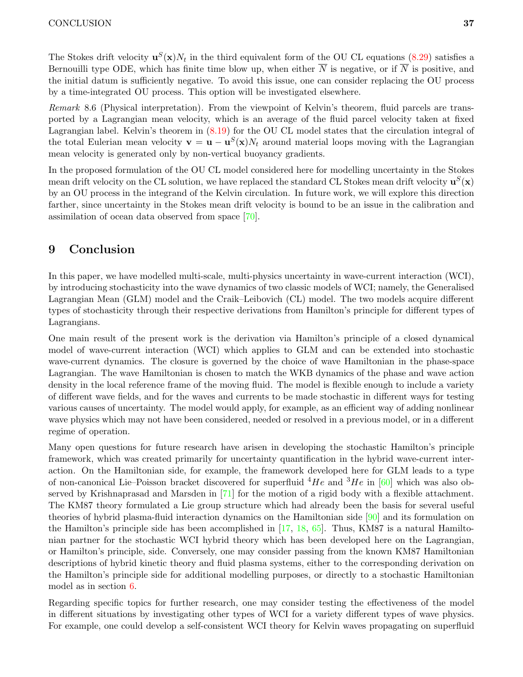The Stokes drift velocity  $\mathbf{u}^{S}(\mathbf{x})N_t$  in the third equivalent form of the OU CL equations [\(8.29\)](#page-35-2) satisfies a Bernouilli type ODE, which has finite time blow up, when either  $\overline{N}$  is negative, or if  $\overline{N}$  is positive, and the initial datum is sufficiently negative. To avoid this issue, one can consider replacing the OU process by a time-integrated OU process. This option will be investigated elsewhere.

Remark 8.6 (Physical interpretation). From the viewpoint of Kelvin's theorem, fluid parcels are transported by a Lagrangian mean velocity, which is an average of the fluid parcel velocity taken at fixed Lagrangian label. Kelvin's theorem in [\(8.19\)](#page-34-3) for the OU CL model states that the circulation integral of the total Eulerian mean velocity  $\mathbf{v} = \mathbf{u} - \mathbf{u}^S(\mathbf{x})N_t$  around material loops moving with the Lagrangian mean velocity is generated only by non-vertical buoyancy gradients.

In the proposed formulation of the OU CL model considered here for modelling uncertainty in the Stokes mean drift velocity on the CL solution, we have replaced the standard CL Stokes mean drift velocity  $\mathbf{u}^{S}(\mathbf{x})$ by an OU process in the integrand of the Kelvin circulation. In future work, we will explore this direction farther, since uncertainty in the Stokes mean drift velocity is bound to be an issue in the calibration and assimilation of ocean data observed from space [\[70\]](#page-45-16).

# <span id="page-36-0"></span>9 Conclusion

In this paper, we have modelled multi-scale, multi-physics uncertainty in wave-current interaction (WCI), by introducing stochasticity into the wave dynamics of two classic models of WCI; namely, the Generalised Lagrangian Mean (GLM) model and the Craik–Leibovich (CL) model. The two models acquire different types of stochasticity through their respective derivations from Hamilton's principle for different types of Lagrangians.

One main result of the present work is the derivation via Hamilton's principle of a closed dynamical model of wave-current interaction (WCI) which applies to GLM and can be extended into stochastic wave-current dynamics. The closure is governed by the choice of wave Hamiltonian in the phase-space Lagrangian. The wave Hamiltonian is chosen to match the WKB dynamics of the phase and wave action density in the local reference frame of the moving fluid. The model is flexible enough to include a variety of different wave fields, and for the waves and currents to be made stochastic in different ways for testing various causes of uncertainty. The model would apply, for example, as an efficient way of adding nonlinear wave physics which may not have been considered, needed or resolved in a previous model, or in a different regime of operation.

Many open questions for future research have arisen in developing the stochastic Hamilton's principle framework, which was created primarily for uncertainty quantification in the hybrid wave-current interaction. On the Hamiltonian side, for example, the framework developed here for GLM leads to a type of non-canonical Lie–Poisson bracket discovered for superfluid  $^{4}He$  and  $^{3}He$  in [\[60\]](#page-44-3) which was also observed by Krishnaprasad and Marsden in [\[71\]](#page-45-6) for the motion of a rigid body with a flexible attachment. The KM87 theory formulated a Lie group structure which had already been the basis for several useful theories of hybrid plasma-fluid interaction dynamics on the Hamiltonian side [\[90\]](#page-46-6) and its formulation on the Hamilton's principle side has been accomplished in [\[17,](#page-41-14) [18,](#page-42-14) [65\]](#page-44-16). Thus, KM87 is a natural Hamiltonian partner for the stochastic WCI hybrid theory which has been developed here on the Lagrangian, or Hamilton's principle, side. Conversely, one may consider passing from the known KM87 Hamiltonian descriptions of hybrid kinetic theory and fluid plasma systems, either to the corresponding derivation on the Hamilton's principle side for additional modelling purposes, or directly to a stochastic Hamiltonian model as in section [6.](#page-24-0)

Regarding specific topics for further research, one may consider testing the effectiveness of the model in different situations by investigating other types of WCI for a variety different types of wave physics. For example, one could develop a self-consistent WCI theory for Kelvin waves propagating on superfluid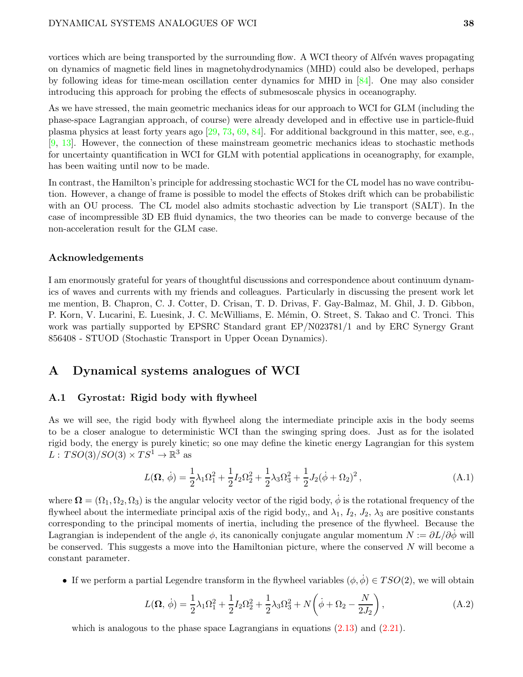vortices which are being transported by the surrounding flow. A WCI theory of Alfvén waves propagating on dynamics of magnetic field lines in magnetohydrodynamics (MHD) could also be developed, perhaps by following ideas for time-mean oscillation center dynamics for MHD in [\[84\]](#page-45-1). One may also consider introducing this approach for probing the effects of submesoscale physics in oceanography.

As we have stressed, the main geometric mechanics ideas for our approach to WCI for GLM (including the phase-space Lagrangian approach, of course) were already developed and in effective use in particle-fluid plasma physics at least forty years ago [\[29,](#page-42-2) [73,](#page-45-0) [69,](#page-45-2) [84\]](#page-45-1). For additional background in this matter, see, e.g., [\[9,](#page-41-5) [13\]](#page-41-1). However, the connection of these mainstream geometric mechanics ideas to stochastic methods for uncertainty quantification in WCI for GLM with potential applications in oceanography, for example, has been waiting until now to be made.

In contrast, the Hamilton's principle for addressing stochastic WCI for the CL model has no wave contribution. However, a change of frame is possible to model the effects of Stokes drift which can be probabilistic with an OU process. The CL model also admits stochastic advection by Lie transport (SALT). In the case of incompressible 3D EB fluid dynamics, the two theories can be made to converge because of the non-acceleration result for the GLM case.

#### Acknowledgements

I am enormously grateful for years of thoughtful discussions and correspondence about continuum dynamics of waves and currents with my friends and colleagues. Particularly in discussing the present work let me mention, B. Chapron, C. J. Cotter, D. Crisan, T. D. Drivas, F. Gay-Balmaz, M. Ghil, J. D. Gibbon, P. Korn, V. Lucarini, E. Luesink, J. C. McWilliams, E. Mémin, O. Street, S. Takao and C. Tronci. This work was partially supported by EPSRC Standard grant EP/N023781/1 and by ERC Synergy Grant 856408 - STUOD (Stochastic Transport in Upper Ocean Dynamics).

### <span id="page-37-0"></span>A Dynamical systems analogues of WCI

#### A.1 Gyrostat: Rigid body with flywheel

As we will see, the rigid body with flywheel along the intermediate principle axis in the body seems to be a closer analogue to deterministic WCI than the swinging spring does. Just as for the isolated rigid body, the energy is purely kinetic; so one may define the kinetic energy Lagrangian for this system  $L: TSO(3)/SO(3) \times TS^1 \to \mathbb{R}^3$  as

$$
L(\Omega, \dot{\phi}) = \frac{1}{2}\lambda_1 \Omega_1^2 + \frac{1}{2}I_2 \Omega_2^2 + \frac{1}{2}\lambda_3 \Omega_3^2 + \frac{1}{2}J_2(\dot{\phi} + \Omega_2)^2, \tag{A.1}
$$

where  $\mathbf{\Omega} = (\Omega_1, \Omega_2, \Omega_3)$  is the angular velocity vector of the rigid body,  $\dot{\phi}$  is the rotational frequency of the flywheel about the intermediate principal axis of the rigid body,, and  $\lambda_1$ ,  $I_2$ ,  $J_2$ ,  $\lambda_3$  are positive constants corresponding to the principal moments of inertia, including the presence of the flywheel. Because the Lagrangian is independent of the angle  $\phi$ , its canonically conjugate angular momentum  $N := \partial L/\partial \phi$  will be conserved. This suggests a move into the Hamiltonian picture, where the conserved  $N$  will become a constant parameter.

• If we perform a partial Legendre transform in the flywheel variables  $(\phi, \phi) \in TSO(2)$ , we will obtain

$$
L(\Omega, \dot{\phi}) = \frac{1}{2}\lambda_1 \Omega_1^2 + \frac{1}{2}I_2 \Omega_2^2 + \frac{1}{2}\lambda_3 \Omega_3^2 + N(\dot{\phi} + \Omega_2 - \frac{N}{2J_2}),
$$
 (A.2)

which is analogous to the phase space Lagrangians in equations  $(2.13)$  and  $(2.21)$ .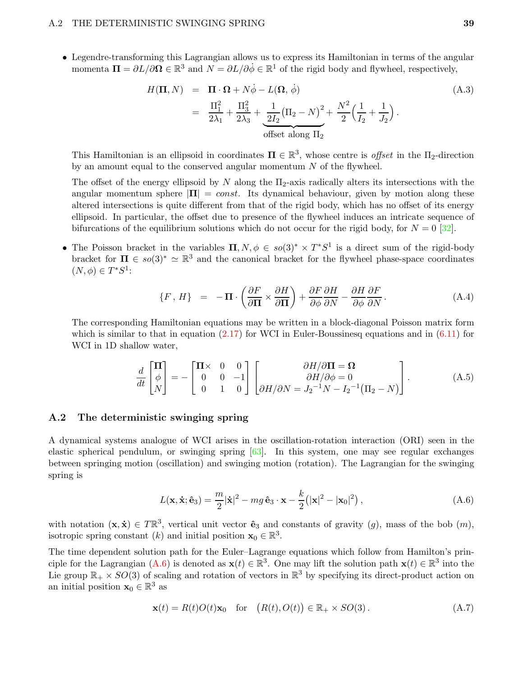• Legendre-transforming this Lagrangian allows us to express its Hamiltonian in terms of the angular momenta  $\Pi = \partial L/\partial \Omega \in \mathbb{R}^3$  and  $N = \partial L/\partial \dot{\phi} \in \mathbb{R}^1$  of the rigid body and flywheel, respectively,

$$
H(\mathbf{\Pi}, N) = \mathbf{\Pi} \cdot \mathbf{\Omega} + N\dot{\phi} - L(\mathbf{\Omega}, \dot{\phi})
$$
\n
$$
= \frac{\Pi_1^2}{2\lambda_1} + \frac{\Pi_3^2}{2\lambda_3} + \underbrace{\frac{1}{2I_2}(\Pi_2 - N)^2}_{\text{offset along } \Pi_2} + \frac{N^2}{2} \left(\frac{1}{I_2} + \frac{1}{J_2}\right).
$$
\n(A.3)

This Hamiltonian is an ellipsoid in coordinates  $\Pi \in \mathbb{R}^3$ , whose centre is *offset* in the  $\Pi_2$ -direction by an amount equal to the conserved angular momentum  $N$  of the flywheel.

The offset of the energy ellipsoid by N along the  $\Pi_2$ -axis radically alters its intersections with the angular momentum sphere  $|\Pi| = const.$  Its dynamical behaviour, given by motion along these altered intersections is quite different from that of the rigid body, which has no offset of its energy ellipsoid. In particular, the offset due to presence of the flywheel induces an intricate sequence of bifurcations of the equilibrium solutions which do not occur for the rigid body, for  $N = 0$  [\[32\]](#page-42-15).

• The Poisson bracket in the variables  $\Pi, N, \phi \in so(3)^* \times T^*S^1$  is a direct sum of the rigid-body bracket for  $\Pi \in so(3)^* \simeq \mathbb{R}^3$  and the canonical bracket for the flywheel phase-space coordinates  $(N, \phi) \in T^*S^1$ :

$$
\{F \, , \, H\} \quad = \quad -\,\mathbf{\Pi} \cdot \left(\frac{\partial F}{\partial \mathbf{\Pi}} \times \frac{\partial H}{\partial \mathbf{\Pi}}\right) + \frac{\partial F}{\partial \phi} \frac{\partial H}{\partial N} - \frac{\partial H}{\partial \phi} \frac{\partial F}{\partial N} \,. \tag{A.4}
$$

The corresponding Hamiltonian equations may be written in a block-diagonal Poisson matrix form which is similar to that in equation  $(2.17)$  for WCI in Euler-Boussinesq equations and in  $(6.11)$  for WCI in 1D shallow water,

$$
\frac{d}{dt} \begin{bmatrix} \mathbf{\Pi} \\ \phi \\ N \end{bmatrix} = - \begin{bmatrix} \mathbf{\Pi} \times & 0 & 0 \\ 0 & 0 & -1 \\ 0 & 1 & 0 \end{bmatrix} \begin{bmatrix} \partial H/\partial \mathbf{\Pi} = \mathbf{\Omega} \\ \partial H/\partial \phi = 0 \\ \partial H/\partial N = J_2^{-1}N - I_2^{-1}(\Pi_2 - N) \end{bmatrix} . \tag{A.5}
$$

#### A.2 The deterministic swinging spring

A dynamical systems analogue of WCI arises in the oscillation-rotation interaction (ORI) seen in the elastic spherical pendulum, or swinging spring [\[63\]](#page-44-4). In this system, one may see regular exchanges between springing motion (oscillation) and swinging motion (rotation). The Lagrangian for the swinging spring is

<span id="page-38-0"></span>
$$
L(\mathbf{x}, \dot{\mathbf{x}}; \hat{\mathbf{e}}_3) = \frac{m}{2} |\dot{\mathbf{x}}|^2 - mg \,\hat{\mathbf{e}}_3 \cdot \mathbf{x} - \frac{k}{2} (|\mathbf{x}|^2 - |\mathbf{x}_0|^2) \,, \tag{A.6}
$$

with notation  $(\mathbf{x}, \dot{\mathbf{x}}) \in T\mathbb{R}^3$ , vertical unit vector  $\hat{\mathbf{e}}_3$  and constants of gravity  $(g)$ , mass of the bob  $(m)$ , isotropic spring constant  $(k)$  and initial position  $\mathbf{x}_0 \in \mathbb{R}^3$ .

The time dependent solution path for the Euler–Lagrange equations which follow from Hamilton's prin-ciple for the Lagrangian [\(A.6\)](#page-38-0) is denoted as  $\mathbf{x}(t) \in \mathbb{R}^3$ . One may lift the solution path  $\mathbf{x}(t) \in \mathbb{R}^3$  into the Lie group  $\mathbb{R}_+ \times SO(3)$  of scaling and rotation of vectors in  $\mathbb{R}^3$  by specifying its direct-product action on an initial position  $\mathbf{x}_0 \in \mathbb{R}^3$  as

<span id="page-38-1"></span>
$$
\mathbf{x}(t) = R(t)O(t)\mathbf{x}_0 \quad \text{for} \quad (R(t), O(t)) \in \mathbb{R}_+ \times SO(3). \tag{A.7}
$$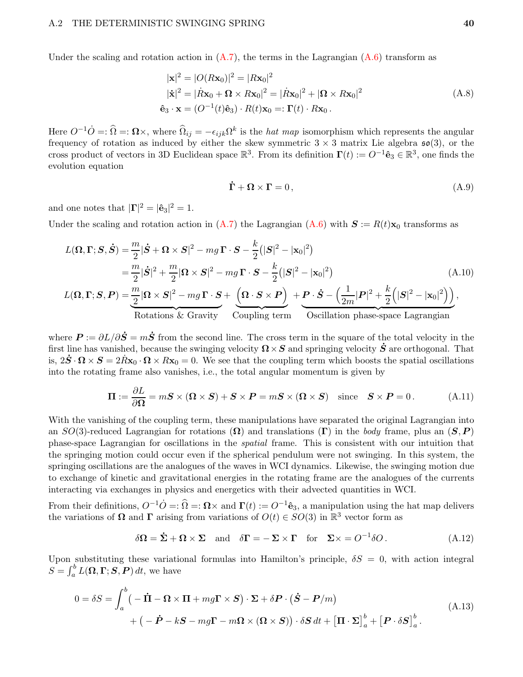Under the scaling and rotation action in  $(A.7)$ , the terms in the Lagrangian  $(A.6)$  transform as

$$
|\mathbf{x}|^2 = |O(R\mathbf{x}_0)|^2 = |R\mathbf{x}_0|^2
$$
  
\n
$$
|\dot{\mathbf{x}}|^2 = |\dot{R}\mathbf{x}_0 + \mathbf{\Omega} \times R\mathbf{x}_0|^2 = |\dot{R}\mathbf{x}_0|^2 + |\mathbf{\Omega} \times R\mathbf{x}_0|^2
$$
  
\n
$$
\hat{\mathbf{e}}_3 \cdot \mathbf{x} = (O^{-1}(t)\hat{\mathbf{e}}_3) \cdot R(t)\mathbf{x}_0 =: \mathbf{\Gamma}(t) \cdot R\mathbf{x}_0.
$$
\n(A.8)

Here  $O^{-1}\dot{O} =: \Omega \times$ , where  $\widehat{\Omega}_{ij} = -\epsilon_{ijk}\Omega^k$  is the *hat map* isomorphism which represents the angular frequency of rotation as induced by either the skew symmetric  $3 \times 3$  matrix Lie algebra  $\mathfrak{so}(3)$ , or the cross product of vectors in 3D Euclidean space  $\mathbb{R}^3$ . From its definition  $\Gamma(t) := O^{-1} \hat{\mathbf{e}}_3 \in \mathbb{R}^3$ , one finds the evolution equation

$$
\dot{\Gamma} + \Omega \times \Gamma = 0, \tag{A.9}
$$

and one notes that  $|\mathbf{\Gamma}|^2 = |\hat{\mathbf{e}}_3|^2 = 1$ .

Under the scaling and rotation action in  $(A.7)$  the Lagrangian  $(A.6)$  with  $S := R(t)\mathbf{x}_0$  transforms as

$$
L(\mathbf{\Omega}, \mathbf{\Gamma}; \mathbf{S}, \dot{\mathbf{S}}) = \frac{m}{2} |\dot{\mathbf{S}} + \mathbf{\Omega} \times \mathbf{S}|^2 - mg\,\mathbf{\Gamma} \cdot \mathbf{S} - \frac{k}{2} (|\mathbf{S}|^2 - |\mathbf{x}_0|^2)
$$
  
\n
$$
= \frac{m}{2} |\dot{\mathbf{S}}|^2 + \frac{m}{2} |\mathbf{\Omega} \times \mathbf{S}|^2 - mg\,\mathbf{\Gamma} \cdot \mathbf{S} - \frac{k}{2} (|\mathbf{S}|^2 - |\mathbf{x}_0|^2)
$$
  
\n
$$
L(\mathbf{\Omega}, \mathbf{\Gamma}; \mathbf{S}, \mathbf{P}) = \frac{m}{2} |\mathbf{\Omega} \times \mathbf{S}|^2 - mg\,\mathbf{\Gamma} \cdot \mathbf{S} + \left(\mathbf{\Omega} \cdot \mathbf{S} \times \mathbf{P}\right) + \mathbf{P} \cdot \dot{\mathbf{S}} - \left(\frac{1}{2m} |\mathbf{P}|^2 + \frac{k}{2} (|\mathbf{S}|^2 - |\mathbf{x}_0|^2)\right),
$$
  
\nRotations & Gravity  
\nCoupling term  
\nOscillation phase-space Lagrangian

where  $\bm{P} := \partial L/\partial \dot{\bm{S}} = m\dot{\bm{S}}$  from the second line. The cross term in the square of the total velocity in the first line has vanished, because the swinging velocity  $\Omega \times S$  and springing velocity  $\dot{S}$  are orthogonal. That is,  $2\dot{S} \cdot \Omega \times S = 2\dot{R}x_0 \cdot \Omega \times Rx_0 = 0$ . We see that the coupling term which boosts the spatial oscillations into the rotating frame also vanishes, i.e., the total angular momentum is given by

$$
\Pi := \frac{\partial L}{\partial \Omega} = mS \times (\Omega \times S) + S \times P = mS \times (\Omega \times S) \quad \text{since} \quad S \times P = 0. \tag{A.11}
$$

With the vanishing of the coupling term, these manipulations have separated the original Lagrangian into an  $SO(3)$ -reduced Lagrangian for rotations  $(\Omega)$  and translations  $(\Gamma)$  in the body frame, plus an  $(S, P)$ phase-space Lagrangian for oscillations in the spatial frame. This is consistent with our intuition that the springing motion could occur even if the spherical pendulum were not swinging. In this system, the springing oscillations are the analogues of the waves in WCI dynamics. Likewise, the swinging motion due to exchange of kinetic and gravitational energies in the rotating frame are the analogues of the currents interacting via exchanges in physics and energetics with their advected quantities in WCI.

From their definitions,  $O^{-1}\dot{O} =: \hat{\Omega} =: \Omega \times$  and  $\Gamma(t) := O^{-1}\hat{\mathbf{e}}_3$ , a manipulation using the hat map delivers the variations of  $\Omega$  and  $\Gamma$  arising from variations of  $O(t) \in SO(3)$  in  $\mathbb{R}^3$  vector form as

$$
\delta \Omega = \dot{\Sigma} + \Omega \times \Sigma \quad \text{and} \quad \delta \Gamma = -\Sigma \times \Gamma \quad \text{for} \quad \Sigma \times = O^{-1} \delta O. \tag{A.12}
$$

Upon substituting these variational formulas into Hamilton's principle,  $\delta S = 0$ , with action integral  $S = \int_a^b L(\mathbf{\Omega}, \mathbf{\Gamma}; \mathbf{S}, \mathbf{P}) dt$ , we have

$$
0 = \delta S = \int_{a}^{b} \left( -\dot{\mathbf{H}} - \mathbf{\Omega} \times \mathbf{\Pi} + mg\mathbf{\Gamma} \times \mathbf{S} \right) \cdot \mathbf{\Sigma} + \delta \mathbf{P} \cdot (\dot{\mathbf{S}} - \mathbf{P}/m)
$$
  
+  $\left( -\dot{\mathbf{P}} - k\mathbf{S} - mg\mathbf{\Gamma} - m\mathbf{\Omega} \times (\mathbf{\Omega} \times \mathbf{S}) \right) \cdot \delta \mathbf{S} dt + \left[ \mathbf{\Pi} \cdot \mathbf{\Sigma} \right]_{a}^{b} + \left[ \mathbf{P} \cdot \delta \mathbf{S} \right]_{a}^{b} .$  (A.13)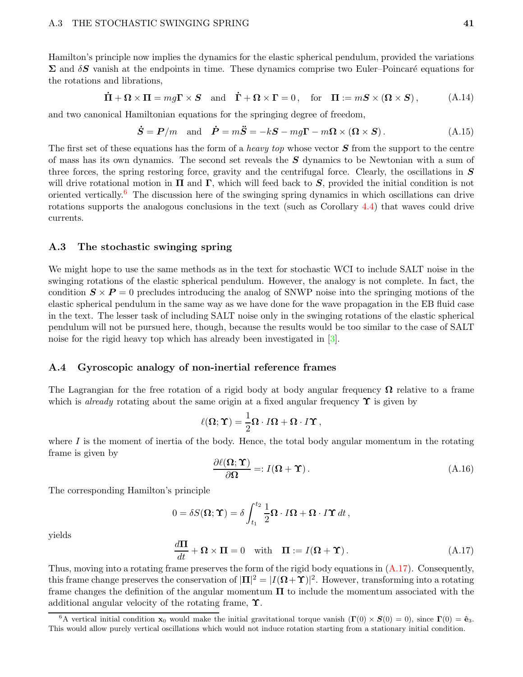Hamilton's principle now implies the dynamics for the elastic spherical pendulum, provided the variations  $\Sigma$  and  $\delta S$  vanish at the endpoints in time. These dynamics comprise two Euler–Poincaré equations for the rotations and librations,

$$
\dot{\Pi} + \Omega \times \Pi = mg\Gamma \times S \quad \text{and} \quad \dot{\Gamma} + \Omega \times \Gamma = 0, \quad \text{for} \quad \Pi := mS \times (\Omega \times S), \tag{A.14}
$$

and two canonical Hamiltonian equations for the springing degree of freedom,

$$
\dot{S} = P/m \text{ and } \dot{P} = m\ddot{S} = -kS - mg\Gamma - m\Omega \times (\Omega \times S). \tag{A.15}
$$

The first set of these equations has the form of a *heavy top* whose vector  $S$  from the support to the centre of mass has its own dynamics. The second set reveals the  $S$  dynamics to be Newtonian with a sum of three forces, the spring restoring force, gravity and the centrifugal force. Clearly, the oscillations in  $S$ will drive rotational motion in  $\Pi$  and  $\Gamma$ , which will feed back to  $S$ , provided the initial condition is not oriented vertically.[6](#page-40-1) The discussion here of the swinging spring dynamics in which oscillations can drive rotations supports the analogous conclusions in the text (such as Corollary [4.4\)](#page-18-4) that waves could drive currents.

#### A.3 The stochastic swinging spring

We might hope to use the same methods as in the text for stochastic WCI to include SALT noise in the swinging rotations of the elastic spherical pendulum. However, the analogy is not complete. In fact, the condition  $S \times P = 0$  precludes introducing the analog of SNWP noise into the springing motions of the elastic spherical pendulum in the same way as we have done for the wave propagation in the EB fluid case in the text. The lesser task of including SALT noise only in the swinging rotations of the elastic spherical pendulum will not be pursued here, though, because the results would be too similar to the case of SALT noise for the rigid heavy top which has already been investigated in [\[3\]](#page-41-15).

#### A.4 Gyroscopic analogy of non-inertial reference frames

The Lagrangian for the free rotation of a rigid body at body angular frequency  $\Omega$  relative to a frame which is *already* rotating about the same origin at a fixed angular frequency  $\Upsilon$  is given by

$$
\ell(\Omega; \Upsilon) = \frac{1}{2}\Omega \cdot I\Omega + \Omega \cdot I\Upsilon ,
$$

where  $I$  is the moment of inertia of the body. Hence, the total body angular momentum in the rotating frame is given by

<span id="page-40-0"></span>
$$
\frac{\partial \ell(\Omega; \Upsilon)}{\partial \Omega} =: I(\Omega + \Upsilon). \tag{A.16}
$$

The corresponding Hamilton's principle

$$
0 = \delta S(\mathbf{\Omega}; \mathbf{\Upsilon}) = \delta \int_{t_1}^{t_2} \frac{1}{2} \mathbf{\Omega} \cdot I \mathbf{\Omega} + \mathbf{\Omega} \cdot I \mathbf{\Upsilon} dt,
$$

yields

<span id="page-40-2"></span>
$$
\frac{d\mathbf{\Pi}}{dt} + \mathbf{\Omega} \times \mathbf{\Pi} = 0 \quad \text{with} \quad \mathbf{\Pi} := I(\mathbf{\Omega} + \mathbf{\Upsilon}). \tag{A.17}
$$

Thus, moving into a rotating frame preserves the form of the rigid body equations in  $(A.17)$ . Consequently, this frame change preserves the conservation of  $|\Pi|^2 = |I(\mathbf{\Omega} + \mathbf{\Upsilon})|^2$ . However, transforming into a rotating frame changes the definition of the angular momentum  $\Pi$  to include the momentum associated with the additional angular velocity of the rotating frame, Υ.

<span id="page-40-1"></span><sup>&</sup>lt;sup>6</sup>A vertical initial condition  $\mathbf{x}_0$  would make the initial gravitational torque vanish  $(\mathbf{\Gamma}(0) \times \mathbf{S}(0) = 0)$ , since  $\mathbf{\Gamma}(0) = \hat{\mathbf{e}}_3$ . This would allow purely vertical oscillations which would not induce rotation starting from a stationary initial condition.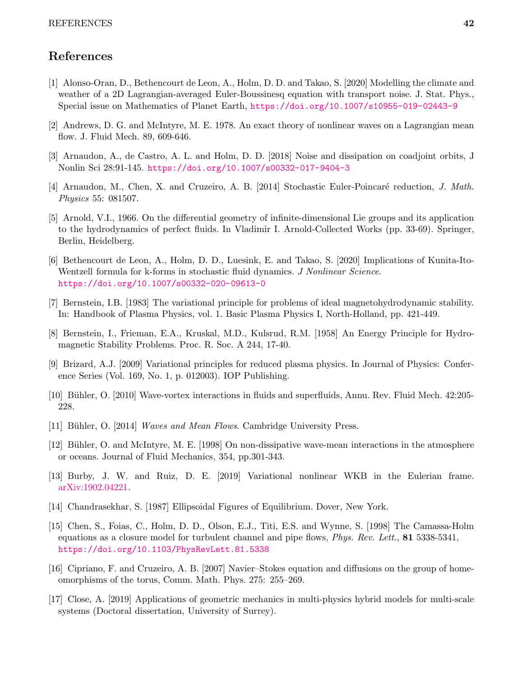# References

- [1] Alonso-Oran, D., Bethencourt de Leon, A., Holm, D. D. and Takao, S. [2020] Modelling the climate and weather of a 2D Lagrangian-averaged Euler-Boussinesq equation with transport noise. J. Stat. Phys., Special issue on Mathematics of Planet Earth, <https://doi.org/10.1007/s10955-019-02443-9>
- <span id="page-41-15"></span><span id="page-41-0"></span>[2] Andrews, D. G. and McIntyre, M. E. 1978. An exact theory of nonlinear waves on a Lagrangian mean flow. J. Fluid Mech. 89, 609-646.
- <span id="page-41-4"></span>[3] Arnaudon, A., de Castro, A. L. and Holm, D. D. [2018] Noise and dissipation on coadjoint orbits, J Nonlin Sci 28:91-145. <https://doi.org/10.1007/s00332-017-9404-3>
- <span id="page-41-2"></span>[4] Arnaudon, M., Chen, X. and Cruzeiro, A. B. [2014] Stochastic Euler-Poincaré reduction, J. Math. Physics 55: 081507.
- [5] Arnold, V.I., 1966. On the differential geometry of infinite-dimensional Lie groups and its application to the hydrodynamics of perfect fluids. In Vladimir I. Arnold-Collected Works (pp. 33-69). Springer, Berlin, Heidelberg.
- <span id="page-41-13"></span>[6] Bethencourt de Leon, A., Holm, D. D., Luesink, E. and Takao, S. [2020] Implications of Kunita-Ito-Wentzell formula for k-forms in stochastic fluid dynamics. J Nonlinear Science. <https://doi.org/10.1007/s00332-020-09613-0>
- <span id="page-41-7"></span><span id="page-41-6"></span>[7] Bernstein, I.B. [1983] The variational principle for problems of ideal magnetohydrodynamic stability. In: Handbook of Plasma Physics, vol. 1. Basic Plasma Physics I, North-Holland, pp. 421-449.
- <span id="page-41-5"></span>[8] Bernstein, I., Frieman, E.A., Kruskal, M.D., Kulsrud, R.M. [1958] An Energy Principle for Hydromagnetic Stability Problems. Proc. R. Soc. A 244, 17-40.
- [9] Brizard, A.J. [2009] Variational principles for reduced plasma physics. In Journal of Physics: Conference Series (Vol. 169, No. 1, p. 012003). IOP Publishing.
- <span id="page-41-12"></span><span id="page-41-11"></span>[10] Bühler, O. [2010] Wave-vortex interactions in fluids and superfluids, Annu. Rev. Fluid Mech. 42:205-228.
- <span id="page-41-10"></span>[11] Bühler, O. [2014] *Waves and Mean Flows.* Cambridge University Press.
- [12] Bühler, O. and McIntyre, M. E. [1998] On non-dissipative wave-mean interactions in the atmosphere or oceans. Journal of Fluid Mechanics, 354, pp.301-343.
- <span id="page-41-8"></span><span id="page-41-1"></span>[13] Burby, J. W. and Ruiz, D. E. [2019] Variational nonlinear WKB in the Eulerian frame. [arXiv:1902.04221.](http://arxiv.org/abs/1902.04221)
- <span id="page-41-9"></span>[14] Chandrasekhar, S. [1987] Ellipsoidal Figures of Equilibrium. Dover, New York.
- [15] Chen, S., Foias, C., Holm, D. D., Olson, E.J., Titi, E.S. and Wynne, S. [1998] The Camassa-Holm equations as a closure model for turbulent channel and pipe flows, *Phys. Rev. Lett.*, **81** 5338-5341, <https://doi.org/10.1103/PhysRevLett.81.5338>
- <span id="page-41-14"></span><span id="page-41-3"></span>[16] Cipriano, F. and Cruzeiro, A. B. [2007] Navier–Stokes equation and diffusions on the group of homeomorphisms of the torus, Comm. Math. Phys. 275: 255–269.
- [17] Close, A. [2019] Applications of geometric mechanics in multi-physics hybrid models for multi-scale systems (Doctoral dissertation, University of Surrey).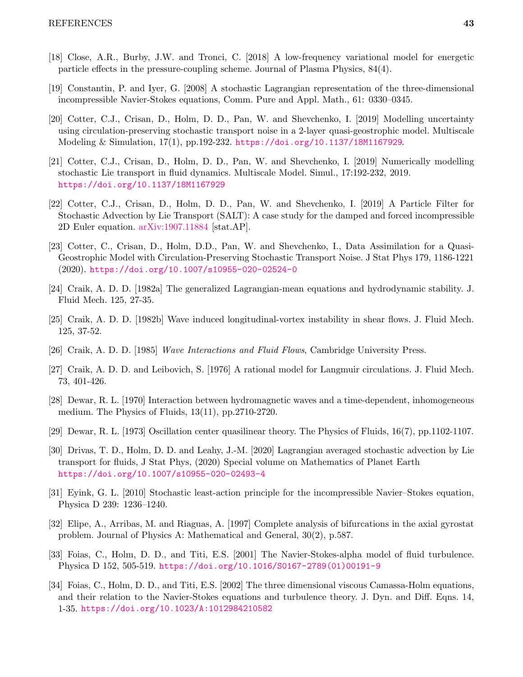- <span id="page-42-14"></span><span id="page-42-3"></span>[18] Close, A.R., Burby, J.W. and Tronci, C. [2018] A low-frequency variational model for energetic particle effects in the pressure-coupling scheme. Journal of Plasma Physics, 84(4).
- <span id="page-42-5"></span>[19] Constantin, P. and Iyer, G. [2008] A stochastic Lagrangian representation of the three-dimensional incompressible Navier-Stokes equations, Comm. Pure and Appl. Math., 61: 0330–0345.
- [20] Cotter, C.J., Crisan, D., Holm, D. D., Pan, W. and Shevchenko, I. [2019] Modelling uncertainty using circulation-preserving stochastic transport noise in a 2-layer quasi-geostrophic model. Multiscale Modeling & Simulation, 17(1), pp.192-232. <https://doi.org/10.1137/18M1167929>.
- <span id="page-42-6"></span>[21] Cotter, C.J., Crisan, D., Holm, D. D., Pan, W. and Shevchenko, I. [2019] Numerically modelling stochastic Lie transport in fluid dynamics. Multiscale Model. Simul., 17:192-232, 2019. <https://doi.org/10.1137/18M1167929>
- <span id="page-42-7"></span>[22] Cotter, C.J., Crisan, D., Holm, D. D., Pan, W. and Shevchenko, I. [2019] A Particle Filter for Stochastic Advection by Lie Transport (SALT): A case study for the damped and forced incompressible 2D Euler equation. [arXiv:1907.11884](http://arxiv.org/abs/1907.11884) [stat.AP].
- <span id="page-42-13"></span>[23] Cotter, C., Crisan, D., Holm, D.D., Pan, W. and Shevchenko, I., Data Assimilation for a Quasi-Geostrophic Model with Circulation-Preserving Stochastic Transport Noise. J Stat Phys 179, 1186-1221 (2020). <https://doi.org/10.1007/s10955-020-02524-0>
- <span id="page-42-9"></span><span id="page-42-8"></span>[24] Craik, A. D. D. [1982a] The generalized Lagrangian-mean equations and hydrodynamic stability. J. Fluid Mech. 125, 27-35.
- <span id="page-42-10"></span>[25] Craik, A. D. D. [1982b] Wave induced longitudinal-vortex instability in shear flows. J. Fluid Mech. 125, 37-52.
- <span id="page-42-0"></span>[26] Craik, A. D. D. [1985] Wave Interactions and Fluid Flows, Cambridge University Press.
- <span id="page-42-1"></span>[27] Craik, A. D. D. and Leibovich, S. [1976] A rational model for Langmuir circulations. J. Fluid Mech. 73, 401-426.
- [28] Dewar, R. L. [1970] Interaction between hydromagnetic waves and a time-dependent, inhomogeneous medium. The Physics of Fluids, 13(11), pp.2710-2720.
- <span id="page-42-2"></span>[29] Dewar, R. L. [1973] Oscillation center quasilinear theory. The Physics of Fluids, 16(7), pp.1102-1107.
- [30] Drivas, T. D., Holm, D. D. and Leahy, J.-M. [2020] Lagrangian averaged stochastic advection by Lie transport for fluids, J Stat Phys, (2020) Special volume on Mathematics of Planet Earth <https://doi.org/10.1007/s10955-020-02493-4>
- <span id="page-42-4"></span>[31] Eyink, G. L. [2010] Stochastic least-action principle for the incompressible Navier–Stokes equation, Physica D 239: 1236–1240.
- <span id="page-42-15"></span><span id="page-42-11"></span>[32] Elipe, A., Arribas, M. and Riaguas, A. [1997] Complete analysis of bifurcations in the axial gyrostat problem. Journal of Physics A: Mathematical and General, 30(2), p.587.
- [33] Foias, C., Holm, D. D., and Titi, E.S. [2001] The Navier-Stokes-alpha model of fluid turbulence. Physica D 152, 505-519. [https://doi.org/10.1016/S0167-2789\(01\)00191-9](https://doi.org/10.1016/S0167-2789(01)00191-9)
- <span id="page-42-12"></span>[34] Foias, C., Holm, D. D., and Titi, E.S. [2002] The three dimensional viscous Camassa-Holm equations, and their relation to the Navier-Stokes equations and turbulence theory. J. Dyn. and Diff. Eqns. 14, 1-35. <https://doi.org/10.1023/A:1012984210582>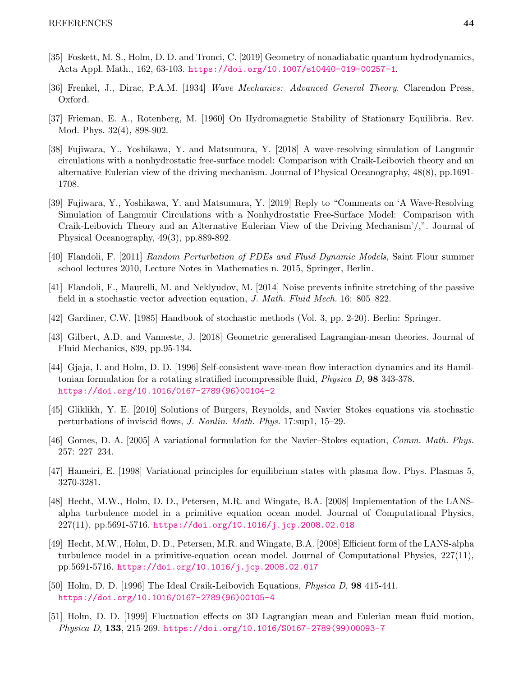- <span id="page-43-1"></span><span id="page-43-0"></span>[35] Foskett, M. S., Holm, D. D. and Tronci, C. [2019] Geometry of nonadiabatic quantum hydrodynamics, Acta Appl. Math., 162, 63-103. <https://doi.org/10.1007/s10440-019-00257-1>.
- <span id="page-43-11"></span>[36] Frenkel, J., Dirac, P.A.M. [1934] Wave Mechanics: Advanced General Theory. Clarendon Press, Oxford.
- <span id="page-43-3"></span>[37] Frieman, E. A., Rotenberg, M. [1960] On Hydromagnetic Stability of Stationary Equilibria. Rev. Mod. Phys. 32(4), 898-902.
- [38] Fujiwara, Y., Yoshikawa, Y. and Matsumura, Y. [2018] A wave-resolving simulation of Langmuir circulations with a nonhydrostatic free-surface model: Comparison with Craik-Leibovich theory and an alternative Eulerian view of the driving mechanism. Journal of Physical Oceanography, 48(8), pp.1691- 1708.
- <span id="page-43-4"></span>[39] Fujiwara, Y., Yoshikawa, Y. and Matsumura, Y. [2019] Reply to "Comments on 'A Wave-Resolving Simulation of Langmuir Circulations with a Nonhydrostatic Free-Surface Model: Comparison with Craik-Leibovich Theory and an Alternative Eulerian View of the Driving Mechanism'/,". Journal of Physical Oceanography, 49(3), pp.889-892.
- <span id="page-43-9"></span><span id="page-43-8"></span>[40] Flandoli, F. [2011] Random Perturbation of PDEs and Fluid Dynamic Models, Saint Flour summer school lectures 2010, Lecture Notes in Mathematics n. 2015, Springer, Berlin.
- <span id="page-43-5"></span>[41] Flandoli, F., Maurelli, M. and Neklyudov, M. [2014] Noise prevents infinite stretching of the passive field in a stochastic vector advection equation, J. Math. Fluid Mech. 16: 805–822.
- <span id="page-43-10"></span>[42] Gardiner, C.W. [1985] Handbook of stochastic methods (Vol. 3, pp. 2-20). Berlin: Springer.
- <span id="page-43-2"></span>[43] Gilbert, A.D. and Vanneste, J. [2018] Geometric generalised Lagrangian-mean theories. Journal of Fluid Mechanics, 839, pp.95-134.
- [44] Gjaja, I. and Holm, D. D. [1996] Self-consistent wave-mean flow interaction dynamics and its Hamiltonian formulation for a rotating stratified incompressible fluid, Physica D, 98 343-378. [https://doi.org/10.1016/0167-2789\(96\)00104-2](https://doi.org/10.1016/0167-2789(96)00104-2)
- <span id="page-43-7"></span><span id="page-43-6"></span>[45] Gliklikh, Y. E. [2010] Solutions of Burgers, Reynolds, and Navier–Stokes equations via stochastic perturbations of inviscid flows, J. Nonlin. Math. Phys. 17:sup1, 15–29.
- <span id="page-43-12"></span>[46] Gomes, D. A. [2005] A variational formulation for the Navier–Stokes equation, Comm. Math. Phys. 257: 227–234.
- <span id="page-43-14"></span>[47] Hameiri, E. [1998] Variational principles for equilibrium states with plasma flow. Phys. Plasmas 5, 3270-3281.
- [48] Hecht, M.W., Holm, D. D., Petersen, M.R. and Wingate, B.A. [2008] Implementation of the LANSalpha turbulence model in a primitive equation ocean model. Journal of Computational Physics, 227(11), pp.5691-5716. <https://doi.org/10.1016/j.jcp.2008.02.018>
- <span id="page-43-15"></span>[49] Hecht, M.W., Holm, D. D., Petersen, M.R. and Wingate, B.A. [2008] Efficient form of the LANS-alpha turbulence model in a primitive-equation ocean model. Journal of Computational Physics, 227(11), pp.5691-5716. <https://doi.org/10.1016/j.jcp.2008.02.017>
- <span id="page-43-16"></span>[50] Holm, D. D. [1996] The Ideal Craik-Leibovich Equations, Physica D, 98 415-441. [https://doi.org/10.1016/0167-2789\(96\)00105-4](https://doi.org/10.1016/0167-2789(96)00105-4)
- <span id="page-43-13"></span>[51] Holm, D. D. [1999] Fluctuation effects on 3D Lagrangian mean and Eulerian mean fluid motion, Physica D, 133, 215-269. [https://doi.org/10.1016/S0167-2789\(99\)00093-7](https://doi.org/10.1016/S0167-2789(99)00093-7)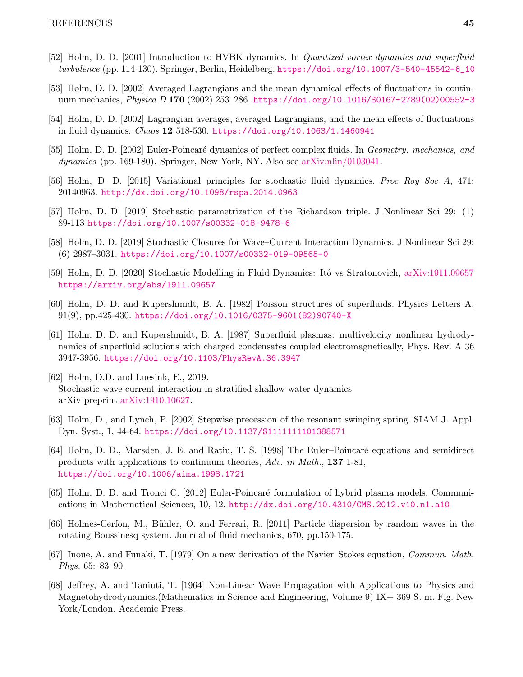- <span id="page-44-11"></span><span id="page-44-8"></span>[52] Holm, D. D. [2001] Introduction to HVBK dynamics. In Quantized vortex dynamics and superfluid turbulence (pp. 114-130). Springer, Berlin, Heidelberg. [https://doi.org/10.1007/3-540-45542-6\\_10](https://doi.org/10.1007/3-540-45542-6_10)
- <span id="page-44-9"></span>[53] Holm, D. D. [2002] Averaged Lagrangians and the mean dynamical effects of fluctuations in continuum mechanics, Physica D 170 (2002) 253–286. [https://doi.org/10.1016/S0167-2789\(02\)00552-3](https://doi.org/10.1016/S0167-2789(02)00552-3)
- <span id="page-44-10"></span>[54] Holm, D. D. [2002] Lagrangian averages, averaged Lagrangians, and the mean effects of fluctuations in fluid dynamics. Chaos 12 518-530. <https://doi.org/10.1063/1.1460941>
- <span id="page-44-2"></span>[55] Holm, D. D. [2002] Euler-Poincaré dynamics of perfect complex fluids. In Geometry, mechanics, and dynamics (pp. 169-180). Springer, New York, NY. Also see [arXiv:nlin/0103041.](http://arxiv.org/abs/nlin/0103041)
- <span id="page-44-0"></span>[56] Holm, D. D. [2015] Variational principles for stochastic fluid dynamics. Proc Roy Soc A, 471: 20140963. <http://dx.doi.org/10.1098/rspa.2014.0963>
- <span id="page-44-5"></span>[57] Holm, D. D. [2019] Stochastic parametrization of the Richardson triple. J Nonlinear Sci 29: (1) 89-113 <https://doi.org/10.1007/s00332-018-9478-6>
- <span id="page-44-15"></span>[58] Holm, D. D. [2019] Stochastic Closures for Wave–Current Interaction Dynamics. J Nonlinear Sci 29: (6) 2987–3031. <https://doi.org/10.1007/s00332-019-09565-0>
- <span id="page-44-3"></span>[59] Holm, D. D. [2020] Stochastic Modelling in Fluid Dynamics: Itô vs Stratonovich, [arXiv:1911.09657](http://arxiv.org/abs/1911.09657) <https://arxiv.org/abs/1911.09657>
- <span id="page-44-13"></span>[60] Holm, D. D. and Kupershmidt, B. A. [1982] Poisson structures of superfluids. Physics Letters A,  $91(9)$ , pp.425-430. [https://doi.org/10.1016/0375-9601\(82\)90740-X](https://doi.org/10.1016/0375-9601(82)90740-X)
- [61] Holm, D. D. and Kupershmidt, B. A. [1987] Superfluid plasmas: multivelocity nonlinear hydrodynamics of superfluid solutions with charged condensates coupled electromagnetically, Phys. Rev. A 36 3947-3956. <https://doi.org/10.1103/PhysRevA.36.3947>
- <span id="page-44-14"></span>[62] Holm, D.D. and Luesink, E., 2019. Stochastic wave-current interaction in stratified shallow water dynamics. arXiv preprint [arXiv:1910.10627.](http://arxiv.org/abs/1910.10627)
- <span id="page-44-4"></span>[63] Holm, D., and Lynch, P. [2002] Stepwise precession of the resonant swinging spring. SIAM J. Appl. Dyn. Syst., 1, 44-64. <https://doi.org/10.1137/S1111111101388571>
- <span id="page-44-6"></span>[64] Holm, D. D., Marsden, J. E. and Ratiu, T. S. [1998] The Euler–Poincaré equations and semidirect products with applications to continuum theories, Adv. in Math., 137 1-81, <https://doi.org/10.1006/aima.1998.1721>
- <span id="page-44-16"></span>[65] Holm, D. D. and Tronci C. [2012] Euler-Poincaré formulation of hybrid plasma models. Communications in Mathematical Sciences, 10, 12. <http://dx.doi.org/10.4310/CMS.2012.v10.n1.a10>
- <span id="page-44-12"></span>[66] Holmes-Cerfon, M., Bühler, O. and Ferrari, R. [2011] Particle dispersion by random waves in the rotating Boussinesq system. Journal of fluid mechanics, 670, pp.150-175.
- <span id="page-44-7"></span><span id="page-44-1"></span>[67] Inoue, A. and Funaki, T. [1979] On a new derivation of the Navier–Stokes equation, Commun. Math. Phys. 65: 83–90.
- [68] Jeffrey, A. and Taniuti, T. [1964] Non-Linear Wave Propagation with Applications to Physics and Magnetohydrodynamics.(Mathematics in Science and Engineering, Volume 9) IX+ 369 S. m. Fig. New York/London. Academic Press.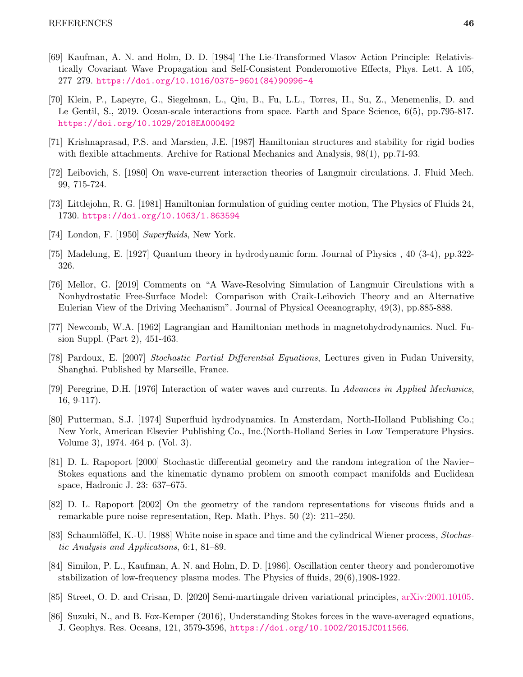- <span id="page-45-2"></span>[69] Kaufman, A. N. and Holm, D. D. [1984] The Lie-Transformed Vlasov Action Principle: Relativistically Covariant Wave Propagation and Self-Consistent Ponderomotive Effects, Phys. Lett. A 105, 277–279. [https://doi.org/10.1016/0375-9601\(84\)90996-4](https://doi.org/10.1016/0375-9601(84)90996-4)
- <span id="page-45-16"></span>[70] Klein, P., Lapeyre, G., Siegelman, L., Qiu, B., Fu, L.L., Torres, H., Su, Z., Menemenlis, D. and Le Gentil, S., 2019. Ocean-scale interactions from space. Earth and Space Science, 6(5), pp.795-817. <https://doi.org/10.1029/2018EA000492>
- <span id="page-45-7"></span><span id="page-45-6"></span>[71] Krishnaprasad, P.S. and Marsden, J.E. [1987] Hamiltonian structures and stability for rigid bodies with flexible attachments. Archive for Rational Mechanics and Analysis, 98(1), pp.71-93.
- <span id="page-45-0"></span>[72] Leibovich, S. [1980] On wave-current interaction theories of Langmuir circulations. J. Fluid Mech. 99, 715-724.
- <span id="page-45-9"></span>[73] Littlejohn, R. G. [1981] Hamiltonian formulation of guiding center motion, The Physics of Fluids 24, 1730. <https://doi.org/10.1063/1.863594>
- <span id="page-45-15"></span>[74] London, F. [1950] Superfluids, New York.
- <span id="page-45-3"></span>[75] Madelung, E. [1927] Quantum theory in hydrodynamic form. Journal of Physics , 40 (3-4), pp.322- 326.
- [76] Mellor, G. [2019] Comments on "A Wave-Resolving Simulation of Langmuir Circulations with a Nonhydrostatic Free-Surface Model: Comparison with Craik-Leibovich Theory and an Alternative Eulerian View of the Driving Mechanism". Journal of Physical Oceanography, 49(3), pp.885-888.
- <span id="page-45-13"></span><span id="page-45-8"></span>[77] Newcomb, W.A. [1962] Lagrangian and Hamiltonian methods in magnetohydrodynamics. Nucl. Fusion Suppl. (Part 2), 451-463.
- <span id="page-45-11"></span>[78] Pardoux, E. [2007] Stochastic Partial Differential Equations, Lectures given in Fudan University, Shanghai. Published by Marseille, France.
- <span id="page-45-10"></span>[79] Peregrine, D.H. [1976] Interaction of water waves and currents. In Advances in Applied Mechanics, 16, 9-117).
- [80] Putterman, S.J. [1974] Superfluid hydrodynamics. In Amsterdam, North-Holland Publishing Co.; New York, American Elsevier Publishing Co., Inc.(North-Holland Series in Low Temperature Physics. Volume 3), 1974. 464 p. (Vol. 3).
- <span id="page-45-4"></span>[81] D. L. Rapoport [2000] Stochastic differential geometry and the random integration of the Navier– Stokes equations and the kinematic dynamo problem on smooth compact manifolds and Euclidean space, Hadronic J. 23: 637–675.
- <span id="page-45-5"></span>[82] D. L. Rapoport [2002] On the geometry of the random representations for viscous fluids and a remarkable pure noise representation, Rep. Math. Phys. 50 (2): 211–250.
- <span id="page-45-14"></span><span id="page-45-1"></span>[83] Schaumlöffel, K.-U. [1988] White noise in space and time and the cylindrical Wiener process, Stochastic Analysis and Applications, 6:1, 81–89.
- [84] Similon, P. L., Kaufman, A. N. and Holm, D. D. [1986]. Oscillation center theory and ponderomotive stabilization of low-frequency plasma modes. The Physics of fluids, 29(6),1908-1922.
- <span id="page-45-17"></span><span id="page-45-12"></span>[85] Street, O. D. and Crisan, D. [2020] Semi-martingale driven variational principles, [arXiv:2001.10105.](http://arxiv.org/abs/2001.10105)
- [86] Suzuki, N., and B. Fox-Kemper (2016), Understanding Stokes forces in the wave-averaged equations, J. Geophys. Res. Oceans, 121, 3579-3596, <https://doi.org/10.1002/2015JC011566>.